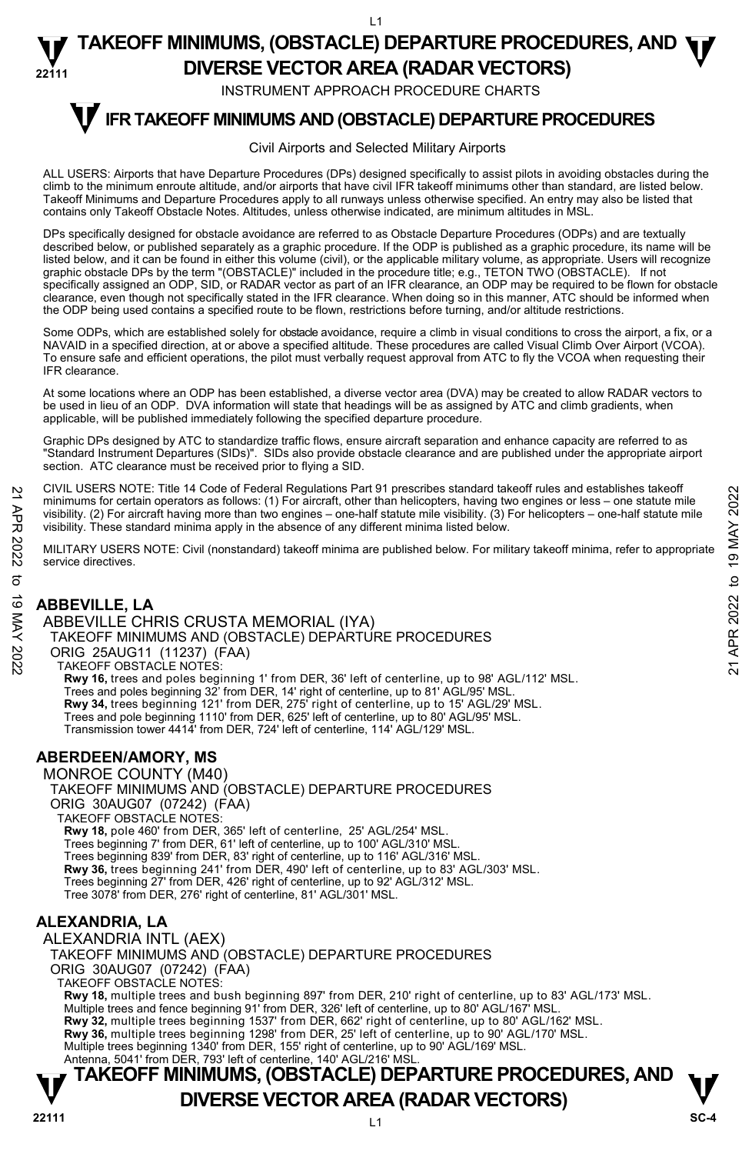INSTRUMENT APPROACH PROCEDURE CHARTS

# **IFR TAKEOFF MINIMUMS AND (OBSTACLE) DEPARTURE PROCEDURES T**

#### Civil Airports and Selected Military Airports

ALL USERS: Airports that have Departure Procedures (DPs) designed specifically to assist pilots in avoiding obstacles during the climb to the minimum enroute altitude, and/or airports that have civil IFR takeoff minimums other than standard, are listed below. Takeoff Minimums and Departure Procedures apply to all runways unless otherwise specified. An entry may also be listed that contains only Takeoff Obstacle Notes. Altitudes, unless otherwise indicated, are minimum altitudes in MSL.

DPs specifically designed for obstacle avoidance are referred to as Obstacle Departure Procedures (ODPs) and are textually described below, or published separately as a graphic procedure. If the ODP is published as a graphic procedure, its name will be listed below, and it can be found in either this volume (civil), or the applicable military volume, as appropriate. Users will recognize graphic obstacle DPs by the term "(OBSTACLE)" included in the procedure title; e.g., TETON TWO (OBSTACLE). If not specifically assigned an ODP, SID, or RADAR vector as part of an IFR clearance, an ODP may be required to be flown for obstacle clearance, even though not specifically stated in the IFR clearance. When doing so in this manner, ATC should be informed when the ODP being used contains a specified route to be flown, restrictions before turning, and/or altitude restrictions.

Some ODPs, which are established solely for obstacle avoidance, require a climb in visual conditions to cross the airport, a fix, or a NAVAID in a specified direction, at or above a specified altitude. These procedures are called Visual Climb Over Airport (VCOA). To ensure safe and efficient operations, the pilot must verbally request approval from ATC to fly the VCOA when requesting their IFR clearance.

At some locations where an ODP has been established, a diverse vector area (DVA) may be created to allow RADAR vectors to be used in lieu of an ODP. DVA information will state that headings will be as assigned by ATC and climb gradients, when applicable, will be published immediately following the specified departure procedure.

Graphic DPs designed by ATC to standardize traffic flows, ensure aircraft separation and enhance capacity are referred to as "Standard Instrument Departures (SIDs)". SIDs also provide obstacle clearance and are published under the appropriate airport section. ATC clearance must be received prior to flying a SID.

CIVIL USERS NOTE: Title 14 Code of Federal Regulations Part 91 prescribes standard takeoff rules and establishes takeoff minimums for certain operators as follows: (1) For aircraft, other than helicopters, having two engines or less – one statute mile visibility. (2) For aircraft having more than two engines – one-half statute mile visibility. (3) For helicopters – one-half statute mile visibility. These standard minima apply in the absence of any different minima listed below. 21 CIVIL USERS NOTE: Thire 14 Code or Federal regulations Part 91 prescinces standard takeoff minimums for certain operators as follows: (1) For aircraft, due than helicopters, having two engines or less – one-half statu

MILITARY USERS NOTE: Civil (nonstandard) takeoff minima are published below. For military takeoff minima, refer to appropriate service directives.

## **ABBEVILLE, LA**

ABBEVILLE CHRIS CRUSTA MEMORIAL (IYA) TAKEOFF MINIMUMS AND (OBSTACLE) DEPARTURE PROCEDURES ORIG 25AUG11 (11237) (FAA) TAKEOFF OBSTACLE NOTES: **Rwy 16,** trees and poles beginning 1' from DER, 36' left of centerline, up to 98' AGL/112' MSL.<br>Trees and poles beginning 32' from DER, 14' right of centerline, up to 81' AGL/95' MSL. **Rwy 34,** trees beginning 121' from DER, 275' right of centerline, up to 15' AGL/29' MSL. Trees and pole beginning 1110' from DER, 625' left of centerline, up to 80' AGL/95' MSL. Transmission tower 4414' from DER, 724' left of centerline, 114' AGL/129' MSL.

## **ABERDEEN/AMORY, MS**

MONROE COUNTY (M40) TAKEOFF MINIMUMS AND (OBSTACLE) DEPARTURE PROCEDURES ORIG 30AUG07 (07242) (FAA) TAKEOFF OBSTACLE NOTES: **Rwy 18,** pole 460' from DER, 365' left of centerline, 25' AGL/254' MSL. Trees beginning 7' from DER, 61' left of centerline, up to 100' AGL/310' MSL. Trees beginning 839' from DER, 83' right of centerline, up to 116' AGL/316' MSL. **Rwy 36,** trees beginning 241' from DER, 490' left of centerline, up to 83' AGL/303' MSL. Trees beginning 27' from DER, 426' right of centerline, up to 92' AGL/312' MSL. Tree 3078' from DER, 276' right of centerline, 81' AGL/301' MSL.

## **ALEXANDRIA, LA**

ALEXANDRIA INTL (AEX) TAKEOFF MINIMUMS AND (OBSTACLE) DEPARTURE PROCEDURES ORIG 30AUG07 (07242) (FAA) TAKEOFF OBSTACLE NOTES: **Rwy 18,** multiple trees and bush beginning 897' from DER, 210' right of centerline, up to 83' AGL/173' MSL. Multiple trees and fence beginning 91' from DER, 326' left of centerline, up to 80' AGL/167' MSL. **Rwy 32,** multiple trees beginning 1537' from DER, 662' right of centerline, up to 80' AGL/162' MSL.<br>**Rwy 36,** multiple trees beginning 1298' from DER, 25' left of centerline, up to 90' AGL/170' MSL. Multiple trees beginning 1340' from DER, 155' right of centerline, up to 90' AGL/169' MSL. Antenna, 5041' from DER, 793' left of centerline, 140' AGL/216' MSL

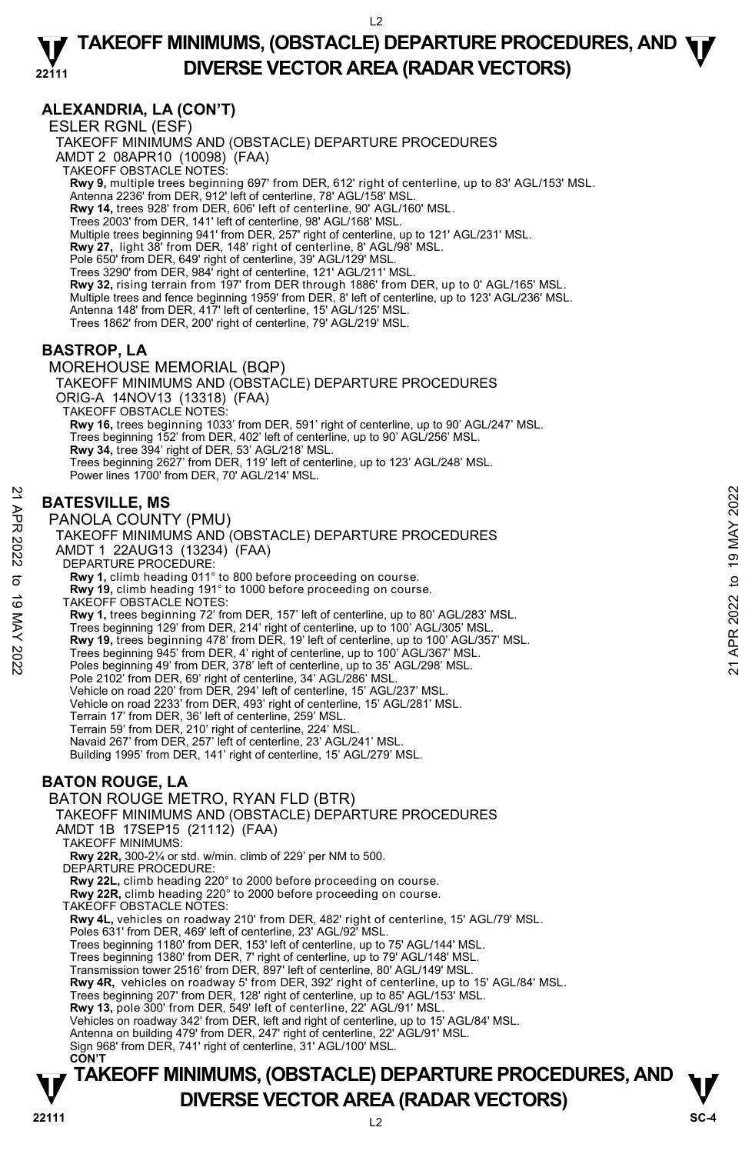## **ALEXANDRIA, LA (CON'T)**

ESLER RGNL (ESF) TAKEOFF MINIMUMS AND (OBSTACLE) DEPARTURE PROCEDURES AMDT 2 08APR10 (10098) (FAA) TAKEOFF OBSTACLE NOTES: **Rwy 9,** multiple trees beginning 697' from DER, 612' right of centerline, up to 83' AGL/153' MSL. Antenna 2236' from DER, 912' left of centerline, 78' AGL/158' MSL. **Rwy 14,** trees 928' from DER, 606' left of centerline, 90' AGL/160' MSL. Trees 2003' from DER, 141' left of centerline, 98' AGL/168' MSL. Multiple trees beginning 941' from DER, 257' right of centerline, up to 121' AGL/231' MSL. **Rwy 27,** light 38' from DER, 148' right of centerline, 8' AGL/98' MSL. Pole 650' from DER, 649' right of centerline, 39' AGL/129' MSL. Trees 3290' from DER, 984' right of centerline, 121' AGL/211' MSL. **Rwy 32,** rising terrain from 197' from DER through 1886' from DER, up to 0' AGL/165' MSL. Multiple trees and fence beginning 1959' from DER, 8' left of centerline, up to 123' AGL/236' MSL. Antenna 148' from DER, 417' left of centerline, 15' AGL/125' MSL. Trees 1862' from DER, 200' right of centerline, 79' AGL/219' MSL. **BASTROP, LA**  MOREHOUSE MEMORIAL (BQP) TAKEOFF MINIMUMS AND (OBSTACLE) DEPARTURE PROCEDURES ORIG-A 14NOV13 (13318) (FAA) TAKEOFF OBSTACLE NOTES: **Rwy 16,** trees beginning 1033' from DER, 591' right of centerline, up to 90' AGL/247' MSL. Trees beginning 152' from DER, 402' left of centerline, up to 90' AGL/256' MSL. **Rwy 34,** tree 394' right of DER, 53' AGL/218' MSL. Trees beginning 2627' from DER, 119' left of centerline, up to 123' AGL/248' MSL.

## **BATESVILLE, MS**

Power lines 1700' from DER, 70' AGL/214' MSL.

PANOLA COUNTY (PMU) TAKEOFF MINIMUMS AND (OBSTACLE) DEPARTURE PROCEDURES AMDT 1 22AUG13 (13234) (FAA) DEPARTURE PROCEDURE: **Rwy 1,** climb heading 011° to 800 before proceeding on course. **Rwy 19,** climb heading 191° to 1000 before proceeding on course. TAKEOFF OBSTACLE NOTES: **Rwy 1,** trees beginning 72' from DER, 157' left of centerline, up to 80' AGL/283' MSL. Trees beginning 129' from DER, 214' right of centerline, up to 100' AGL/305' MSL.<br>**Rwy 19,** trees beginning 478' from DER, 19' left of centerline, up to 100' AGL/357' MSL. Trees beginning 945' from DER, 4' right of centerline, up to 100' AGL/367' MSL. Poles beginning 49' from DER, 378' left of centerline, up to 35' AGL/298' MSL. Pole 2102' from DER, 69' right of centerline, 34' AGL/286' MSL. Vehicle on road 220' from DER, 294' left of centerline, 15' AGL/237' MSL. Vehicle on road 2233' from DER, 493' right of centerline, 15' AGL/281' MSL. Terrain 17' from DER, 36' left of centerline, 259' MSL. Terrain 59' from DER, 210' right of centerline, 224' MSL. Navaid 267' from DER, 257' left of centerline, 23' AGL/241' MSL. Building 1995' from DER, 141' right of centerline, 15' AGL/279' MSL. **BATON ROUGE, LA**  BATON ROUGE METRO, RYAN FLD (BTR) **BATESVILLE, MS**<br> **PANOLA COUNTY (PMU)**<br>
TAKEOFF MINIMUMS AND (OBSTACLE) DEPARTURE PROCEDURES<br>
AMDT 1 22AUG13 (13234) (FAA)<br> **DEPARTURE PROCEDURES**<br> **AMDT 1 22AUG13 (13234) (FAA)**<br> **COEDURE**<br> **COEDURE PROCEDURE**<br> **COEDURE** 

TAKEOFF MINIMUMS AND (OBSTACLE) DEPARTURE PROCEDURES AMDT 1B 17SEP15 (21112) (FAA) TAKEOFF MINIMUMS: **Rwy 22R,** 300-2¼ or std. w/min. climb of 229' per NM to 500. DEPARTURE PROCEDURE: **Rwy 22L,** climb heading 220° to 2000 before proceeding on course. **Rwy 22R,** climb heading 220° to 2000 before proceeding on course. TAKEOFF OBSTACLE NOTES: **Rwy 4L,** vehicles on roadway 210' from DER, 482' right of centerline, 15' AGL/79' MSL. Poles 631' from DER, 469' left of centerline, 23' AGL/92' MSL. Trees beginning 1180' from DER, 153' left of centerline, up to 75' AGL/144' MSL. Trees beginning 1380' from DER, 7' right of centerline, up to 79' AGL/148' MSL. Transmission tower 2516' from DER, 897' left of centerline, 80' AGL/149' MSL. **Rwy 4R,** vehicles on roadway 5' from DER, 392' right of centerline, up to 15' AGL/84' MSL. Trees beginning 207' from DER, 128' right of centerline, up to 85' AGL/153' MSL. **Rwy 13,** pole 300' from DER, 549' left of centerline, 22' AGL/91' MSL. Vehicles on roadway 342' from DER, left and right of centerline, up to 15' AGL/84' MSL. Antenna on building 479' from DER, 247' right of centerline, 22' AGL/91' MSL. Sign 968' from DER, 741' right of centerline, 31' AGL/100' MSL. **CON'T**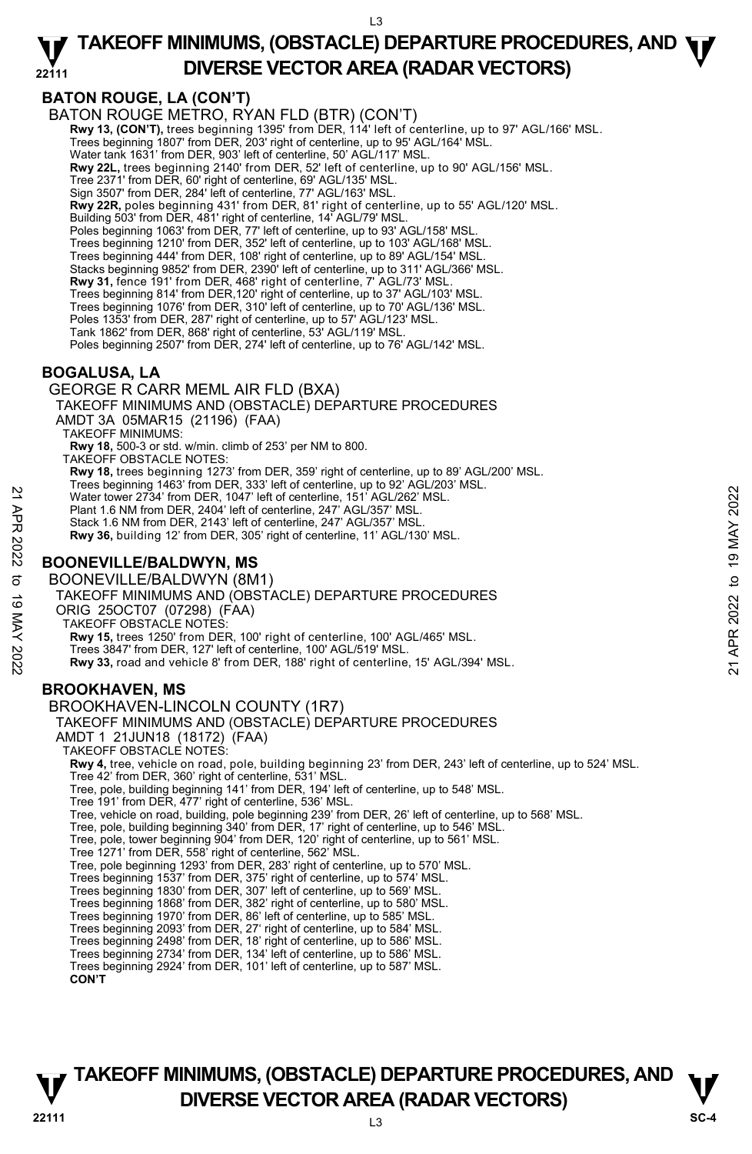## **BATON ROUGE, LA (CON'T)**

BATON ROUGE METRO, RYAN FLD (BTR) (CON'T) **Rwy 13, (CON'T),** trees beginning 1395' from DER, 114' left of centerline, up to 97' AGL/166' MSL.<br>Trees beginning 1807' from DER, 203' right of centerline, up to 95' AGL/164' MSL. Water tank 1631' from DER, 903' left of centerline, 50' AGL/117' MSL. **Rwy 22L,** trees beginning 2140' from DER, 52' left of centerline, up to 90' AGL/156' MSL. Tree 2371' from DER, 60' right of centerline, 69' AGL/135' MSL. Sign 3507' from DER, 284' left of centerline, 77' AGL/163' MSL. **Rwy 22R,** poles beginning 431' from DER, 81' right of centerline, up to 55' AGL/120' MSL. Building 503' from DER, 481' right of centerline, 14' AGL/79' MSL. Poles beginning 1063' from DER, 77' left of centerline, up to 93' AGL/158' MSL. Trees beginning 1210' from DER, 352' left of centerline, up to 103' AGL/168' MSL. Trees beginning 444' from DER, 108' right of centerline, up to 89' AGL/154' MSL. Stacks beginning 9852' from DER, 2390' left of centerline, up to 311' AGL/366' MSL. **Rwy 31,** fence 191' from DER, 468' right of centerline, 7' AGL/73' MSL. Trees beginning 814' from DER,120' right of centerline, up to 37' AGL/103' MSL. Trees beginning 1076' from DER, 310' left of centerline, up to 70' AGL/136' MSL. Poles 1353' from DER, 287' right of centerline, up to 57' AGL/123' MSL. Tank 1862' from DER, 868' right of centerline, 53' AGL/119' MSL. Poles beginning 2507' from DER, 274' left of centerline, up to 76' AGL/142' MSL. **BOGALUSA, LA**  GEORGE R CARR MEML AIR FLD (BXA) TAKEOFF MINIMUMS AND (OBSTACLE) DEPARTURE PROCEDURES AMDT 3A 05MAR15 (21196) (FAA) TAKEOFF MINIMUMS: **Rwy 18,** 500-3 or std. w/min. climb of 253' per NM to 800. TAKEOFF OBSTACLE NOTES: **Rwy 18,** trees beginning 1273' from DER, 359' right of centerline, up to 89' AGL/200' MSL. Trees beginning 1463' from DER, 333' left of centerline, up to 92' AGL/203' MSL. Water tower 2734' from DER, 1047' left of centerline, 151' AGL/262' MSL. Plant 1.6 NM from DER, 2404' left of centerline, 247' AGL/357' MSL. Stack 1.6 NM from DER, 2143' left of centerline, 247' AGL/357' MSL. **Rwy 36,** building 12' from DER, 305' right of centerline, 11' AGL/130' MSL. **BOONEVILLE/BALDWYN, MS**  BOONEVILLE/BALDWYN (8M1) TAKEOFF MINIMUMS AND (OBSTACLE) DEPARTURE PROCEDURES ORIG 25OCT07 (07298) (FAA) TAKEOFF OBSTACLE NOTES: **Rwy 15,** trees 1250' from DER, 100' right of centerline, 100' AGL/465' MSL. Trees 3847' from DER, 127' left of centerline, 100' AGL/519' MSL. **Rwy 33,** road and vehicle 8' from DER, 188' right of centerline, 15' AGL/394' MSL. **BROOKHAVEN, MS**  BROOKHAVEN-LINCOLN COUNTY (1R7) TAKEOFF MINIMUMS AND (OBSTACLE) DEPARTURE PROCEDURES AMDT 1 21JUN18 (18172) (FAA) TAKEOFF OBSTACLE NOTES: **Rwy 4,** tree, vehicle on road, pole, building beginning 23' from DER, 243' left of centerline, up to 524' MSL. Tree 42' from DER, 360' right of centerline, 531' MSL. Tree, pole, building beginning 141' from DER, 194' left of centerline, up to 548' MSL. Tree 191' from DER, 477' right of centerline, 536' MSL. Tree, vehicle on road, building, pole beginning 239' from DER, 26' left of centerline, up to 568' MSL. Tree, pole, building beginning 340' from DER, 17' right of centerline, up to 546' MSL. Tree, pole, tower beginning 904' from DER, 120' right of centerline, up to 561' MSL. Tree 1271' from DER, 558' right of centerline, 562' MSL. Tree, pole beginning 1293' from DER, 283' right of centerline, up to 570' MSL.<br>Trees beginning 1537' from DER, 375' right of centerline, up to 574' MSL.<br>Trees beginning 1830' from DER, 307' left of centerline, up to 569' M Trees beginning 1868' from DER, 382' right of centerline, up to 580' MSL. Trees beginning 1970' from DER, 86' left of centerline, up to 585' MSL. Trees beginning 2093' from DER, 27' right of centerline, up to 584' MSL. Trees beginning 2498' from DER, 18' right of centerline, up to 586' MSL. Trees beginning 2734' from DER, 134' left of centerline, up to 586' MSL. Trees beginning 2924' from DER, 101' left of centerline, up to 587' MSL. **CON'T** Water tower 2734 from DER, 1047 left of centerline, 151 AGL/262 MSL.<br>
Plant 1.6 NM from DER, 2014 left of centerline, 247 AGL/357 MSL.<br>
Plant 1.6 NM from DER, 2014 left of centerline, 247 AGL/357 MSL.<br>
Stack 1.6 NM from DE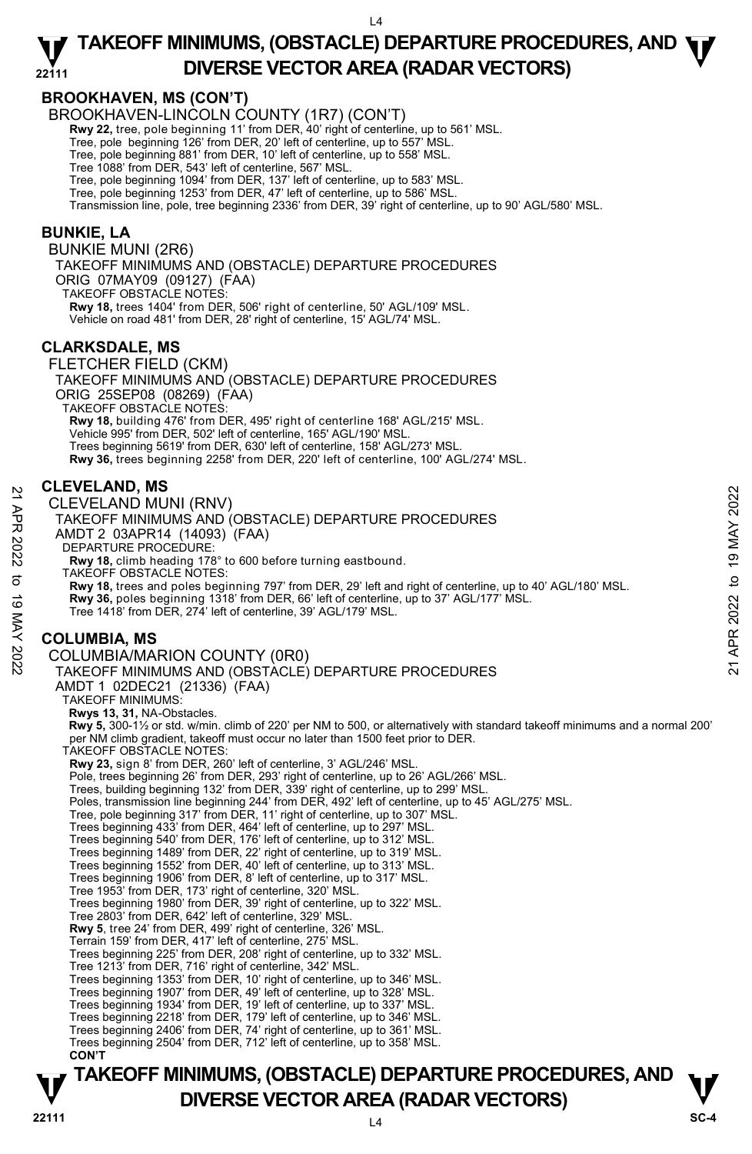## **BROOKHAVEN, MS (CON'T)**

BROOKHAVEN-LINCOLN COUNTY (1R7) (CON'T)

**Rwy 22,** tree, pole beginning 11' from DER, 40' right of centerline, up to 561' MSL.

Tree, pole beginning 126' from DER, 20' left of centerline, up to 557' MSL.

Tree, pole beginning 881' from DER, 10' left of centerline, up to 558' MSL.

Tree 1088' from DER, 543' left of centerline, 567' MSL.

Tree, pole beginning 1094' from DER, 137' left of centerline, up to 583' MSL.

Tree, pole beginning 1253' from DER, 47' left of centerline, up to 586' MSL.

Transmission line, pole, tree beginning 2336' from DER, 39' right of centerline, up to 90' AGL/580' MSL.

## **BUNKIE, LA**

BUNKIE MUNI (2R6) TAKEOFF MINIMUMS AND (OBSTACLE) DEPARTURE PROCEDURES ORIG 07MAY09 (09127) (FAA) TAKEOFF OBSTACLE NOTES: **Rwy 18,** trees 1404' from DER, 506' right of centerline, 50' AGL/109' MSL. Vehicle on road 481' from DER, 28' right of centerline, 15' AGL/74' MSL.

## **CLARKSDALE, MS**

FLETCHER FIELD (CKM) TAKEOFF MINIMUMS AND (OBSTACLE) DEPARTURE PROCEDURES ORIG 25SEP08 (08269) (FAA) TAKEOFF OBSTACLE NOTES: **Rwy 18,** building 476' from DER, 495' right of centerline 168' AGL/215' MSL. Vehicle 995' from DER, 502' left of centerline, 165' AGL/190' MSL. Trees beginning 5619' from DER, 630' left of centerline, 158' AGL/273' MSL. **Rwy 36,** trees beginning 2258' from DER, 220' left of centerline, 100' AGL/274' MSL.

#### **CLEVELAND, MS**

CLEVELAND MUNI (RNV) TAKEOFF MINIMUMS AND (OBSTACLE) DEPARTURE PROCEDURES AMDT 2 03APR14 (14093) (FAA) DEPARTURE PROCEDURE: **Rwy 18,** climb heading 178° to 600 before turning eastbound. TAKEOFF OBSTACLE NOTES: **Rwy 18,** trees and poles beginning 797' from DER, 29' left and right of centerline, up to 40' AGL/180' MSL. **Rwy 36,** poles beginning 1318' from DER, 66' left of centerline, up to 37' AGL/177' MSL.<br>Tree 1418' from DER, 274' left of centerline, 39' AGL/179' MSL. **COLUMBIA, MS**  COLUMBIA/MARION COUNTY (0R0) TAKEOFF MINIMUMS AND (OBSTACLE) DEPARTURE PROCEDURES AMDT 1 02DEC21 (21336) (FAA) TAKEOFF MINIMUMS: **Rwys 13, 31,** NA-Obstacles.  **Rwy 5,** 300-1½ or std. w/min. climb of 220' per NM to 500, or alternatively with standard takeoff minimums and a normal 200' per NM climb gradient, takeoff must occur no later than 1500 feet prior to DER. TAKEOFF OBSTACLE NOTES: **Rwy 23,** sign 8' from DER, 260' left of centerline, 3' AGL/246' MSL. Pole, trees beginning 26' from DER, 293' right of centerline, up to 26' AGL/266' MSL. Trees, building beginning 132' from DER, 339' right of centerline, up to 299' MSL. Poles, transmission line beginning 244' from DER, 492' left of centerline, up to 45' AGL/275' MSL. Tree, pole beginning 317' from DER, 11' right of centerline, up to 307' MSL. Trees beginning 433' from DER, 464' left of centerline, up to 297' MSL. Trees beginning 540' from DER, 176' left of centerline, up to 312' MSL. Trees beginning 1489' from DER, 22' right of centerline, up to 319' MSL. Trees beginning 1552' from DER, 40' left of centerline, up to 313' MSL. Trees beginning 1906' from DER, 8' left of centerline, up to 317' MSL. Tree 1953' from DER, 173' right of centerline, 320' MSL. Trees beginning 1980' from DER, 39' right of centerline, up to 322' MSL. Tree 2803' from DER, 642' left of centerline, 329' MSL. **Rwy 5**, tree 24' from DER, 499' right of centerline, 326' MSL. Terrain 159' from DER, 417' left of centerline, 275' MSL. Trees beginning 225' from DER, 208' right of centerline, up to 332' MSL. Tree 1213' from DER, 716' right of centerline, 342' MSL. Trees beginning 1353' from DER, 10' right of centerline, up to 346' MSL. Trees beginning 1907' from DER, 49' left of centerline, up to 328' MSL. Trees beginning 1934' from DER, 19' left of centerline, up to 337' MSL. Trees beginning 2218' from DER, 179' left of centerline, up to 346' MSL. Trees beginning 2406' from DER, 74' right of centerline, up to 361' MSL. CLEVELAND MUNI (RNV)<br>
21 CLEVELAND MUNI (RNV)<br>
TAKEOFF MINIMUMS AND (OBSTACLE) DEPARTURE PROCEDURES<br>
AMDT 2 03APR14 (14093) (FAA)<br>
DEPARTURE PROCEDURE:<br>
RW 18, tiens heading 178° to 600 before turning eastbound.<br>
TAKEOFF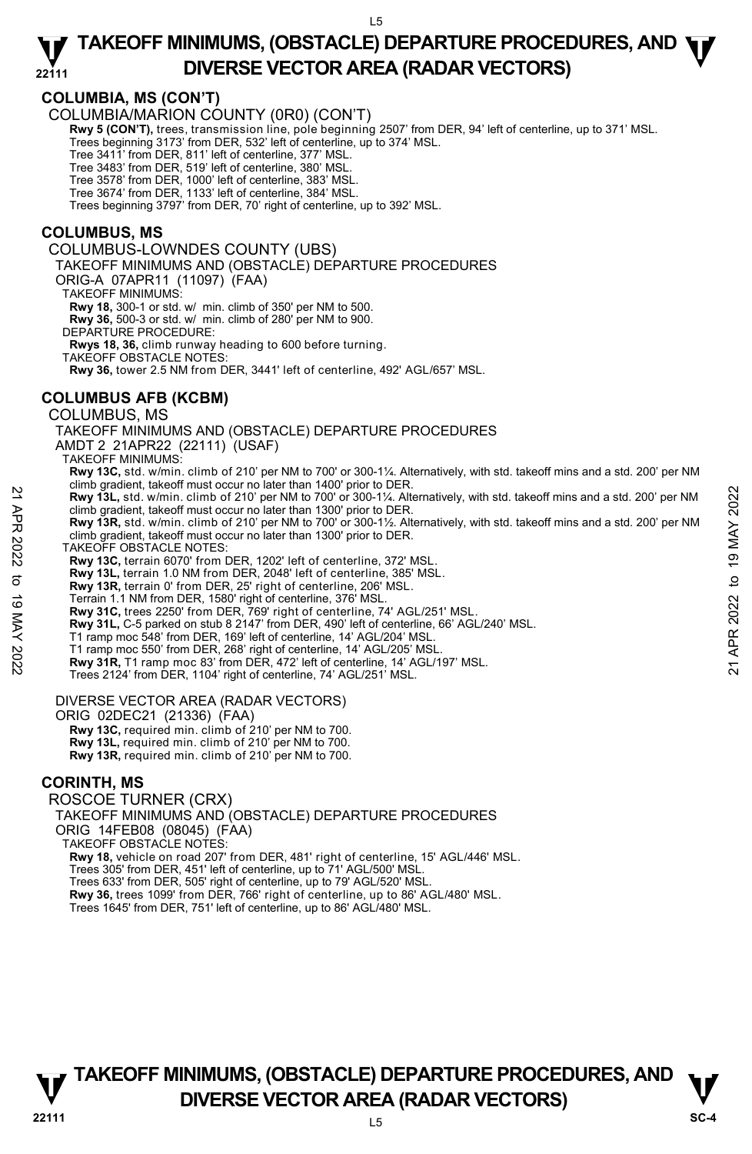## **COLUMBIA, MS (CON'T)**

COLUMBIA/MARION COUNTY (0R0) (CON'T)

**Rwy 5 (CON'T),** trees, transmission line, pole beginning 2507' from DER, 94' left of centerline, up to 371' MSL.

Trees beginning 3173' from DER, 532' left of centerline, up to 374' MSL. Tree 3411' from DER, 811' left of centerline, 377' MSL.

Tree 3483' from DER, 519' left of centerline, 380' MSL.

Tree 3578' from DER, 1000' left of centerline, 383' MSL.

Tree 3674' from DER, 1133' left of centerline, 384' MSL. Trees beginning 3797' from DER, 70' right of centerline, up to 392' MSL.

### **COLUMBUS, MS**

COLUMBUS-LOWNDES COUNTY (UBS) TAKEOFF MINIMUMS AND (OBSTACLE) DEPARTURE PROCEDURES ORIG-A 07APR11 (11097) (FAA) TAKEOFF MINIMUMS: **Rwy 18,** 300-1 or std. w/ min. climb of 350' per NM to 500. **Rwy 36,** 500-3 or std. w/ min. climb of 280' per NM to 900. DEPARTURE PROCEDURE: **Rwys 18, 36,** climb runway heading to 600 before turning. TAKEOFF OBSTACLE NOTES: **Rwy 36,** tower 2.5 NM from DER, 3441' left of centerline, 492' AGL/657' MSL.

## **COLUMBUS AFB (KCBM)**

COLUMBUS, MS

TAKEOFF MINIMUMS AND (OBSTACLE) DEPARTURE PROCEDURES AMDT 2 21APR22 (22111) (USAF)

TAKEOFF MINIMUMS:

- **Rwy 13C,** std. w/min. climb of 210' per NM to 700' or 300-1¼. Alternatively, with std. takeoff mins and a std. 200' per NM climb gradient, takeoff must occur no later than 1400' prior to DER.
- **Rwy 13L,** std. w/min. climb of 210' per NM to 700' or 300-1¼. Alternatively, with std. takeoff mins and a std. 200' per NM climb gradient, takeoff must occur no later than 1300' prior to DER. **Example 2022**<br> **Example 2022** The Unit of 210 per NM to 700' or 300-1%. Atternatively, with std. takeoff mins and a std. 200' per NM<br>
climb gradient, takeoff must occur no later than 1300' prior to DER.<br> **Rwy 13R, std.**
	- **Rwy 13R,** std. w/min. climb of 210' per NM to 700' or 300-1½. Alternatively, with std. takeoff mins and a std. 200' per NM climb gradient, takeoff must occur no later than 1300' prior to DER.
	- TAKEOFF OBSTACLE NOTES:
	- **Rwy 13C,** terrain 6070' from DER, 1202' left of centerline, 372' MSL.
	- **Rwy 13L,** terrain 1.0 NM from DER, 2048' left of centerline, 385' MSL.
	- **Rwy 13R,** terrain 0' from DER, 25' right of centerline, 206' MSL.
	-
	- Terrain 1.1 NM from DER, 1580' right of centerline, 376' MSL. **Rwy 31C,** trees 2250' from DER, 769' right of centerline, 74' AGL/251' MSL.
	- **Rwy 31L,** C-5 parked on stub 8 2147' from DER, 490' left of centerline, 66' AGL/240' MSL.
	- T1 ramp moc 548' from DER, 169' left of centerline, 14' AGL/204' MSL.
	- T1 ramp moc 550' from DER, 268' right of centerline, 14' AGL/205' MSL.
	- **Rwy 31R,** T1 ramp moc 83' from DER, 472' left of centerline, 14' AGL/197' MSL.
	- Trees 2124' from DER, 1104' right of centerline, 74' AGL/251' MSL.

#### DIVERSE VECTOR AREA (RADAR VECTORS)

ORIG 02DEC21 (21336) (FAA)

 **Rwy 13C,** required min. climb of 210' per NM to 700.  **Rwy 13L,** required min. climb of 210' per NM to 700.  **Rwy 13R,** required min. climb of 210' per NM to 700.

## **CORINTH, MS**

ROSCOE TURNER (CRX) TAKEOFF MINIMUMS AND (OBSTACLE) DEPARTURE PROCEDURES ORIG 14FEB08 (08045) (FAA) TAKEOFF OBSTACLE NOTES: **Rwy 18,** vehicle on road 207' from DER, 481' right of centerline, 15' AGL/446' MSL. Trees 305' from DER, 451' left of centerline, up to 71' AGL/500' MSL. Trees 633' from DER, 505' right of centerline, up to 79' AGL/520' MSL. **Rwy 36,** trees 1099' from DER, 766' right of centerline, up to 86' AGL/480' MSL. Trees 1645' from DER, 751' left of centerline, up to 86' AGL/480' MSL.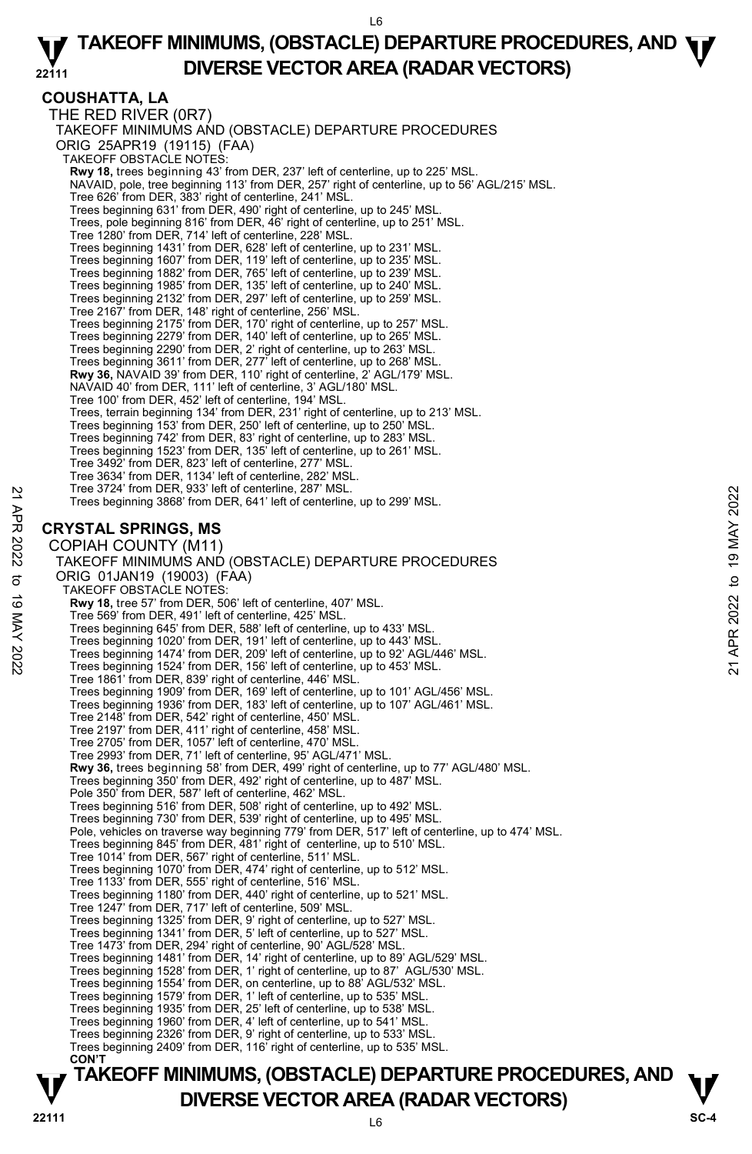## **COUSHATTA, LA**

THE RED RIVER (0R7) TAKEOFF MINIMUMS AND (OBSTACLE) DEPARTURE PROCEDURES ORIG 25APR19 (19115) (FAA) TAKEOFF OBSTACLE NOTES: **Rwy 18,** trees beginning 43' from DER, 237' left of centerline, up to 225' MSL.<br>NAVAID, pole, tree beginning 113' from DER, 257' right of centerline, up to 56' AGL/215' MSL. Tree 626' from DER, 383' right of centerline, 241' MSL. Trees beginning 631' from DER, 490' right of centerline, up to 245' MSL. Trees, pole beginning 816' from DER, 46' right of centerline, up to 251' MSL. Tree 1280' from DER, 714' left of centerline, 228' MSL. Trees beginning 1431' from DER, 628' left of centerline, up to 231' MSL. Trees beginning 1607' from DER, 119' left of centerline, up to 235' MSL. Trees beginning 1882' from DER, 765' left of centerline, up to 239' MSL. Trees beginning 1985' from DER, 135' left of centerline, up to 240' MSL. Trees beginning 2132' from DER, 297' left of centerline, up to 259' MSL. Tree 2167' from DER, 148' right of centerline, 256' MSL. Trees beginning 2175' from DER, 170' right of centerline, up to 257' MSL. Trees beginning 2279' from DER, 140' left of centerline, up to 265' MSL. Trees beginning 2290' from DER, 2' right of centerline, up to 263' MSL. Trees beginning 3611' from DER, 277' left of centerline, up to 268' MSL. **Rwy 36,** NAVAID 39' from DER, 110' right of centerline, 2' AGL/179' MSL. NAVAID 40' from DER, 111' left of centerline, 3' AGL/180' MSL. Tree 100' from DER, 452' left of centerline, 194' MSL. Trees, terrain beginning 134' from DER, 231' right of centerline, up to 213' MSL. Trees beginning 153' from DER, 250' left of centerline, up to 250' MSL. Trees beginning 742' from DER, 83' right of centerline, up to 283' MSL. Trees beginning 1523' from DER, 135' left of centerline, up to 261' MSL. Tree 3492' from DER, 823' left of centerline, 277' MSL. Tree 3634' from DER, 1134' left of centerline, 282' MSL. Tree 3724' from DER, 933' left of centerline, 287' MSL. Trees beginning 3868' from DER, 641' left of centerline, up to 299' MSL. **CRYSTAL SPRINGS, MS**  COPIAH COUNTY (M11) TAKEOFF MINIMUMS AND (OBSTACLE) DEPARTURE PROCEDURES ORIG 01JAN19 (19003) (FAA) TAKEOFF OBSTACLE NOTES: **Rwy 18,** tree 57' from DER, 506' left of centerline, 407' MSL. Tree 569' from DER, 491' left of centerline, 425' MSL. Trees beginning 645' from DER, 588' left of centerline, up to 433' MSL. Trees beginning 1020' from DER, 191' left of centerline, up to 443' MSL. Trees beginning 1474' from DER, 209' left of centerline, up to 92' AGL/446' MSL. Trees beginning 1524' from DER, 156' left of centerline, up to 453' MSL. Tree 1861' from DER, 839' right of centerline, 446' MSL. Trees beginning 1909' from DER, 169' left of centerline, up to 101' AGL/456' MSL. Trees beginning 1936' from DER, 183' left of centerline, up to 107' AGL/461' MSL. Tree 2148' from DER, 542' right of centerline, 450' MSL. Tree 2197' from DER, 411' right of centerline, 458' MSL. Tree 2705' from DER, 1057' left of centerline, 470' MSL. Tree 2993' from DER, 71' left of centerline, 95' AGL/471' MSL. **Rwy 36,** trees beginning 58' from DER, 499' right of centerline, up to 77' AGL/480' MSL. Trees beginning 350' from DER, 492' right of centerline, up to 487' MSL. Pole 350' from DER, 587' left of centerline, 462' MSL. Trees beginning 516' from DER, 508' right of centerline, up to 492' MSL. Trees beginning 730' from DER, 539' right of centerline, up to 495' MSL. Pole, vehicles on traverse way beginning 779' from DER, 517' left of centerline, up to 474' MSL. Trees beginning 845' from DER, 481' right of centerline, up to 510' MSL. Tree 1014' from DER, 567' right of centerline, 511' MSL. Trees beginning 1070' from DER, 474' right of centerline, up to 512' MSL. Tree 1133' from DER, 555' right of centerline, 516' MSL. Trees beginning 1180' from DER, 440' right of centerline, up to 521' MSL. Tree 1247' from DER, 717' left of centerline, 509' MSL. Trees beginning 1325' from DER, 9' right of centerline, up to 527' MSL. Trees beginning 1341' from DER, 5' left of centerline, up to 527' MSL. Tree 1473' from DER, 294' right of centerline, 90' AGL/528' MSL. Trees beginning 1481' from DER, 14' right of centerline, up to 89' AGL/529' MSL. Trees beginning 1528' from DER, 1' right of centerline, up to 87' AGL/530' MSL. Trees beginning 1554' from DER, on centerline, up to 88' AGL/532' MSL. Trees beginning 1579' from DER, 1' left of centerline, up to 535' MSL.<br>Trees beginning 1935' from DER, 25' left of centerline, up to 538' MSL.<br>Trees beginning 1960' from DER, 4' left of centerline, up to 541' MSL. Trees beginning 2326' from DER, 9' right of centerline, up to 533' MSL. Trees beginning 2409' from DER, 116' right of centerline, up to 535' MSL.  **CON'T**  Trees beginning 3868' from DER, 641' left of centerline, up to 299' MSL.<br>
22<br> **CRYSTAL SPRINGS, MS**<br>
COPIAH COUNTY (M11)<br>
TAKEOFF MINIMUMS AND (OBSTACLE) DEPARTURE PROCEDURES<br>
ORIG 01JAN19 (19003) (FAA)<br>
TAKEOFF OBSTACLE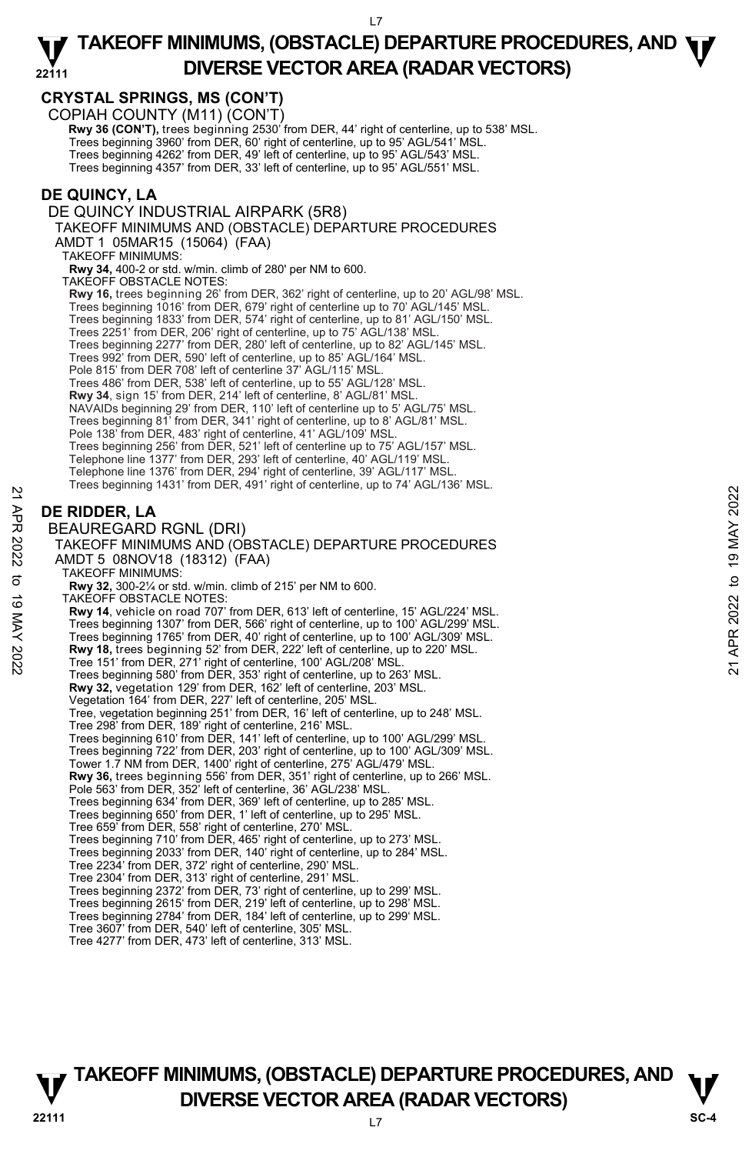## **CRYSTAL SPRINGS, MS (CON'T)**

COPIAH COUNTY (M11) (CON'T)

**Rwy 36 (CON'T),** trees beginning 2530' from DER, 44' right of centerline, up to 538' MSL. Trees beginning 3960' from DER, 60' right of centerline, up to 95' AGL/541' MSL. Trees beginning 4262' from DER, 49' left of centerline, up to 95' AGL/543' MSL. Trees beginning 4357' from DER, 33' left of centerline, up to 95' AGL/551' MSL.

## **DE QUINCY, LA**

DE QUINCY INDUSTRIAL AIRPARK (5R8)

TAKEOFF MINIMUMS AND (OBSTACLE) DEPARTURE PROCEDURES AMDT 1 05MAR15 (15064) (FAA)

TAKEOFF MINIMUMS:

**Rwy 34,** 400-2 or std. w/min. climb of 280' per NM to 600.

TAKEOFF OBSTACLE NOTES:

**Rwy 16,** trees beginning 26' from DER, 362' right of centerline, up to 20' AGL/98' MSL.

Trees beginning 1016' from DER, 679' right of centerline up to 70' AGL/145' MSL. Trees beginning 1833' from DER, 574' right of centerline, up to 81' AGL/150' MSL.

Trees 2251' from DER, 206' right of centerline, up to 75' AGL/138' MSL.

Trees beginning 2277' from DER, 280' left of centerline, up to 82' AGL/145' MSL.

Trees 992' from DER, 590' left of centerline, up to 85' AGL/164' MSL.

Pole 815' from DER 708' left of centerline 37' AGL/115' MSL.

Trees 486' from DER, 538' left of centerline, up to 55' AGL/128' MSL.

**Rwy 34**, sign 15' from DER, 214' left of centerline, 8' AGL/81' MSL.

NAVAIDs beginning 29' from DER, 110' left of centerline up to 5' AGL/75' MSL.

Trees beginning 81' from DER, 341' right of centerline, up to 8' AGL/81' MSL.

Pole 138' from DER, 483' right of centerline, 41' AGL/109' MSL.

Trees beginning 256' from DER, 521' left of centerline up to 75' AGL/157' MSL. Telephone line 1377' from DER, 293' left of centerline, 40' AGL/119' MSL.

Telephone line 1376' from DER, 294' right of centerline, 39' AGL/117' MSL. Trees beginning 1431' from DER, 491' right of centerline, up to 74' AGL/136' MSL.

## **DE RIDDER, LA**

BEAUREGARD RGNL (DRI) TAKEOFF MINIMUMS AND (OBSTACLE) DEPARTURE PROCEDURES AMDT 5 08NOV18 (18312) (FAA) TAKEOFF MINIMUMS: **Rwy 32,** 300-2¼ or std. w/min. climb of 215' per NM to 600. TAKEOFF OBSTACLE NOTES: **Rwy 14**, vehicle on road 707' from DER, 613' left of centerline, 15' AGL/224' MSL. Trees beginning 1307' from DER, 566' right of centerline, up to 100' AGL/299' MSL. Trees beginning 1765' from DER, 40' right of centerline, up to 100' AGL/309' MSL. **Rwy 18,** trees beginning 52' from DER, 222' left of centerline, up to 220' MSL.<br>Tree 151' from DER, 271' right of centerline, 100' AGL/208' MSL. Trees beginning 580' from DER, 353' right of centerline, up to 263' MSL. **Rwy 32,** vegetation 129' from DER, 162' left of centerline, 203' MSL. Vegetation 164' from DER, 227' left of centerline, 205' MSL. Tree, vegetation beginning 251' from DER, 16' left of centerline, up to 248' MSL. Tree 298' from DER, 189' right of centerline, 216' MSL. Trees beginning 610' from DER, 141' left of centerline, up to 100' AGL/299' MSL. Trees beginning 722' from DER, 203' right of centerline, up to 100' AGL/309' MSL. Tower 1.7 NM from DER, 1400' right of centerline, 275' AGL/479' MSL. **Rwy 36,** trees beginning 556' from DER, 351' right of centerline, up to 266' MSL.<br>Pole 563' from DER, 352' left of centerline, 36' AGL/238' MSL. Trees beginning 634' from DER, 369' left of centerline, up to 285' MSL. Trees beginning 650' from DER, 1' left of centerline, up to 295' MSL. Tree 659' from DER, 558' right of centerline, 270' MSL. Trees beginning 710' from DER, 465' right of centerline, up to 273' MSL. Trees beginning 2033' from DER, 140' right of centerline, up to 284' MSL. Tree 2234' from DER, 372' right of centerline, 290' MSL.<br>Tree 2304' from DER, 313' right of centerline, 291' MSL.<br>Trees beginning 2372' from DER, 73' right of centerline, up to 299' MSL. Trees beginning 2615' from DER, 219' left of centerline, up to 298' MSL. 22 These beginning Technomic DRIT (49 May 10 consulting, 49 May 1022 to the 19 MAX 2022<br>
22 TAKEOFF MINIMUMS AND (OBSTACLE) DEPARTURE PROCEDURES<br>
22 TAKEOFF MINIMUMS:<br>
23 TAKEOFF MINIMUMS:<br>
23 TAKEOFF MINIMUMS:<br>
23 TAKEOFF

Trees beginning 2784' from DER, 184' left of centerline, up to 299' MSL. Tree 3607' from DER, 540' left of centerline, 305' MSL.

Tree 4277' from DER, 473' left of centerline, 313' MSL.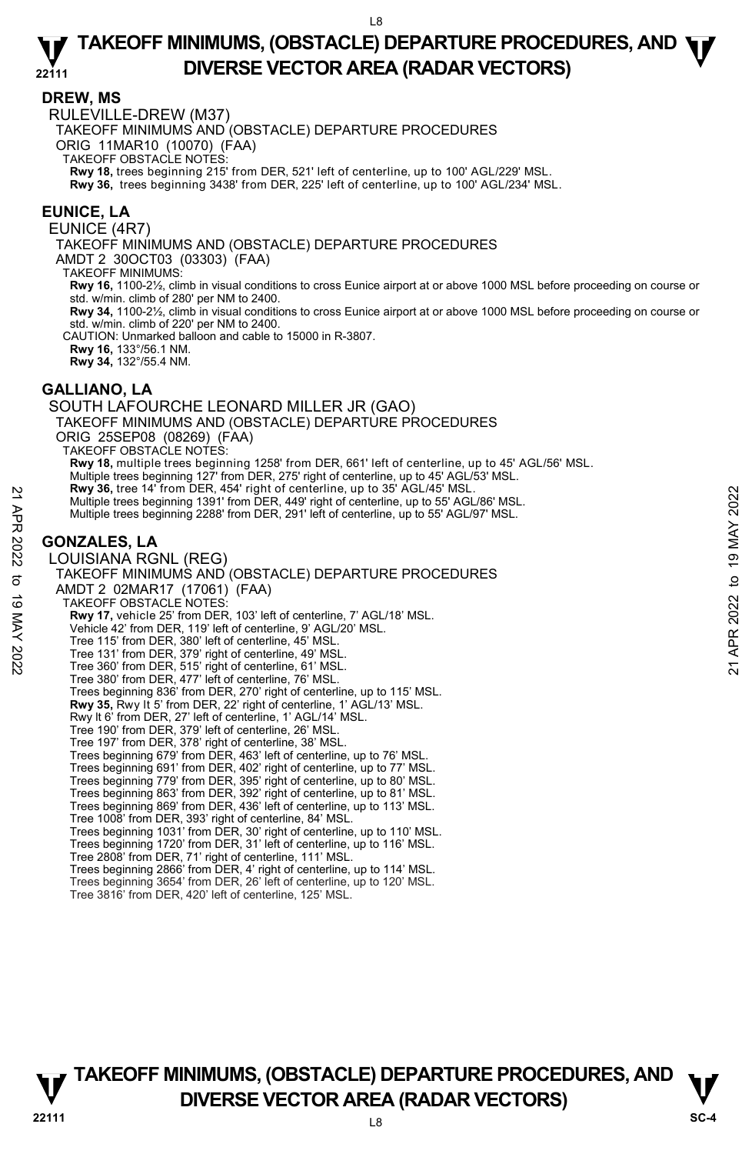#### **DREW, MS**

RULEVILLE-DREW (M37)

TAKEOFF MINIMUMS AND (OBSTACLE) DEPARTURE PROCEDURES

ORIG 11MAR10 (10070) (FAA)

TAKEOFF OBSTACLE NOTES:

**Rwy 18,** trees beginning 215' from DER, 521' left of centerline, up to 100' AGL/229' MSL. **Rwy 36,** trees beginning 3438' from DER, 225' left of centerline, up to 100' AGL/234' MSL.

#### **EUNICE, LA**

EUNICE (4R7)

TAKEOFF MINIMUMS AND (OBSTACLE) DEPARTURE PROCEDURES

AMDT 2 30OCT03 (03303) (FAA)

TAKEOFF MINIMUMS:

**Rwy 16,** 1100-2½, climb in visual conditions to cross Eunice airport at or above 1000 MSL before proceeding on course or std. w/min. climb of 280' per NM to 2400.

**Rwy 34,** 1100-2½, climb in visual conditions to cross Eunice airport at or above 1000 MSL before proceeding on course or std. w/min. climb of 220' per NM to 2400.

CAUTION: Unmarked balloon and cable to 15000 in R-3807.

**Rwy 16,** 133°/56.1 NM. **Rwy 34,** 132°/55.4 NM.

**GALLIANO, LA** 

SOUTH LAFOURCHE LEONARD MILLER JR (GAO) TAKEOFF MINIMUMS AND (OBSTACLE) DEPARTURE PROCEDURES ORIG 25SEP08 (08269) (FAA) TAKEOFF OBSTACLE NOTES: **Rwy 18,** multiple trees beginning 1258' from DER, 661' left of centerline, up to 45' AGL/56' MSL. Multiple trees beginning 127' from DER, 275' right of centerline, up to 45' AGL/53' MSL. **Rwy 36,** tree 14' from DER, 454' right of centerline, up to 35' AGL/45' MSL. Multiple trees beginning 1391' from DER, 449' right of centerline, up to 55' AGL/86' MSL. Multiple trees beginning 2288' from DER, 291' left of centerline, up to 55' AGL/97' MSL. **GONZALES, LA**  LOUISIANA RGNL (REG) TAKEOFF MINIMUMS AND (OBSTACLE) DEPARTURE PROCEDURES AMDT 2 02MAR17 (17061) (FAA) TAKEOFF OBSTACLE NOTES: **Rwy 17,** vehicle 25' from DER, 103' left of centerline, 7' AGL/18' MSL. Vehicle 42' from DER, 119' left of centerline, 9' AGL/20' MSL. Tree 115' from DER, 380' left of centerline, 45' MSL. Tree 131' from DER, 379' right of centerline, 49' MSL. Tree 360' from DER, 515' right of centerline, 61' MSL. Tree 380' from DER, 477' left of centerline, 76' MSL. Trees beginning 836' from DER, 270' right of centerline, up to 115' MSL.<br>**Rwy 35,** Rwy It 5' from DER, 22' right of centerline, 1' AGL/13' MSL. Rwy lt 6' from DER, 27' left of centerline, 1' AGL/14' MSL. Tree 190' from DER, 379' left of centerline, 26' MSL. Tree 197' from DER, 378' right of centerline, 38' MSL. Trees beginning 679' from DER, 463' left of centerline, up to 76' MSL. Trees beginning 691' from DER, 402' right of centerline, up to 77' MSL. 22 MW 36, tree 14 Trom DER, 49 Tight of centerine, up to 55' AGL/86' MSL.<br>
Multiple trees beginning 1391 from DER, 291' left of centerline, up to 55' AGL/86' MSL.<br>
Multiple trees beginning 2288' from DER, 291' left of cen

Trees beginning 779' from DER, 395' right of centerline, up to 80' MSL. Trees beginning 863' from DER, 392' right of centerline, up to 81' MSL.

Trees beginning 869' from DER, 436' left of centerline, up to 113' MSL.

Tree 1008' from DER, 393' right of centerline, 84' MSL.<br>Trees beginning 1031' from DER, 30' right of centerline, up to 110' MSL.<br>Trees beginning 1720' from DER, 31' left of centerline, up to 116' MSL.

Tree 2808' from DER, 71' right of centerline, 111' MSL.

Trees beginning 2866' from DER, 4' right of centerline, up to 114' MSL. Trees beginning 3654' from DER, 26' left of centerline, up to 120' MSL.

Tree 3816' from DER, 420' left of centerline, 125' MSL.

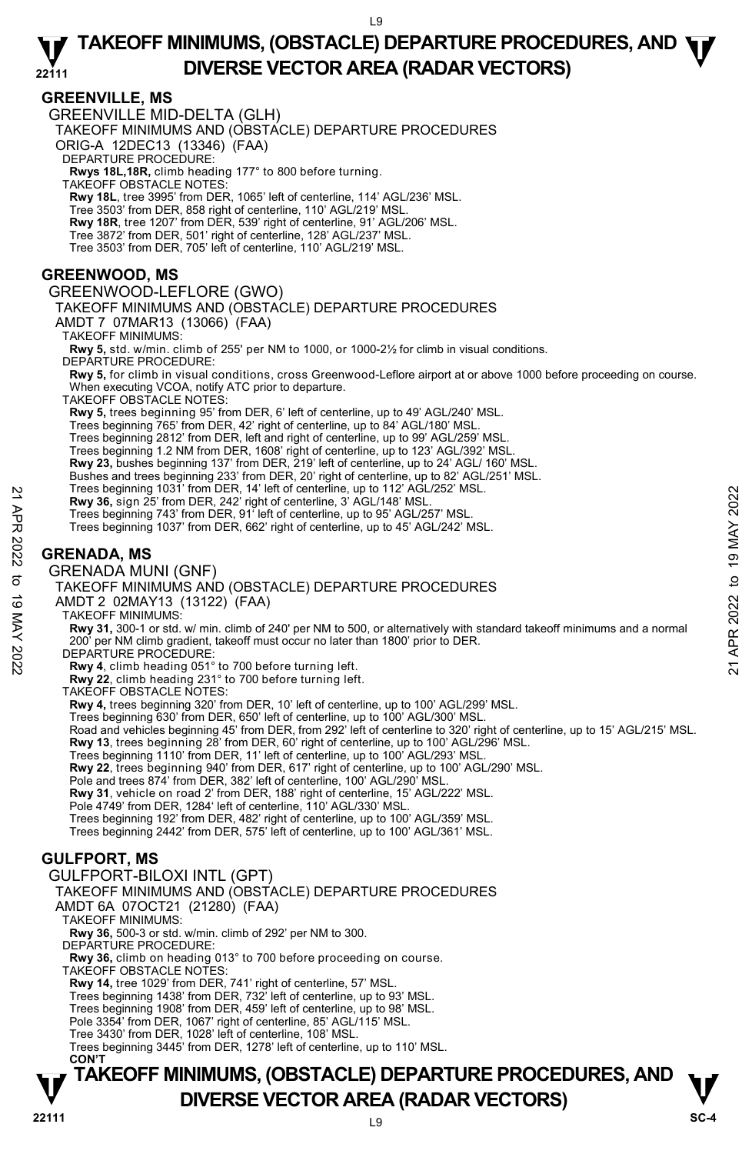## **GREENVILLE, MS**

GREENVILLE MID-DELTA (GLH) TAKEOFF MINIMUMS AND (OBSTACLE) DEPARTURE PROCEDURES ORIG-A 12DEC13 (13346) (FAA) DEPARTURE PROCEDURE **Rwys 18L,18R,** climb heading 177° to 800 before turning. TAKEOFF OBSTACLE NOTES: **Rwy 18L**, tree 3995' from DER, 1065' left of centerline, 114' AGL/236' MSL. Tree 3503' from DER, 858 right of centerline, 110' AGL/219' MSL. **Rwy 18R**, tree 1207' from DER, 539' right of centerline, 91' AGL/206' MSL.<br>Tree 3872' from DER, 501' right of centerline, 128' AGL/237' MSL. Tree 3503' from DER, 705' left of centerline, 110' AGL/219' MSL. **GREENWOOD, MS**  GREENWOOD-LEFLORE (GWO) TAKEOFF MINIMUMS AND (OBSTACLE) DEPARTURE PROCEDURES AMDT 7 07MAR13 (13066) (FAA) TAKEOFF MINIMUMS: **Rwy 5,** std. w/min. climb of 255' per NM to 1000, or 1000-2½ for climb in visual conditions. DEPARTURE PROCEDURE: **Rwy 5,** for climb in visual conditions, cross Greenwood-Leflore airport at or above 1000 before proceeding on course. When executing VCOA, notify ATC prior to departure. TAKEOFF OBSTACLE NOTES: **Rwy 5,** trees beginning 95' from DER, 6' left of centerline, up to 49' AGL/240' MSL. Trees beginning 765' from DER, 42' right of centerline, up to 84' AGL/180' MSL. Trees beginning 2812' from DER, left and right of centerline, up to 99' AGL/259' MSL. Trees beginning 1.2 NM from DER, 1608' right of centerline, up to 123' AGL/392' MSL. **Rwy 23,** bushes beginning 137' from DER, 219' left of centerline, up to 24' AGL/ 160' MSL. Bushes and trees beginning 233' from DER, 20' right of centerline, up to 82' AGL/251' MSL.<br>Trees beginning 1031' from DER, 14' left of centerline, up to 112' AGL/252' MSL. **Rwy 36,** sign 25' from DER, 242' right of centerline, 3' AGL/148' MSL. Trees beginning 743' from DER, 91' left of centerline, up to 95' AGL/257' MSL. Trees beginning 1037' from DER, 662' right of centerline, up to 45' AGL/242' MSL. **GRENADA, MS**  GRENADA MUNI (GNF) TAKEOFF MINIMUMS AND (OBSTACLE) DEPARTURE PROCEDURES AMDT 2 02MAY13 (13122) (FAA) TAKEOFF MINIMUMS: **Rwy 31,** 300-1 or std. w/ min. climb of 240' per NM to 500, or alternatively with standard takeoff minimums and a normal 200' per NM climb gradient, takeoff must occur no later than 1800' prior to DER. DEPARTURE PROCEDURE **Rwy 4**, climb heading 051° to 700 before turning left. **Rwy 22**, climb heading 231° to 700 before turning left. TAKEOFF OBSTACLE NOTES: **Rwy 4,** trees beginning 320' from DER, 10' left of centerline, up to 100' AGL/299' MSL. Trees beginning 630' from DER, 650' left of centerline, up to 100' AGL/300' MSL. Road and vehicles beginning 45' from DER, from 292' left of centerline to 320' right of centerline, up to 15' AGL/215' MSL.<br>**Rwy 13**, trees beginning 28' from DER, 60' right of centerline, up to 100' AGL/296' MSL. Trees beginning 1110' from DER, 11' left of centerline, up to 100' AGL/293' MSL. **Rwy 22**, trees beginning 940' from DER, 617' right of centerline, up to 100' AGL/290' MSL. Pole and trees 874' from DER, 382' left of centerline, 100' AGL/290' MSL. **Rwy 31**, vehicle on road 2' from DER, 188' right of centerline, 15' AGL/222' MSL. Pole 4749' from DER, 1284' left of centerline, 110' AGL/330' MSL. Trees beginning 192' from DER, 482' right of centerline, up to 100' AGL/359' MSL. Trees beginning 2442' from DER, 575' left of centerline, up to 100' AGL/361' MSL. **GULFPORT, MS**  GULFPORT-BILOXI INTL (GPT) TAKEOFF MINIMUMS AND (OBSTACLE) DEPARTURE PROCEDURES AMDT 6A 07OCT21 (21280) (FAA) TAKEOFF MINIMUMS: **Rwy 36,** 500-3 or std. w/min. climb of 292' per NM to 300. DEPARTURE PROCEDURE: **Rwy 36,** climb on heading 013° to 700 before proceeding on course. TAKEOFF OBSTACLE NOTES: **Rwy 14,** tree 1029' from DER, 741' right of centerline, 57' MSL. Trees beginning 1438' from DER, 732' left of centerline, up to 93' MSL. Trees beginning 1908' from DER, 459' left of centerline, up to 98' MSL. Pole 3354' from DER, 1067' right of centerline, 85' AGL/115' MSL. Tree 3430' from DER, 1028' left of centerline, 108' MSL. Trees beginning 3445' from DER, 1278' left of centerline, up to 110' MSL. Press beginning 1031 Trom DER, 14" elt of centerline, up to 1922 AGL/252' MSL.<br>
Trees beginning 743' from DER, 2022 right of centerline, 3' AGL/148' MSL.<br>
Trees beginning 743' from DER, 662' right of centerline, up to 45'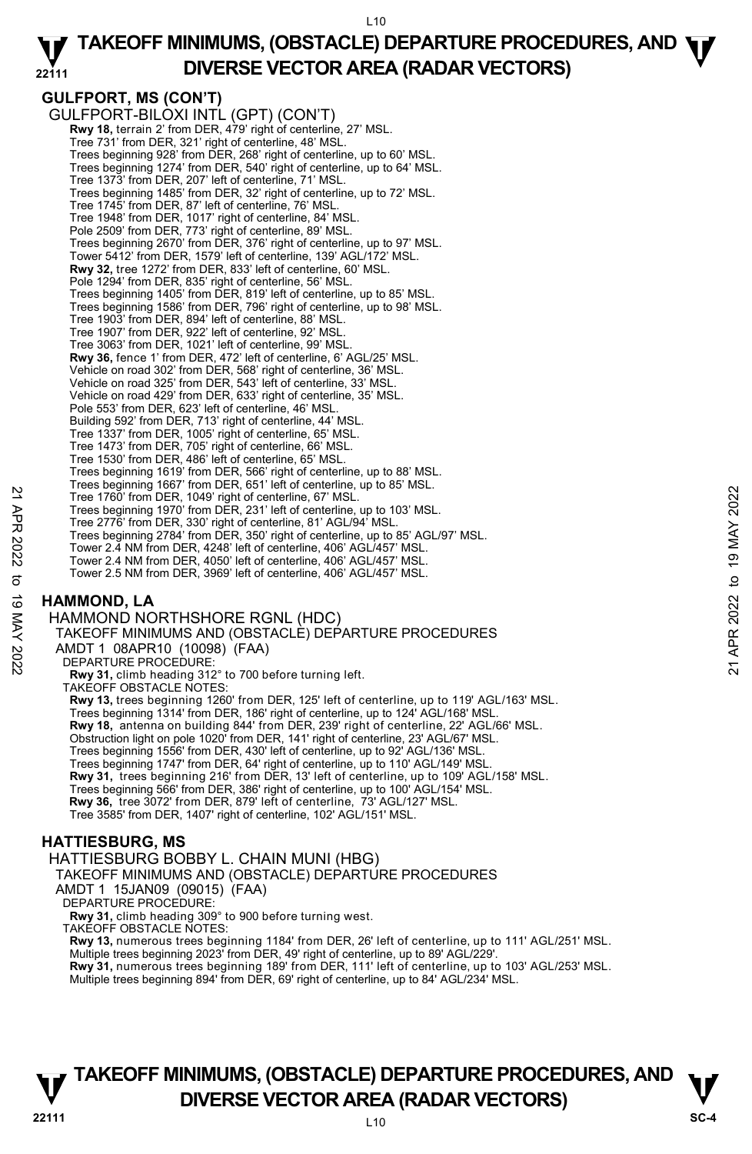# **GULFPORT, MS (CON'T)**

GULFPORT-BILOXI INTL (GPT) (CON'T) **Rwy 18,** terrain 2' from DER, 479' right of centerline, 27' MSL. Tree 731' from DER, 321' right of centerline, 48' MSL. Trees beginning 928' from DER, 268' right of centerline, up to 60' MSL. Trees beginning 1274' from DER, 540' right of centerline, up to 64' MSL. Tree 1373' from DER, 207' left of centerline, 71' MSL. Trees beginning 1485' from DER, 32' right of centerline, up to 72' MSL. Tree 1745' from DER, 87' left of centerline, 76' MSL. Tree 1948' from DER, 1017' right of centerline, 84' MSL. Pole 2509' from DER, 773' right of centerline, 89' MSL. Trees beginning 2670' from DER, 376' right of centerline, up to 97' MSL. Tower 5412' from DER, 1579' left of centerline, 139' AGL/172' MSL. **Rwy 32,** tree 1272' from DER, 833' left of centerline, 60' MSL. Pole 1294' from DER, 835' right of centerline, 56' MSL. Trees beginning 1405' from DER, 819' left of centerline, up to 85' MSL. Trees beginning 1586' from DER, 796' right of centerline, up to 98' MSL. Tree 1903' from DER, 894' left of centerline, 88' MSL. Tree 1907' from DER, 922' left of centerline, 92' MSL. Tree 3063' from DER, 1021' left of centerline, 99' MSL. **Rwy 36,** fence 1' from DER, 472' left of centerline, 6' AGL/25' MSL. Vehicle on road 302' from DER, 568' right of centerline, 36' MSL. Vehicle on road 325' from DER, 543' left of centerline, 33' MSL. Vehicle on road 429' from DER, 633' right of centerline, 35' MSL. Pole 553' from DER, 623' left of centerline, 46' MSL. Building 592' from DER, 713' right of centerline, 44' MSL. Tree 1337' from DER, 1005' right of centerline, 65' MSL. Tree 1473' from DER, 705' right of centerline, 66' MSL. Tree 1530' from DER, 486' left of centerline, 65' MSL. Trees beginning 1619' from DER, 566' right of centerline, up to 88' MSL. Trees beginning 1667' from DER, 651' left of centerline, up to 85' MSL. Tree 1760' from DER, 1049' right of centerline, 67' MSL. Trees beginning 1970' from DER, 231' left of centerline, up to 103' MSL. Tree 2776' from DER, 330' right of centerline, 81' AGL/94' MSL. Trees beginning 2784' from DER, 350' right of centerline, up to 85' AGL/97' MSL. Tower 2.4 NM from DER, 4248' left of centerline, 406' AGL/457' MSL. Tower 2.4 NM from DER, 4050' left of centerline, 406' AGL/457' MSL. Tower 2.5 NM from DER, 3969' left of centerline, 406' AGL/457' MSL. Tree 1760 from DER, 1049 right of centerline, 67 MSL.<br>
Tree 1800 from DER, 1049 right of centerline, 67 MSL.<br>
Tree 2776 from DER, 330 right of centerline, 81 AGL/94 MSL.<br>
Tree 2776 from DER, 330 right of centerline, 40 MSL

## **HAMMOND, LA**

HAMMOND NORTHSHORE RGNL (HDC)

TAKEOFF MINIMUMS AND (OBSTACLE) DEPARTURE PROCEDURES

AMDT 1 08APR10 (10098) (FAA)

DEPARTURE PROCEDURE:

**Rwy 31,** climb heading 312° to 700 before turning left.

TAKEOFF OBSTACLE NOTES:

**Rwy 13,** trees beginning 1260' from DER, 125' left of centerline, up to 119' AGL/163' MSL.

Trees beginning 1314' from DER, 186' right of centerline, up to 124' AGL/168' MSL.

**Rwy 18,** antenna on building 844' from DER, 239' right of centerline, 22' AGL/66' MSL.

Obstruction light on pole 1020' from DER, 141' right of centerline, 23' AGL/67' MSL. Trees beginning 1556' from DER, 430' left of centerline, up to 92' AGL/136' MSL.

Trees beginning 1747' from DER, 64' right of centerline, up to 110' AGL/149' MSL.

**Rwy 31,** trees beginning 216' from DER, 13' left of centerline, up to 109' AGL/158' MSL.<br>Trees beginning 566' from DER, 386' right of centerline, up to 100' AGL/154' MSL.

 **Rwy 36,** tree 3072' from DER, 879' left of centerline, 73' AGL/127' MSL.

Tree 3585' from DER, 1407' right of centerline, 102' AGL/151' MSL.

## **HATTIESBURG, MS**

HATTIESBURG BOBBY L. CHAIN MUNI (HBG)

TAKEOFF MINIMUMS AND (OBSTACLE) DEPARTURE PROCEDURES

AMDT 1 15JAN09 (09015) (FAA)

DEPARTURE PROCEDURE:

**Rwy 31,** climb heading 309° to 900 before turning west. TAKEOFF OBSTACLE NOTES:

**Rwy 13,** numerous trees beginning 1184' from DER, 26' left of centerline, up to 111' AGL/251' MSL.

Multiple trees beginning 2023' from DER, 49' right of centerline, up to 89' AGL/229'.<br>**Rwy 31,** numerous trees beginning 189' from DER, 111' left of centerline, up to 103' AGL/253' MSL.

Multiple trees beginning 894' from DER, 69' right of centerline, up to 84' AGL/234' MSL.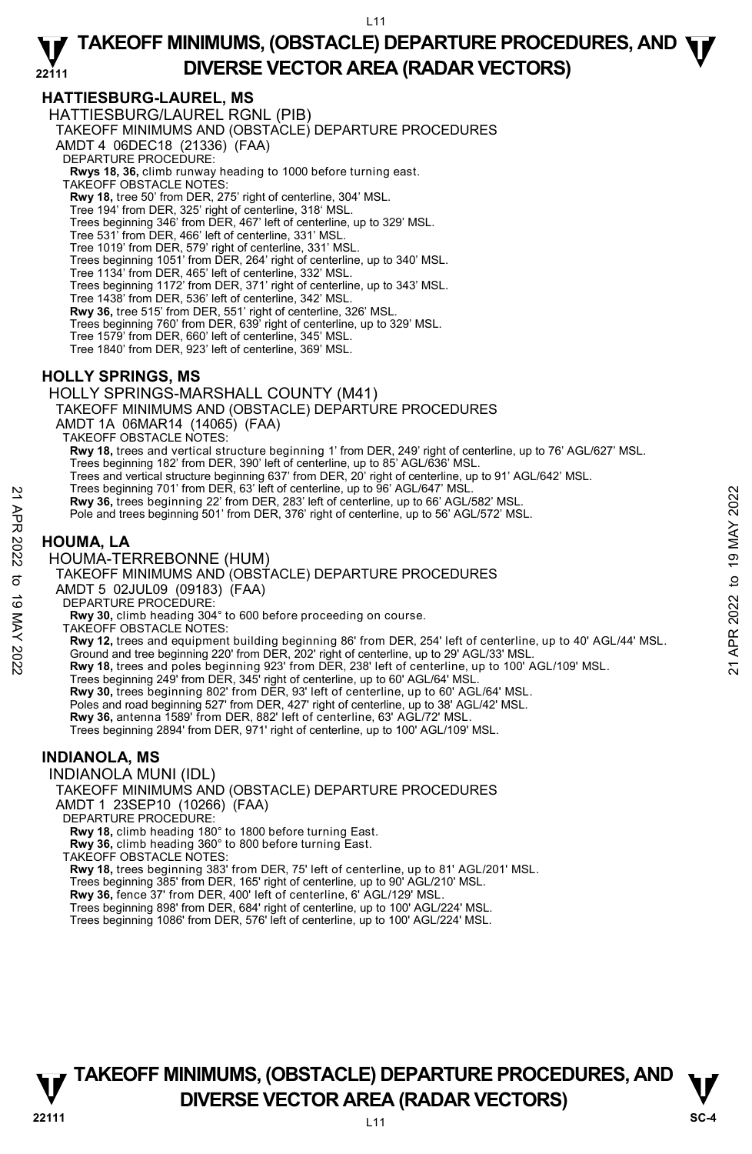## **HATTIESBURG-LAUREL, MS**

HATTIESBURG/LAUREL RGNL (PIB)

TAKEOFF MINIMUMS AND (OBSTACLE) DEPARTURE PROCEDURES

AMDT 4 06DEC18 (21336) (FAA)

DEPARTURE PROCEDURE:

**Rwys 18, 36,** climb runway heading to 1000 before turning east. TAKEOFF OBSTACLE NOTES:

**Rwy 18,** tree 50' from DER, 275' right of centerline, 304' MSL.

Tree 194' from DER, 325' right of centerline, 318' MSL.

Trees beginning 346' from DER, 467' left of centerline, up to 329' MSL. Tree 531' from DER, 466' left of centerline, 331' MSL.

Tree 1019' from DER, 579' right of centerline, 331' MSL.

Trees beginning 1051' from DER, 264' right of centerline, up to 340' MSL.

Tree 1134' from DER, 465' left of centerline, 332' MSL.

Trees beginning 1172' from DER, 371' right of centerline, up to 343' MSL.

Tree 1438' from DER, 536' left of centerline, 342' MSL.

**Rwy 36,** tree 515' from DER, 551' right of centerline, 326' MSL.

Trees beginning 760' from DER, 639' right of centerline, up to 329' MSL.

Tree 1579' from DER, 660' left of centerline, 345' MSL.

Tree 1840' from DER, 923' left of centerline, 369' MSL.

## **HOLLY SPRINGS, MS**

HOLLY SPRINGS-MARSHALL COUNTY (M41) TAKEOFF MINIMUMS AND (OBSTACLE) DEPARTURE PROCEDURES AMDT 1A 06MAR14 (14065) (FAA) TAKEOFF OBSTACLE NOTES: **Rwy 18,** trees and vertical structure beginning 1' from DER, 249' right of centerline, up to 76' AGL/627' MSL. Trees beginning 182' from DER, 390' left of centerline, up to 85' AGL/636' MSL. Trees and vertical structure beginning 637' from DER, 20' right of centerline, up to 91' AGL/642' MSL. Trees beginning 701' from DER, 63' left of centerline, up to 96' AGL/647' MSL. **Rwy 36,** trees beginning 22' from DER, 283' left of centerline, up to 66' AGL/582' MSL. Pole and trees beginning 501' from DER, 376' right of centerline, up to 56' AGL/572' MSL. Trees beginning 22' from DER, 26' left of centerline, up to 66' AGL/582' MSL.<br>
Rwy 36, trees beginning 501' from DER, 376' right of centerline, up to 66' AGL/582' MSL.<br>
Pole and trees beginning 501' from DER, 376' right of

## **HOUMA, LA**

HOUMA-TERREBONNE (HUM)

TAKEOFF MINIMUMS AND (OBSTACLE) DEPARTURE PROCEDURES

AMDT 5 02JUL09 (09183) (FAA)

DEPARTURE PROCEDURE:

**Rwy 30,** climb heading 304° to 600 before proceeding on course.

TAKEOFF OBSTACLE NOTES:

**Rwy 12,** trees and equipment building beginning 86' from DER, 254' left of centerline, up to 40' AGL/44' MSL.

Trees beginning 249' from DER, 345' right of centerline, up to 60' AGL/64' MSL.

**Rwy 30,** trees beginning 802' from DER, 93' left of centerline, up to 60' AGL/64' MSL.<br>Poles and road beginning 527' from DER, 427' right of centerline, up to 38' AGL/42' MSL.

**Rwy 36,** antenna 1589' from DER, 882' left of centerline, 63' AGL/72' MSL.

Trees beginning 2894' from DER, 971' right of centerline, up to 100' AGL/109' MSL.

## **INDIANOLA, MS**

INDIANOLA MUNI (IDL)

TAKEOFF MINIMUMS AND (OBSTACLE) DEPARTURE PROCEDURES AMDT 1 23SEP10 (10266) (FAA)

DEPARTURE PROCEDURE:

**Rwy 18,** climb heading 180° to 1800 before turning East. **Rwy 36,** climb heading 360° to 800 before turning East.

TAKEOFF OBSTACLE NOTES:

**Rwy 18,** trees beginning 383' from DER, 75' left of centerline, up to 81' AGL/201' MSL.<br>Trees beginning 385' from DER, 165' right of centerline, up to 90' AGL/210' MSL.

**Rwy 36,** fence 37' from DER, 400' left of centerline, 6' AGL/129' MSL.

Trees beginning 898' from DER, 684' right of centerline, up to 100' AGL/224' MSL. Trees beginning 1086' from DER, 576' left of centerline, up to 100' AGL/224' MSL.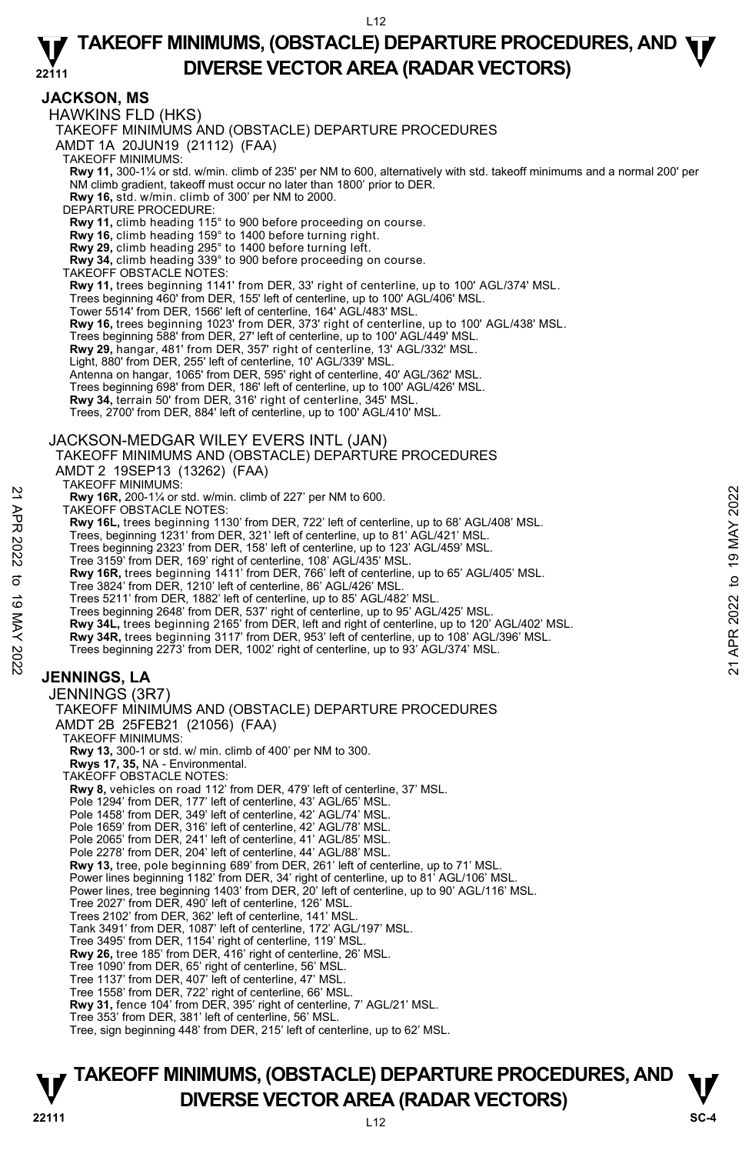## **JACKSON, MS**

HAWKINS FLD (HKS)

TAKEOFF MINIMUMS AND (OBSTACLE) DEPARTURE PROCEDURES

AMDT 1A 20JUN19 (21112) (FAA)

TAKEOFF MINIMUMS:

**Rwy 11,** 300-1¼ or std. w/min. climb of 235' per NM to 600, alternatively with std. takeoff minimums and a normal 200' per NM climb gradient, takeoff must occur no later than 1800' prior to DER. **Rwy 16,** std. w/min. climb of 300' per NM to 2000.

DEPARTURE PROCEDURE:

**Rwy 11,** climb heading 115° to 900 before proceeding on course. **Rwy 16,** climb heading 159° to 1400 before turning right.

- 
- **Rwy 29,** climb heading 295° to 1400 before turning left.

**Rwy 34,** climb heading 339° to 900 before proceeding on course. TAKEOFF OBSTACLE NOTES:

**Rwy 11,** trees beginning 1141' from DER, 33' right of centerline, up to 100' AGL/374' MSL.

Trees beginning 460' from DER, 155' left of centerline, up to 100' AGL/406' MSL.

Tower 5514' from DER, 1566' left of centerline, 164' AGL/483' MSL.

**Rwy 16,** trees beginning 1023' from DER, 373' right of centerline, up to 100' AGL/438' MSL.

Trees beginning 588' from DER, 27' left of centerline, up to 100' AGL/449' MSL.

**Rwy 29,** hangar, 481' from DER, 357' right of centerline, 13' AGL/332' MSL.

Light, 880' from DER, 255' left of centerline, 10' AGL/339' MSL.

Antenna on hangar, 1065' from DER, 595' right of centerline, 40' AGL/362' MSL.

Trees beginning 698' from DER, 186' left of centerline, up to 100' AGL/426' MSL.

**Rwy 34,** terrain 50' from DER, 316' right of centerline, 345' MSL.

Trees, 2700' from DER, 884' left of centerline, up to 100' AGL/410' MSL.

## JACKSON-MEDGAR WILEY EVERS INTL (JAN) TAKEOFF MINIMUMS AND (OBSTACLE) DEPARTURE PROCEDURES

AMDT 2 19SEP13 (13262) (FAA) TAKEOFF MINIMUMS:

**Rwy 16R,** 200-1¼ or std. w/min. climb of 227' per NM to 600.

TAKEOFF OBSTACLE NOTES:

**Rwy 16L,** trees beginning 1130' from DER, 722' left of centerline, up to 68' AGL/408' MSL.<br>Trees, beginning 1231' from DER, 321' left of centerline, up to 81' AGL/421' MSL.

Trees beginning 2323' from DER, 158' left of centerline, up to 123' AGL/459' MSL.

Tree 3159' from DER, 169' right of centerline, 108' AGL/435' MSL. **Rwy 16R,** trees beginning 1411' from DER, 766' left of centerline, up to 65' AGL/405' MSL.

Tree 3824' from DER, 1210' left of centerline, 86' AGL/426' MSL.

Trees 5211' from DER, 1882' left of centerline, up to 85' AGL/482' MSL.

Trees beginning 2648' from DER, 537' right of centerline, up to 95' AGL/425' MSL.

**Rwy 34L,** trees beginning 2165' from DER, left and right of centerline, up to 120' AGL/402' MSL. **Rwy 34R,** trees beginning 3117' from DER, 953' left of centerline, up to 108' AGL/396' MSL.

**EXAMPLE 2022** for the state of CBSTACLE NOTES.<br> **EXAMPLE 200-1/4 or std. w/min.** climb of 227' per NM to 600.<br> **EXAMPLE 200-1/4 or std. w/min.** climb of 227' left of centerline, up to 88' AGL/408' MSL.<br> **Trees beginning** 

Trees beginning 2273' from DER, 1002' right of centerline, up to 93' AGL/374' MSL.

## **JENNINGS, LA**

JENNINGS (3R7) TAKEOFF MINIMUMS AND (OBSTACLE) DEPARTURE PROCEDURES AMDT 2B 25FEB21 (21056) (FAA) TAKEOFF MINIMUMS: **Rwy 13,** 300-1 or std. w/ min. climb of 400' per NM to 300.  **Rwys 17, 35,** NA - Environmental. TAKEOFF OBSTACLE NOTES: **Rwy 8,** vehicles on road 112' from DER, 479' left of centerline, 37' MSL. Pole 1294' from DER, 177' left of centerline, 43' AGL/65' MSL. Pole 1458' from DER, 349' left of centerline, 42' AGL/74' MSL. Pole 1659' from DER, 316' left of centerline, 42' AGL/78' MSL. Pole 2065' from DER, 241' left of centerline, 41' AGL/85' MSL. Pole 2278' from DER, 204' left of centerline, 44' AGL/88' MSL. **Rwy 13,** tree, pole beginning 689' from DER, 261' left of centerline, up to 71' MSL.<br>Power lines beginning 1182' from DER, 34' right of centerline, up to 81' AGL/106' MSL. Power lines, tree beginning 1403' from DER, 20' left of centerline, up to 90' AGL/116' MSL. Tree 2027' from DER, 490' left of centerline, 126' MSL. Trees 2102' from DER, 362' left of centerline, 141' MSL. Tank 3491' from DER, 1087' left of centerline, 172' AGL/197' MSL. Tree 3495' from DER, 1154' right of centerline, 119' MSL. **Rwy 26,** tree 185' from DER, 416' right of centerline, 26' MSL. Tree 1090' from DER, 65' right of centerline, 56' MSL. Tree 1137' from DER, 407' left of centerline, 47' MSL. Tree 1558' from DER, 722' right of centerline, 66' MSL. **Rwy 31,** fence 104' from DER, 395' right of centerline, 7' AGL/21' MSL. Tree 353' from DER, 381' left of centerline, 56' MSL.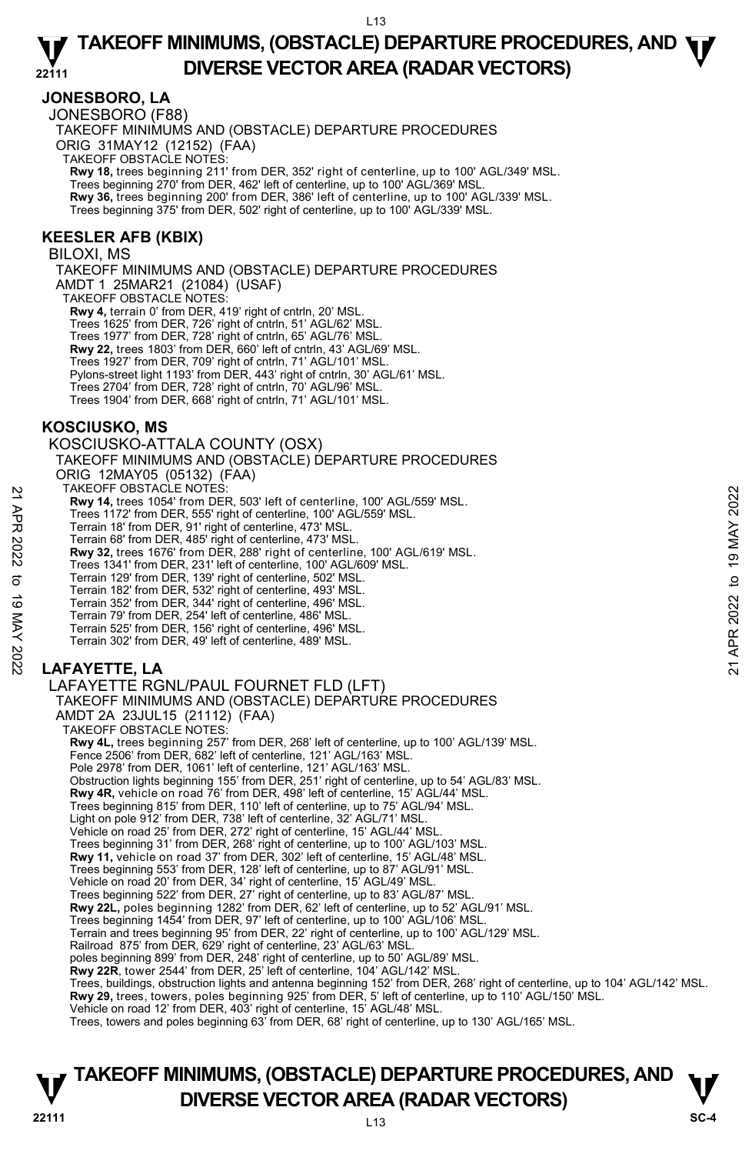## **JONESBORO, LA**

JONESBORO (F88) TAKEOFF MINIMUMS AND (OBSTACLE) DEPARTURE PROCEDURES ORIG 31MAY12 (12152) (FAA) TAKEOFF OBSTACLE NOTES: **Rwy 18,** trees beginning 211' from DER, 352' right of centerline, up to 100' AGL/349' MSL. Trees beginning 270' from DER, 462' left of centerline, up to 100' AGL/369' MSL. **Rwy 36,** trees beginning 200' from DER, 386' left of centerline, up to 100' AGL/339' MSL. Trees beginning 375' from DER, 502' right of centerline, up to 100' AGL/339' MSL.

### **KEESLER AFB (KBIX)**

BILOXI, MS

TAKEOFF MINIMUMS AND (OBSTACLE) DEPARTURE PROCEDURES AMDT 1 25MAR21 (21084) (USAF) TAKEOFF OBSTACLE NOTES: **Rwy 4,** terrain 0' from DER, 419' right of cntrln, 20' MSL. Trees 1625' from DER, 726' right of cntrln, 51' AGL/62' MSL. Trees 1977' from DER, 728' right of cntrln, 65' AGL/76' MSL. **Rwy 22,** trees 1803' from DER, 660' left of cntrln, 43' AGL/69' MSL. Trees 1927' from DER, 709' right of cntrln, 71' AGL/101' MSL. Pylons-street light 1193' from DER, 443' right of cntrln, 30' AGL/61' MSL. Trees 2704' from DER, 728' right of cntrln, 70' AGL/96' MSL. Trees 1904' from DER, 668' right of cntrln, 71' AGL/101' MSL.

## **KOSCIUSKO, MS**

KOSCIUSKO-ATTALA COUNTY (OSX) TAKEOFF MINIMUMS AND (OBSTACLE) DEPARTURE PROCEDURES ORIG 12MAY05 (05132) (FAA) TAKEOFF OBSTACLE NOTES: **Rwy 14,** trees 1054' from DER, 503' left of centerline, 100' AGL/559' MSL. Trees 1172' from DER, 555' right of centerline, 100' AGL/559' MSL. Terrain 18' from DER, 91' right of centerline, 473' MSL. Terrain 68' from DER, 485' right of centerline, 473' MSL. **Rwy 32,** trees 1676' from DER, 288' right of centerline, 100' AGL/619' MSL. Trees 1341' from DER, 231' left of centerline, 100' AGL/609' MSL. Terrain 129' from DER, 139' right of centerline, 502' MSL. Terrain 182' from DER, 532' right of centerline, 493' MSL. Terrain 352' from DER, 344' right of centerline, 496' MSL. Terrain 79' from DER, 254' left of centerline, 486' MSL. Terrain 525' from DER, 156' right of centerline, 496' MSL. Terrain 302' from DER, 49' left of centerline, 489' MSL. LAFAYETTE RGNL/PAUL FOURNET FLD (LFT) EXECT-USS IACLE NOTES:<br>
These 1054' from DER, 503' left of centerline, 100' AGL/559' MSL.<br>
Trenain 18' from DER, 91' right of centerline, 400' AGL/559' MSL.<br>
Terrain 68' from DER, 91' right of centerline, 473' MSL.<br>
Terra

## **LAFAYETTE, LA**

TAKEOFF MINIMUMS AND (OBSTACLE) DEPARTURE PROCEDURES AMDT 2A 23JUL15 (21112) (FAA) TAKEOFF OBSTACLE NOTES: **Rwy 4L,** trees beginning 257' from DER, 268' left of centerline, up to 100' AGL/139' MSL. Fence 2506' from DER, 682' left of centerline, 121' AGL/163' MSL. Pole 2978' from DER, 1061' left of centerline, 121' AGL/163' MSL. Obstruction lights beginning 155' from DER, 251' right of centerline, up to 54' AGL/83' MSL.<br>**Rwy 4R,** vehicle on road 76' from DER, 498' left of centerline, 15' AGL/44' MSL. Trees beginning 815' from DER, 110' left of centerline, up to 75' AGL/94' MSL. Light on pole 912' from DER, 738' left of centerline, 32' AGL/71' MSL Vehicle on road 25' from DER, 272' right of centerline, 15' AGL/44' MSL. Trees beginning 31' from DER, 268' right of centerline, up to 100' AGL/103' MSL. **Rwy 11,** vehicle on road 37' from DER, 302' left of centerline, 15' AGL/48' MSL. Trees beginning 553' from DER, 128' left of centerline, up to 87' AGL/91' MSL. Vehicle on road 20' from DER, 34' right of centerline, 15' AGL/49' MSL. Trees beginning 522' from DER, 27' right of centerline, up to 83' AGL/87' MSL.

**Rwy 22L,** poles beginning 1282' from DER, 62' left of centerline, up to 52' AGL/91' MSL.<br>Trees beginning 1454' from DER, 97' left of centerline, up to 100' AGL/106' MSL.

Terrain and trees beginning 95' from DER, 22' right of centerline, up to 100' AGL/129' MSL.

Railroad 875' from DER, 629' right of centerline, 23' AGL/63' MSL. poles beginning 899' from DER, 248' right of centerline, up to 50' AGL/89' MSL.

**Rwy 22R**, tower 2544' from DER, 25' left of centerline, 104' AGL/142' MSL.

Trees, buildings, obstruction lights and antenna beginning 152' from DER, 268' right of centerline, up to 104' AGL/142' MSL. **Rwy 29,** trees, towers, poles beginning 925' from DER, 5' left of centerline, up to 110' AGL/150' MSL.<br>Vehicle on road 12' from DER, 403' right of centerline, 15' AGL/48' MSL.

Trees, towers and poles beginning 63' from DER, 68' right of centerline, up to 130' AGL/165' MSL.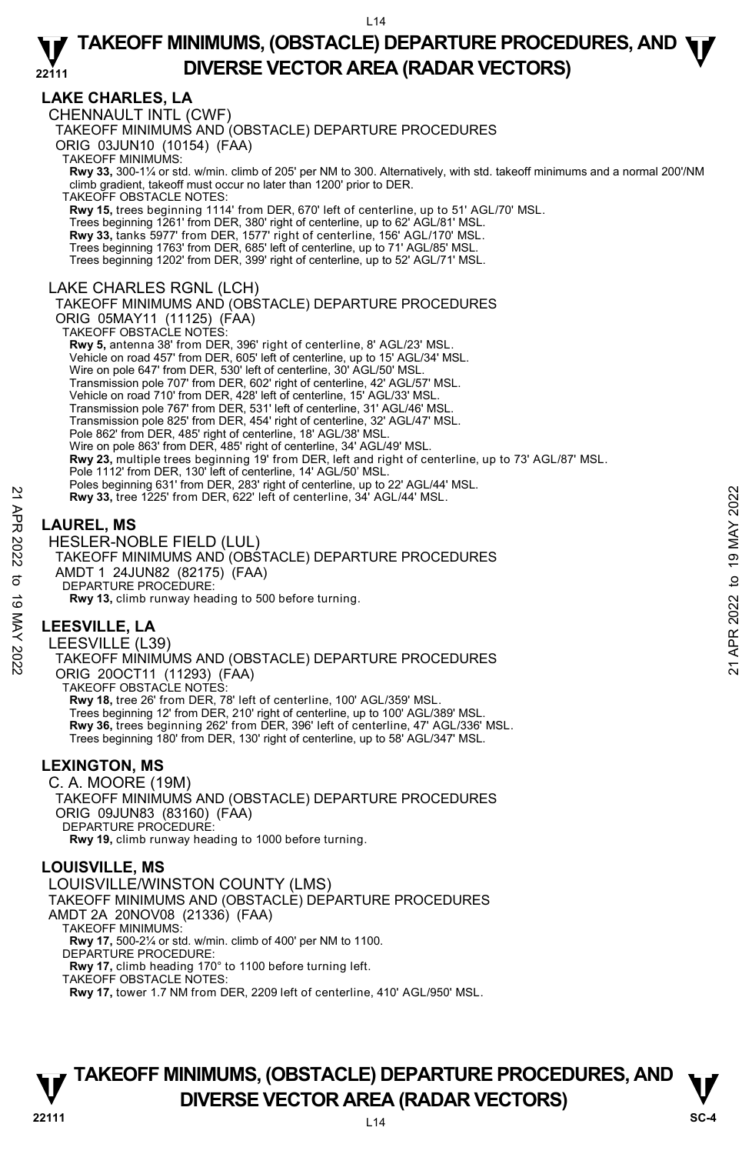## **LAKE CHARLES, LA**

CHENNAULT INTL (CWF) TAKEOFF MINIMUMS AND (OBSTACLE) DEPARTURE PROCEDURES ORIG 03JUN10 (10154) (FAA) TAKEOFF MINIMUMS: **Rwy 33,** 300-1¼ or std. w/min. climb of 205' per NM to 300. Alternatively, with std. takeoff minimums and a normal 200'/NM climb gradient, takeoff must occur no later than 1200' prior to DER. TAKEOFF OBSTACLE NOTES: **Rwy 15,** trees beginning 1114' from DER, 670' left of centerline, up to 51' AGL/70' MSL. Trees beginning 1261' from DER, 380' right of centerline, up to 62' AGL/81' MSL. **Rwy 33,** tanks 5977' from DER, 1577' right of centerline, 156' AGL/170' MSL. Trees beginning 1763' from DER, 685' left of centerline, up to 71' AGL/85' MSL. Trees beginning 1202' from DER, 399' right of centerline, up to 52' AGL/71' MSL. LAKE CHARLES RGNL (LCH) TAKEOFF MINIMUMS AND (OBSTACLE) DEPARTURE PROCEDURES ORIG 05MAY11 (11125) (FAA) TAKEOFF OBSTACLE NOTES: **Rwy 5,** antenna 38' from DER, 396' right of centerline, 8' AGL/23' MSL. Vehicle on road 457' from DER, 605' left of centerline, up to 15' AGL/34' MSL. Wire on pole 647' from DER, 530' left of centerline, 30' AGL/50' MSL. Transmission pole 707' from DER, 602' right of centerline, 42' AGL/57' MSL. Vehicle on road 710' from DER, 428' left of centerline, 15' AGL/33' MSL. Transmission pole 767' from DER, 531' left of centerline, 31' AGL/46' MSL. Transmission pole 825' from DER, 454' right of centerline, 32' AGL/47' MSL. Pole 862' from DER, 485' right of centerline, 18' AGL/38' MSL. Wire on pole 863' from DER, 485' right of centerline, 34' AGL/49' MSL. **Rwy 23,** multiple trees beginning 19' from DER, left and right of centerline, up to 73' AGL/87' MSL. Pole 1112' from DER, 130' left of centerline, 14' AGL/50' MSL. Poles beginning 631' from DER, 283' right of centerline, up to 22' AGL/44' MSL. **Rwy 33,** tree 1225' from DER, 622' left of centerline, 34' AGL/44' MSL.

## **LAUREL, MS**

HESLER-NOBLE FIELD (LUL) TAKEOFF MINIMUMS AND (OBSTACLE) DEPARTURE PROCEDURES AMDT 1 24JUN82 (82175) (FAA) DEPARTURE PROCEDURE: **Rwy 13,** climb runway heading to 500 before turning. Revy 33, tree 1225' from DER, 622' left of centerline, 34' AGL/44' MSL.<br>
22 **APP**<br> **LAUREL, MS**<br>
HESLER-NOBLE FIELD (LUL)<br>
TAKEOFF MINIMUMS AND (OBSTACLE) DEPARTURE PROCEDURES<br>
AMDT 1 24JUN82 (82175) (FAA)<br>
DEPARTURE PROCE

## **LEESVILLE, LA**

LEESVILLE (L39) TAKEOFF MINIMUMS AND (OBSTACLE) DEPARTURE PROCEDURES ORIG 20OCT11 (11293) (FAA) TAKEOFF OBSTACLE NOTES: **Rwy 18,** tree 26' from DER, 78' left of centerline, 100' AGL/359' MSL. Trees beginning 12' from DER, 210' right of centerline, up to 100' AGL/389' MSL. **Rwy 36,** trees beginning 262' from DER, 396' left of centerline, 47' AGL/336' MSL. Trees beginning 180' from DER, 130' right of centerline, up to 58' AGL/347' MSL.

## **LEXINGTON, MS**

C. A. MOORE (19M) TAKEOFF MINIMUMS AND (OBSTACLE) DEPARTURE PROCEDURES ORIG 09JUN83 (83160) (FAA) DEPARTURE PROCEDURE: **Rwy 19,** climb runway heading to 1000 before turning.

## **LOUISVILLE, MS**

LOUISVILLE/WINSTON COUNTY (LMS) TAKEOFF MINIMUMS AND (OBSTACLE) DEPARTURE PROCEDURES AMDT 2A 20NOV08 (21336) (FAA) TAKEOFF MINIMUMS: **Rwy 17,** 500-2¼ or std. w/min. climb of 400' per NM to 1100. DEPARTURE PROCEDURE: **Rwy 17,** climb heading 170° to 1100 before turning left. TAKEOFF OBSTACLE NOTES:

**Rwy 17,** tower 1.7 NM from DER, 2209 left of centerline, 410' AGL/950' MSL.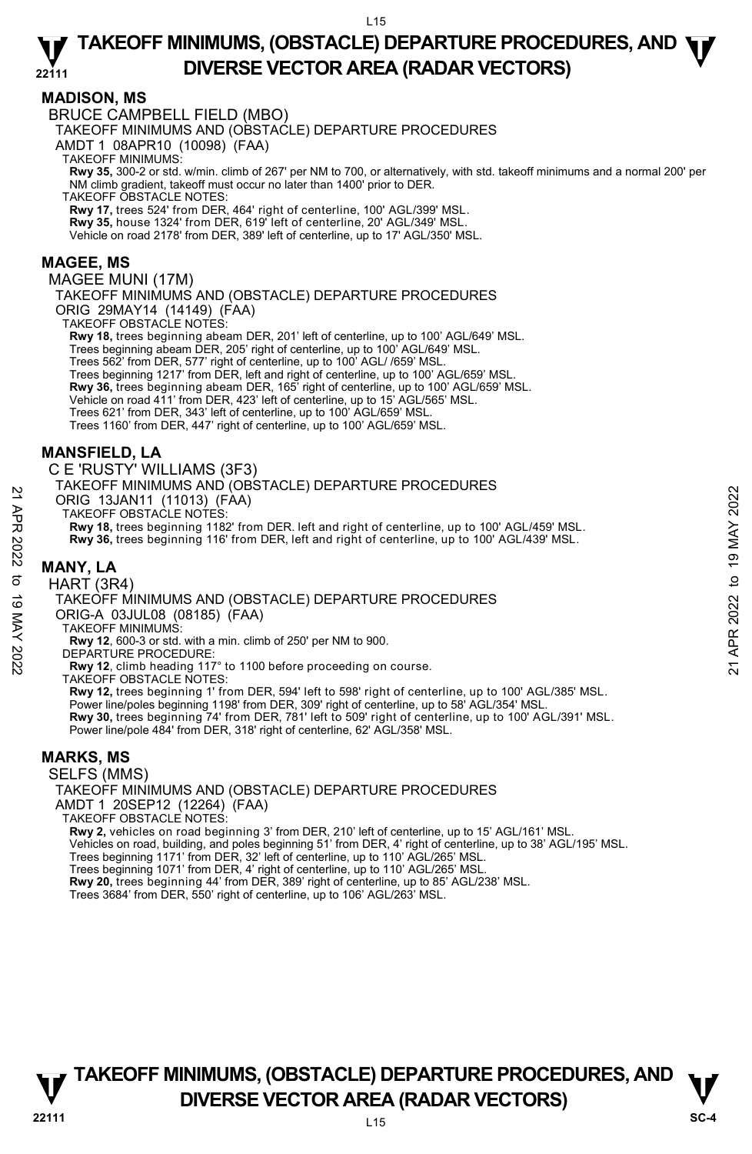## **MADISON, MS**

BRUCE CAMPBELL FIELD (MBO)

TAKEOFF MINIMUMS AND (OBSTACLE) DEPARTURE PROCEDURES

AMDT 1 08APR10 (10098) (FAA)

TAKEOFF MINIMUMS:

**Rwy 35,** 300-2 or std. w/min. climb of 267' per NM to 700, or alternatively, with std. takeoff minimums and a normal 200' per NM climb gradient, takeoff must occur no later than 1400' prior to DER.

TAKEOFF OBSTACLE NOTES:

**Rwy 17,** trees 524' from DER, 464' right of centerline, 100' AGL/399' MSL.

**Rwy 35,** house 1324' from DER, 619' left of centerline, 20' AGL/349' MSL.

Vehicle on road 2178' from DER, 389' left of centerline, up to 17' AGL/350' MSL.

### **MAGEE, MS**

MAGEE MUNI (17M)

TAKEOFF MINIMUMS AND (OBSTACLE) DEPARTURE PROCEDURES ORIG 29MAY14 (14149) (FAA) TAKEOFF OBSTACLE NOTES:

**Rwy 18,** trees beginning abeam DER, 201' left of centerline, up to 100' AGL/649' MSL. Trees beginning abeam DER, 205' right of centerline, up to 100' AGL/649' MSL. Trees 562' from DER, 577' right of centerline, up to 100' AGL/ /659' MSL. Trees beginning 1217' from DER, left and right of centerline, up to 100' AGL/659' MSL. **Rwy 36,** trees beginning abeam DER, 165' right of centerline, up to 100' AGL/659' MSL.<br>Vehicle on road 411' from DER, 423' left of centerline, up to 15' AGL/565' MSL. Trees 621' from DER, 343' left of centerline, up to 100' AGL/659' MSL. Trees 1160' from DER, 447' right of centerline, up to 100' AGL/659' MSL.

## **MANSFIELD, LA**

C E 'RUSTY' WILLIAMS (3F3)

TAKEOFF MINIMUMS AND (OBSTACLE) DEPARTURE PROCEDURES

ORIG 13JAN11 (11013) (FAA)

TAKEOFF OBSTACLE NOTES:

**Rwy 18,** trees beginning 1182' from DER. left and right of centerline, up to 100' AGL/459' MSL. **Rwy 36,** trees beginning 116' from DER, left and right of centerline, up to 100' AGL/439' MSL. 21 ANCORRECT MINIMUM AND (OBSTACLE) DEPARTURE PROCEDURES<br>
22 TAKEOFF OBSTACLE NOTES:<br>
22 TAKEOFF OBSTACLE NOTES:<br>
22 Rwy 18, trees beginning 1182' from DER, left and right of centerline, up to 100' AGL/459' MSL.<br>
22 Rwy 3

## **MANY, LA**

HART (3R4)

TAKEOFF MINIMUMS AND (OBSTACLE) DEPARTURE PROCEDURES

ORIG-A 03JUL08 (08185) (FAA)

TAKEOFF MINIMUMS:

**Rwy 12**, 600-3 or std. with a min. climb of 250' per NM to 900.

DEPARTURE PROCEDURE:

**Rwy 12**, climb heading 117° to 1100 before proceeding on course.

TAKEOFF OBSTACLE NOTES:

**Rwy 12,** trees beginning 1' from DER, 594' left to 598' right of centerline, up to 100' AGL/385' MSL. Power line/poles beginning 1198' from DER, 309' right of centerline, up to 58' AGL/354' MSL. **Rwy 30,** trees beginning 74' from DER, 781' left to 509' right of centerline, up to 100' AGL/391' MSL. Power line/pole 484' from DER, 318' right of centerline, 62' AGL/358' MSL.

## **MARKS, MS**

SELFS (MMS)

TAKEOFF MINIMUMS AND (OBSTACLE) DEPARTURE PROCEDURES AMDT 1 20SEP12 (12264) (FAA) TAKEOFF OBSTACLE NOTES: **Rwy 2,** vehicles on road beginning 3' from DER, 210' left of centerline, up to 15' AGL/161' MSL. Vehicles on road, building, and poles beginning 51' from DER, 4' right of centerline, up to 38' AGL/195' MSL.

Trees beginning 1171' from DER, 32' left of centerline, up to 110' AGL/265' MSL.

Trees beginning 1071' from DER, 4' right of centerline, up to 110' AGL/265' MSL.<br>**Rwy 20,** trees beginning 44' from DER, 389' right of centerline, up to 85' AGL/238' MSL.

Trees 3684' from DER, 550' right of centerline, up to 106' AGL/263' MSL.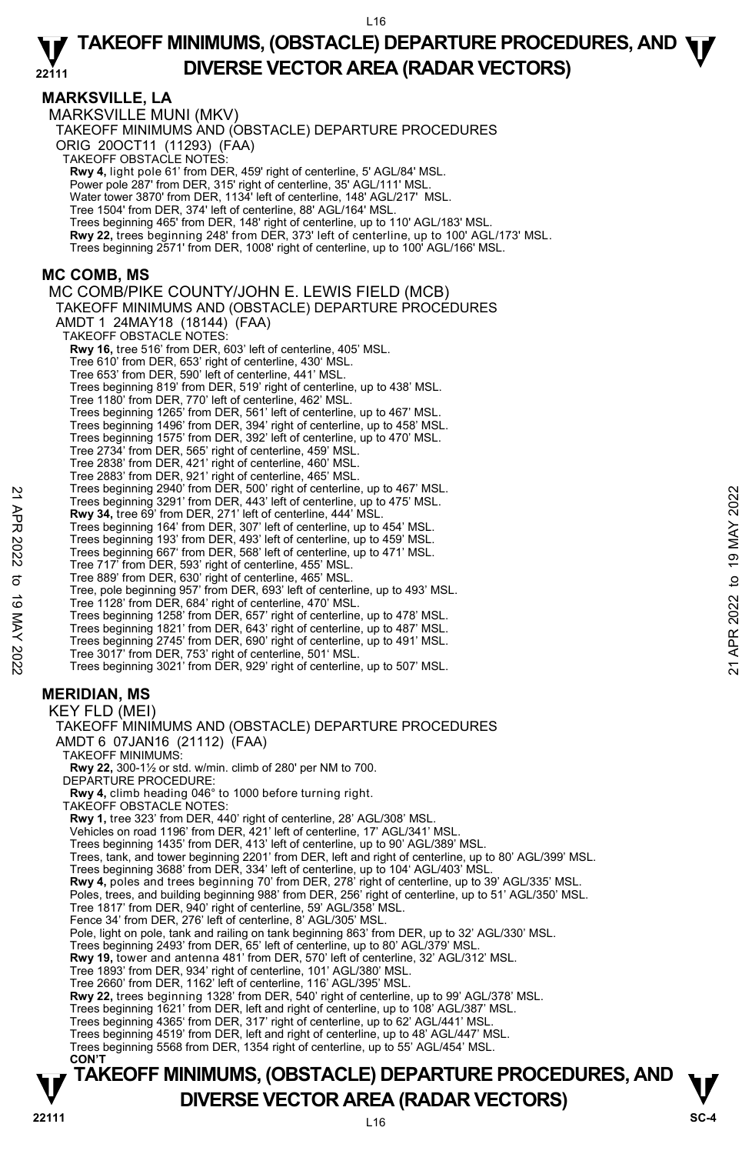## **MARKSVILLE, LA**

MARKSVILLE MUNI (MKV) TAKEOFF MINIMUMS AND (OBSTACLE) DEPARTURE PROCEDURES ORIG 20OCT11 (11293) (FAA) TAKEOFF OBSTACLE NOTES: **Rwy 4,** light pole 61' from DER, 459' right of centerline, 5' AGL/84' MSL. Power pole 287' from DER, 315' right of centerline, 35' AGL/111' MSL. Water tower 3870' from DER, 1134' left of centerline, 148' AGL/217' MSL. Tree 1504' from DER, 374' left of centerline, 88' AGL/164' MSL. Trees beginning 465' from DER, 148' right of centerline, up to 110' AGL/183' MSL. **Rwy 22,** trees beginning 248' from DER, 373' left of centerline, up to 100' AGL/173' MSL. Trees beginning 2571' from DER, 1008' right of centerline, up to 100' AGL/166' MSL. **MC COMB, MS**  MC COMB/PIKE COUNTY/JOHN E. LEWIS FIELD (MCB) TAKEOFF MINIMUMS AND (OBSTACLE) DEPARTURE PROCEDURES AMDT 1 24MAY18 (18144) (FAA) TAKEOFF OBSTACLE NOTES: **Rwy 16,** tree 516' from DER, 603' left of centerline, 405' MSL. Tree 610' from DER, 653' right of centerline, 430' MSL. Tree 653' from DER, 590' left of centerline, 441' MSL. Trees beginning 819' from DER, 519' right of centerline, up to 438' MSL. Tree 1180' from DER, 770' left of centerline, 462' MSL. Trees beginning 1265' from DER, 561' left of centerline, up to 467' MSL. Trees beginning 1496' from DER, 394' right of centerline, up to 458' MSL. Trees beginning 1575' from DER, 392' left of centerline, up to 470' MSL. Tree 2734' from DER, 565' right of centerline, 459' MSL. Tree 2838' from DER, 421' right of centerline, 460' MSL. Tree 2883' from DER, 921' right of centerline, 465' MSL. Trees beginning 2940' from DER, 500' right of centerline, up to 467' MSL. Trees beginning 3291' from DER, 443' left of centerline, up to 475' MSL. **Rwy 34,** tree 69' from DER, 271' left of centerline, 444' MSL. Trees beginning 164' from DER, 307' left of centerline, up to 454' MSL. Trees beginning 193' from DER, 493' left of centerline, up to 459' MSL. Trees beginning 667' from DER, 568' left of centerline, up to 471' MSL. Tree 717' from DER, 593' right of centerline, 455' MSL. Tree 889' from DER, 630' right of centerline, 465' MSL. Tree, pole beginning 957' from DER, 693' left of centerline, up to 493' MSL. Tree 1128' from DER, 684' right of centerline, 470' MSL.<br>Trees beginning 1258' from DER, 657' right of centerline, up to 478' MSL.<br>Trees beginning 1821' from DER, 643' right of centerline, up to 487' MSL. Trees beginning 2940' from DER, 300' rapid of centerline, up to 475' MSL.<br>
Trees beginning 3291' from DER, 343' left of centerline, up to 475' MSL.<br>
Trees beginning 183' from DER, 307' left of centerline, up to 454' MSL.<br>

Trees beginning 2745' from DER, 690' right of centerline, up to 491' MSL.

Tree 3017' from DER, 753' right of centerline, 501' MSL. Trees beginning 3021' from DER, 929' right of centerline, up to 507' MSL.

## **MERIDIAN, MS**

KEY FLD (MEI) TAKEOFF MINIMUMS AND (OBSTACLE) DEPARTURE PROCEDURES AMDT 6 07JAN16 (21112) (FAA)

TAKEOFF MINIMUMS:

**Rwy 22,** 300-1½ or std. w/min. climb of 280' per NM to 700.

DEPARTURE PROCEDURE:

**Rwy 4,** climb heading 046° to 1000 before turning right.

TAKEOFF OBSTACLE NOTES:

**Rwy 1,** tree 323' from DER, 440' right of centerline, 28' AGL/308' MSL.<br>Vehicles on road 1196' from DER, 421' left of centerline, 17' AGL/341' MSL.

- Trees beginning 1435' from DER, 413' left of centerline, up to 90' AGL/389' MSL.
- Trees, tank, and tower beginning 2201' from DER, left and right of centerline, up to 80' AGL/399' MSL.
- 
- Trees beginning 3688' from DER, 334' left of centerline, up to 104' AGL/403' MSL.<br>**Rwy 4,** poles and trees beginning 70' from DER, 278' right of centerline, up to 39' AGL/335' MSL.
- Poles, trees, and building beginning 988' from DER, 256' right of centerline, up to 51' AGL/350' MSL.
- 
- Tree 1817' from DER, 940' right of centerline, 59' AGL/358' MSL. Fence 34' from DER, 276' left of centerline, 8' AGL/305' MSL.
- Pole, light on pole, tank and railing on tank beginning 863' from DER, up to 32' AGL/330' MSL.
- 
- Trees beginning 2493' from DER, 65' left of centerline, up to 80' AGL/379' MSL. **Rwy 19,** tower and antenna 481' from DER, 570' left of centerline, 32' AGL/312' MSL.
- Tree 1893' from DER, 934' right of centerline, 101' AGL/380' MSL.
- Tree 2660' from DER, 1162' left of centerline, 116' AGL/395' MSL.

**Rwy 22,** trees beginning 1328' from DER, 540' right of centerline, up to 99' AGL/378' MSL.

Trees beginning 1621' from DER, left and right of centerline, up to 108' AGL/387' MSL.

Trees beginning 4365' from DER, 317' right of centerline, up to 62' AGL/441' MSL.

Trees beginning 4519' from DER, left and right of centerline, up to 48' AGL/447' MSL. Trees beginning 5568 from DER, 1354 right of centerline, up to 55' AGL/454' MSL.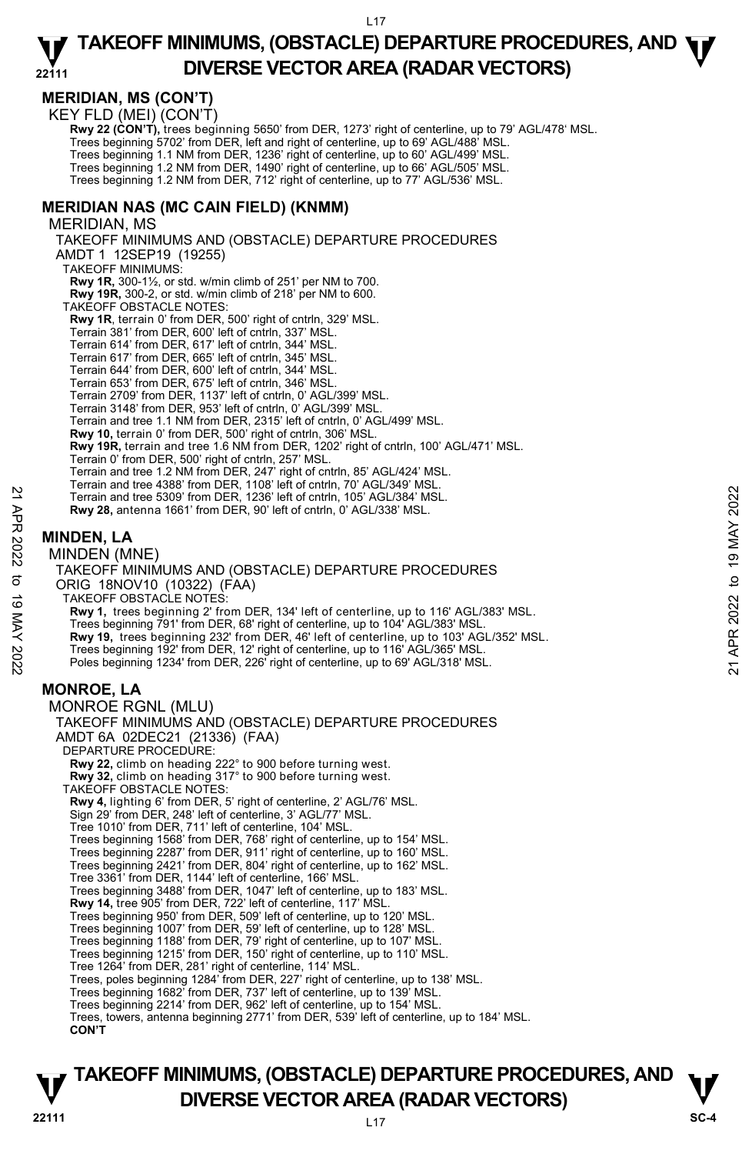## **MERIDIAN, MS (CON'T)**

KEY FLD (MEI) (CON'T)

**Rwy 22 (CON'T),** trees beginning 5650' from DER, 1273' right of centerline, up to 79' AGL/478' MSL.

Trees beginning 5702' from DER, left and right of centerline, up to 69' AGL/488' MSL.

Trees beginning 1.1 NM from DER, 1236' right of centerline, up to 60' AGL/499' MSL.

Trees beginning 1.2 NM from DER, 1490' right of centerline, up to 66' AGL/505' MSL. Trees beginning 1.2 NM from DER, 712' right of centerline, up to 77' AGL/536' MSL.

## **MERIDIAN NAS (MC CAIN FIELD) (KNMM)**

MERIDIAN, MS TAKEOFF MINIMUMS AND (OBSTACLE) DEPARTURE PROCEDURES AMDT 1 12SEP19 (19255) TAKEOFF MINIMUMS: **Rwy 1R,** 300-1½, or std. w/min climb of 251' per NM to 700. **Rwy 19R,** 300-2, or std. w/min climb of 218' per NM to 600. TAKEOFF OBSTACLE NOTES: **Rwy 1R**, terrain 0' from DER, 500' right of cntrln, 329' MSL. Terrain 381' from DER, 600' left of cntrln, 337' MSL. Terrain 614' from DER, 617' left of cntrln, 344' MSL. Terrain 617' from DER, 665' left of cntrln, 345' MSL. Terrain 644' from DER, 600' left of cntrln, 344' MSL. Terrain 653' from DER, 675' left of cntrln, 346' MSL. Terrain 2709' from DER, 1137' left of cntrln, 0' AGL/399' MSL. Terrain 3148' from DER, 953' left of cntrln, 0' AGL/399' MSL. Terrain and tree 1.1 NM from DER, 2315' left of cntrln, 0' AGL/499' MSL. **Rwy 10,** terrain 0' from DER, 500' right of cntrln, 306' MSL. **Rwy 19R,** terrain and tree 1.6 NM from DER, 1202' right of cntrln, 100' AGL/471' MSL. Terrain 0' from DER, 500' right of cntrln, 257' MSL. Terrain and tree 1.2 NM from DER, 247' right of cntrln, 85' AGL/424' MSL. Terrain and tree 4388' from DER, 1108' left of cntrln, 70' AGL/349' MSL. Terrain and tree 5309' from DER, 1236' left of cntrln, 105' AGL/384' MSL. **Rwy 28,** antenna 1661' from DER, 90' left of cntrln, 0' AGL/338' MSL.

**MINDEN, LA** 

MINDEN (MNE) TAKEOFF MINIMUMS AND (OBSTACLE) DEPARTURE PROCEDURES ORIG 18NOV10 (10322) (FAA) TAKEOFF OBSTACLE NOTES: **Rwy 1,** trees beginning 2' from DER, 134' left of centerline, up to 116' AGL/383' MSL. Trees beginning 791' from DER, 68' right of centerline, up to 104' AGL/383' MSL. **Rwy 19,** trees beginning 232' from DER, 46' left of centerline, up to 103' AGL/352' MSL. Trees beginning 192' from DER, 12' right of centerline, up to 116' AGL/365' MSL. Poles beginning 1234' from DER, 226' right of centerline, up to 69' AGL/318' MSL. MONROE RGNL (MLU) Ferrain and tree 5309' from DER, 1326' left of cntrln, 105' AGL/384' MSL.<br> **21 APR 2022** Terrain and tree 5309' from DER, 1236' left of cntrln, 105' AGL/384' MSL.<br> **221 APR 2022 RWY 28, antenna 1661'** from DER, 90' left

## **MONROE, LA**

TAKEOFF MINIMUMS AND (OBSTACLE) DEPARTURE PROCEDURES AMDT 6A 02DEC21 (21336) (FAA) DEPARTURE PROCEDURE: **Rwy 22,** climb on heading 222° to 900 before turning west. **Rwy 32,** climb on heading 317° to 900 before turning west. TAKEOFF OBSTACLE NOTES: **Rwy 4,** lighting 6' from DER, 5' right of centerline, 2' AGL/76' MSL. Sign 29' from DER, 248' left of centerline, 3' AGL/77' MSL. Tree 1010' from DER, 711' left of centerline, 104' MSL.<br>Trees beginning 1568' from DER, 768' right of centerline, up to 154' MSL.<br>Trees beginning 2287' from DER, 911' right of centerline, up to 160' MSL. Trees beginning 2421' from DER, 804' right of centerline, up to 162' MSL. Tree 3361' from DER, 1144' left of centerline, 166' MSL. Trees beginning 3488' from DER, 1047' left of centerline, up to 183' MSL. **Rwy 14,** tree 905' from DER, 722' left of centerline, 117' MSL. Trees beginning 950' from DER, 509' left of centerline, up to 120' MSL. Trees beginning 1007' from DER, 59' left of centerline, up to 128' MSL. Trees beginning 1188' from DER, 79' right of centerline, up to 107' MSL. Trees beginning 1215' from DER, 150' right of centerline, up to 110' MSL. Tree 1264' from DER, 281' right of centerline, 114' MSL. Trees, poles beginning 1284' from DER, 227' right of centerline, up to 138' MSL. Trees beginning 1682' from DER, 737' left of centerline, up to 139' MSL. Trees beginning 2214' from DER, 962' left of centerline, up to 154' MSL. Trees, towers, antenna beginning 2771' from DER, 539' left of centerline, up to 184' MSL. **CON'T**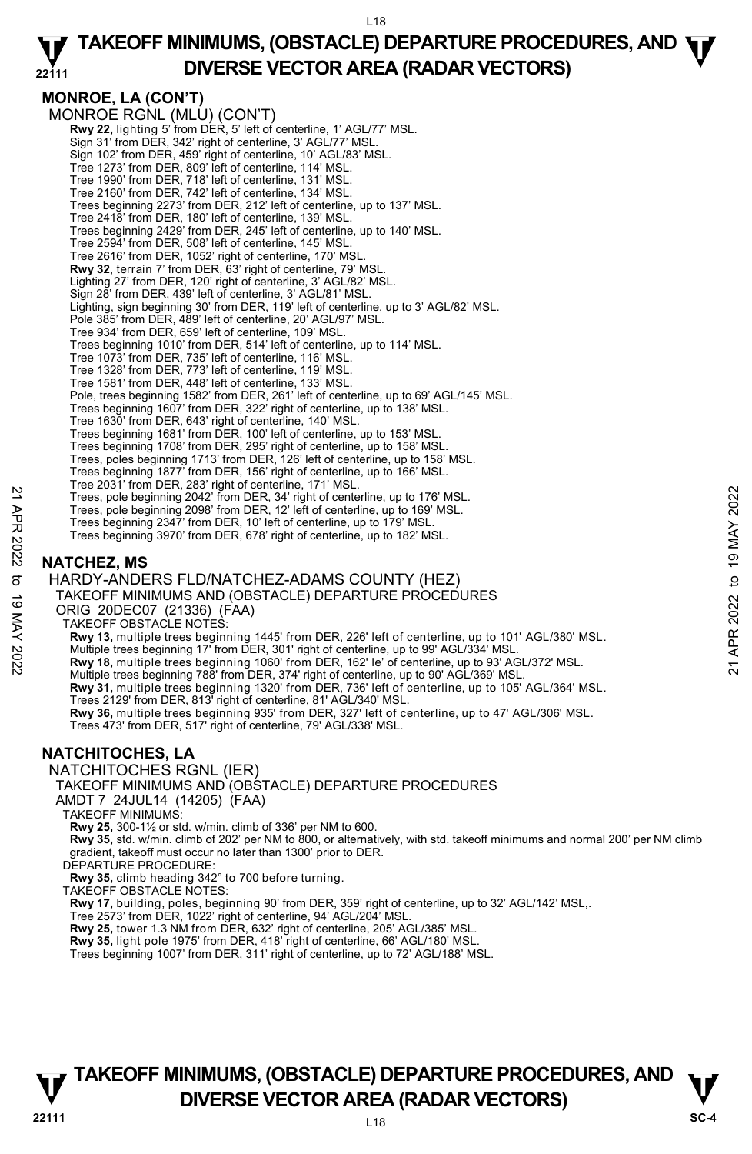## **MONROE, LA (CON'T)**

MONROE RGNL (MLU) (CON'T) **Rwy 22,** lighting 5' from DER, 5' left of centerline, 1' AGL/77' MSL. Sign 31' from DER, 342' right of centerline, 3' AGL/77' MSL. Sign 102' from DER, 459' right of centerline, 10' AGL/83' MSL. Tree 1273' from DER, 809' left of centerline, 114' MSL. Tree 1990' from DER, 718' left of centerline, 131' MSL. Tree 2160' from DER, 742' left of centerline, 134' MSL. Trees beginning 2273' from DER, 212' left of centerline, up to 137' MSL. Tree 2418' from DER, 180' left of centerline, 139' MSL. Trees beginning 2429' from DER, 245' left of centerline, up to 140' MSL. Tree 2594' from DER, 508' left of centerline, 145' MSL. Tree 2616' from DER, 1052' right of centerline, 170' MSI **Rwy 32**, terrain 7' from DER, 63' right of centerline, 79' MSL. Lighting 27' from DER, 120' right of centerline, 3' AGL/82' MSL. Sign 28' from DER, 439' left of centerline, 3' AGL/81' MSL. Lighting, sign beginning 30' from DER, 119' left of centerline, up to 3' AGL/82' MSL. Pole 385' from DER, 489' left of centerline, 20' AGL/97' MSL. Tree 934' from DER, 659' left of centerline, 109' MSL. Trees beginning 1010' from DER, 514' left of centerline, up to 114' MSL. Tree 1073' from DER, 735' left of centerline, 116' MSL. Tree 1328' from DER, 773' left of centerline, 119' MSL. Tree 1581' from DER, 448' left of centerline, 133' MSL. Pole, trees beginning 1582' from DER, 261' left of centerline, up to 69' AGL/145' MSL. Trees beginning 1607' from DER, 322' right of centerline, up to 138' MSL. Tree 1630' from DER, 643' right of centerline, 140' MSL. Trees beginning 1681' from DER, 100' left of centerline, up to 153' MSL. Trees beginning 1708' from DER, 295' right of centerline, up to 158' MSL. Trees, poles beginning 1713' from DER, 126' left of centerline, up to 158' MSL. Trees beginning 1877' from DER, 156' right of centerline, up to 166' MSL. Tree 2031' from DER, 283' right of centerline, 171' MSL. Trees, pole beginning 2042' from DER, 34' right of centerline, up to 176' MSL. Trees, pole beginning 2098' from DER, 12' left of centerline, up to 169' MSL. Trees beginning 2347' from DER, 10' left of centerline, up to 179' MSL. Trees beginning 3970' from DER, 678' right of centerline, up to 182' MSL.

## **NATCHEZ, MS**

HARDY-ANDERS FLD/NATCHEZ-ADAMS COUNTY (HEZ) TAKEOFF MINIMUMS AND (OBSTACLE) DEPARTURE PROCEDURES ORIG 20DEC07 (21336) (FAA) TAKEOFF OBSTACLE NOTES: **Rwy 13,** multiple trees beginning 1445' from DER, 226' left of centerline, up to 101' AGL/380' MSL. Multiple trees beginning 17' from DER, 301' right of centerline, up to 99' AGL/334' MSL. **Rwy 18,** multiple trees beginning 1060' from DER, 162' le' of centerline, up to 93' AGL/372' MSL. Multiple trees beginning 788' from DER, 374' right of centerline, up to 90' AGL/369' MSL. **Rwy 31,** multiple trees beginning 1320' from DER, 736' left of centerline, up to 105' AGL/364' MSL.<br>Trees 2129' from DER, 813' right of centerline, 81' AGL/340' MSL. **Rwy 36,** multiple trees beginning 935' from DER, 327' left of centerline, up to 47' AGL/306' MSL. Trees 473' from DER, 517' right of centerline, 79' AGL/338' MSL. Trees, pole beginning 2042' from DER, 34' right of centerline, up to 176' MSL.<br>
Trees, pole beginning 2098' from DER, 12' left of centerline, up to 189' MSL.<br>
Trees beginning 2038' from DER, 12' left of centerline, up to 1

## **NATCHITOCHES, LA**

NATCHITOCHES RGNL (IER)

TAKEOFF MINIMUMS AND (OBSTACLE) DEPARTURE PROCEDURES

AMDT 7 24JUL14 (14205) (FAA)

TAKEOFF MINIMUMS:

**Rwy 25,** 300-1½ or std. w/min. climb of 336' per NM to 600.

**Rwy 35,** std. w/min. climb of 202' per NM to 800, or alternatively, with std. takeoff minimums and normal 200' per NM climb gradient, takeoff must occur no later than 1300' prior to DER.

DEPARTURE PROCEDURE

**Rwy 35,** climb heading 342° to 700 before turning.

TAKEOFF OBSTACLE NOTES:

**Rwy 17,** building, poles, beginning 90' from DER, 359' right of centerline, up to 32' AGL/142' MSL,.

Tree 2573' from DER, 1022' right of centerline, 94' AGL/204' MSL.<br>**Rwy 25,** tower 1.3 NM from DER, 632' right of centerline, 205' AGL/385' MSL.

**Rwy 35,** light pole 1975' from DER, 418' right of centerline, 66' AGL/180' MSL.

Trees beginning 1007' from DER, 311' right of centerline, up to 72' AGL/188' MSL.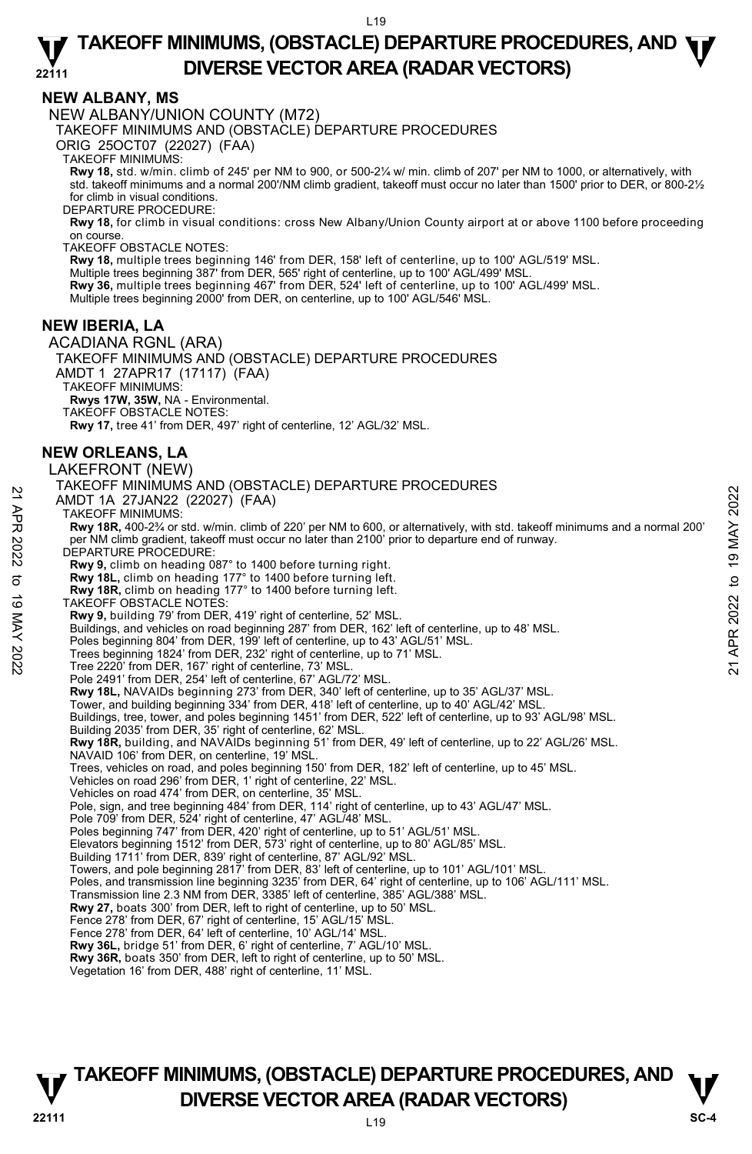## **NEW ALBANY, MS**

NEW ALBANY/UNION COUNTY (M72)

TAKEOFF MINIMUMS AND (OBSTACLE) DEPARTURE PROCEDURES

ORIG 25OCT07 (22027) (FAA)

TAKEOFF MINIMUMS:

**Rwy 18,** std. w/min. climb of 245' per NM to 900, or 500-2¼ w/ min. climb of 207' per NM to 1000, or alternatively, with std. takeoff minimums and a normal 200'/NM climb gradient, takeoff must occur no later than 1500' prior to DER, or 800-2½ for climb in visual conditions.

DEPARTURE PROCEDURE:

**Rwy 18,** for climb in visual conditions: cross New Albany/Union County airport at or above 1100 before proceeding on course.

TAKEOFE OBSTACLE NOTES:

**Rwy 18,** multiple trees beginning 146' from DER, 158' left of centerline, up to 100' AGL/519' MSL.<br>Multiple trees beginning 387' from DER, 565' right of centerline, up to 100' AGL/499' MSL.

**Rwy 36,** multiple trees beginning 467' from DER, 524' left of centerline, up to 100' AGL/499' MSL.

Multiple trees beginning 2000' from DER, on centerline, up to 100' AGL/546' MSL.

## **NEW IBERIA, LA**

ACADIANA RGNL (ARA) TAKEOFF MINIMUMS AND (OBSTACLE) DEPARTURE PROCEDURES AMDT 1 27APR17 (17117) (FAA) TAKEOFF MINIMUMS: **Rwys 17W, 35W,** NA - Environmental. TAKEOFF OBSTACLE NOTES: **Rwy 17,** tree 41' from DER, 497' right of centerline, 12' AGL/32' MSL. **NEW ORLEANS, LA**  LAKEFRONT (NEW) TAKEOFF MINIMUMS AND (OBSTACLE) DEPARTURE PROCEDURES AMDT 1A 27JAN22 (22027) (FAA) TAKEOFF MINIMUMS: **Rwy 18R,** 400-2¾ or std. w/min. climb of 220' per NM to 600, or alternatively, with std. takeoff minimums and a normal 200' per NM climb gradient, takeoff must occur no later than 2100' prior to departure end of runway. DEPARTURE PROCEDURE: **Rwy 9,** climb on heading 087° to 1400 before turning right.  **Rwy 18L,** climb on heading 177° to 1400 before turning left.  **Rwy 18R,** climb on heading 177° to 1400 before turning left. TAKEOFF OBSTACLE NOTES: **Rwy 9,** building 79' from DER, 419' right of centerline, 52' MSL. Buildings, and vehicles on road beginning 287' from DER, 162' left of centerline, up to 48' MSL. Poles beginning 804' from DER, 199' left of centerline, up to 43' AGL/51' MSL. Trees beginning 1824' from DER, 232' right of centerline, up to 71' MSL. Tree 2220' from DER, 167' right of centerline, 73' MSL. Pole 2491' from DER, 254' left of centerline, 67' AGL/72' MSL. **Rwy 18L,** NAVAIDs beginning 273' from DER, 340' left of centerline, up to 35' AGL/37' MSL.<br>Tower, and building beginning 334' from DER, 418' left of centerline, up to 40' AGL/42' MSL. Buildings, tree, tower, and poles beginning 1451' from DER, 522' left of centerline, up to 93' AGL/98' MSL. Building 2035' from DER, 35' right of centerline, 62' MSL. **Rwy 18R,** building, and NAVAIDs beginning 51' from DER, 49' left of centerline, up to 22' AGL/26' MSL. NAVAID 106' from DER, on centerline, 19' MSL. Trees, vehicles on road, and poles beginning 150' from DER, 182' left of centerline, up to 45' MSL. Vehicles on road 296' from DER, 1' right of centerline, 22' MSL. Vehicles on road 474' from DER, on centerline, 35' MSL. Pole, sign, and tree beginning 484' from DER, 114' right of centerline, up to 43' AGL/47' MSL. Pole 709' from DER, 524' right of centerline, 47' AGL/48' MSL. Poles beginning 747' from DER, 420' right of centerline, up to 51' AGL/51' MSL. Elevators beginning 1512' from DER, 573' right of centerline, up to 80' AGL/85' MSL. Building 1711' from DER, 839' right of centerline, 87' AGL/92' MSL. Towers, and pole beginning 2817' from DER, 83' left of centerline, up to 101' AGL/101' MSL.<br>Poles, and transmission line beginning 3235' from DER, 64' right of centerline, up to 106' AGL/111' MSL. Transmission line 2.3 NM from DER, 3385' left of centerline, 385' AGL/388' MSL. **Rwy 27,** boats 300' from DER, left to right of centerline, up to 50' MSL. Fence 278' from DER, 67' right of centerline, 15' AGL/15' MSL. Fence 278' from DER, 64' left of centerline, 10' AGL/14' MSL. **Rwy 36L,** bridge 51' from DER, 6' right of centerline, 7' AGL/10' MSL. **Rwy 36R,** boats 350' from DER, left to right of centerline, up to 50' MSL. AMIDT 1A 27JAN22 (22027) (FAA)<br>
AMIDT 1A 27JAN22 (22027) (FAA)<br>
TAKEOFF MINIMUMS:<br>
Rwy 18R, 400-2% or std. wimin. climb of 220' per NM to 600, or alternatively, with std. takeoff minimums and a normal 200'<br>
Per NM climb gr

Vegetation 16' from DER, 488' right of centerline, 11' MSL.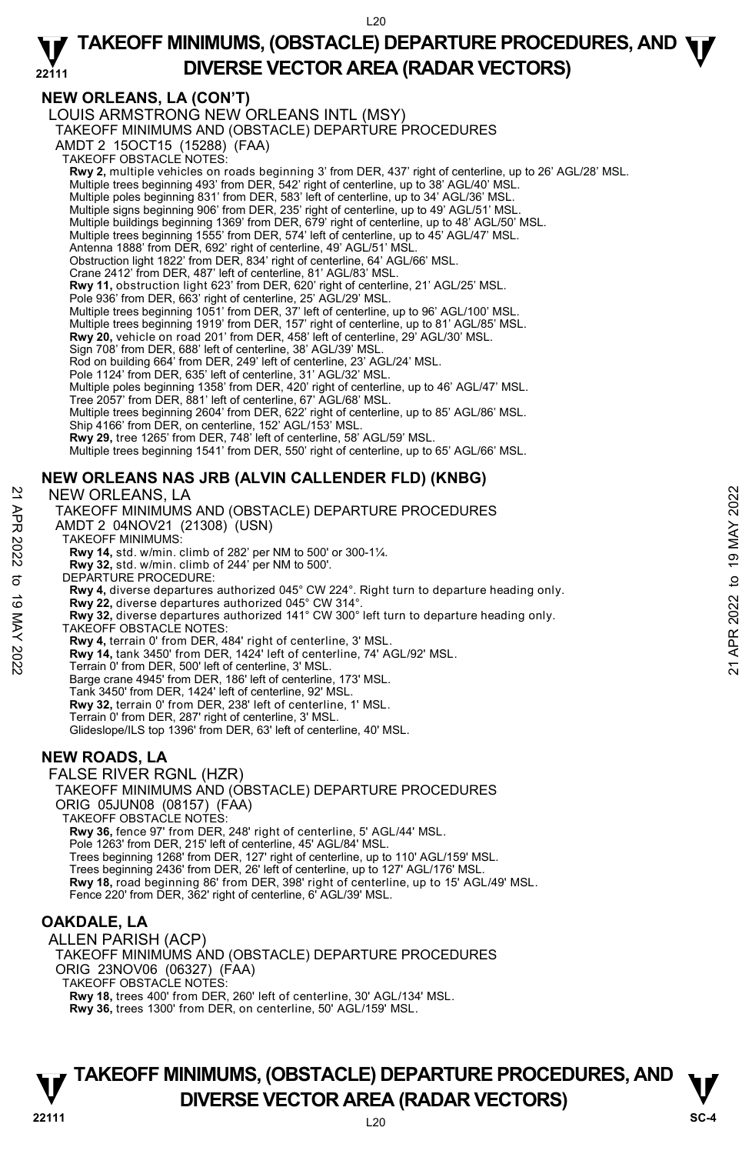## **NEW ORLEANS, LA (CON'T)**

LOUIS ARMSTRONG NEW ORLEANS INTL (MSY) TAKEOFF MINIMUMS AND (OBSTACLE) DEPARTURE PROCEDURES AMDT 2 15OCT15 (15288) (FAA) TAKEOFF OBSTACLE NOTES: **Rwy 2,** multiple vehicles on roads beginning 3' from DER, 437' right of centerline, up to 26' AGL/28' MSL.<br>Multiple trees beginning 493' from DER, 542' right of centerline, up to 38' AGL/40' MSL.<br>Multiple poles beginning Multiple signs beginning 906' from DER, 235' right of centerline, up to 49' AGL/51' MSL. Multiple buildings beginning 1369' from DER, 679' right of centerline, up to 48' AGL/50' MSL. Multiple trees beginning 1555' from DER, 574' left of centerline, up to 45' AGL/47' MSL. Antenna 1888' from DER, 692' right of centerline, 49' AGL/51' MSL. Obstruction light 1822' from DER, 834' right of centerline, 64' AGL/66' MSL. Crane 2412' from DER, 487' left of centerline, 81' AGL/83' MSL. **Rwy 11,** obstruction light 623' from DER, 620' right of centerline, 21' AGL/25' MSL. Pole 936' from DER, 663' right of centerline, 25' AGL/29' MSL. Multiple trees beginning 1051' from DER, 37' left of centerline, up to 96' AGL/100' MSL. Multiple trees beginning 1919' from DER, 157' right of centerline, up to 81' AGL/85' MSL. **Rwy 20,** vehicle on road 201' from DER, 458' left of centerline, 29' AGL/30' MSL. Sign 708' from DER, 688' left of centerline, 38' AGL/39' MSL. Rod on building 664' from DER, 249' left of centerline, 23' AGL/24' MSL. Pole 1124' from DER, 635' left of centerline, 31' AGL/32' MSL. Multiple poles beginning 1358' from DER, 420' right of centerline, up to 46' AGL/47' MSL. Tree 2057' from DER, 881' left of centerline, 67' AGL/68' MSL. Multiple trees beginning 2604' from DER, 622' right of centerline, up to 85' AGL/86' MSL. Ship 4166' from DER, on centerline, 152' AGL/153' MSL. **Rwy 29,** tree 1265' from DER, 748' left of centerline, 58' AGL/59' MSL. Multiple trees beginning 1541' from DER, 550' right of centerline, up to 65' AGL/66' MSL. **NEW ORLEANS NAS JRB (ALVIN CALLENDER FLD) (KNBG)**  NEW ORLEANS, LA TAKEOFF MINIMUMS AND (OBSTACLE) DEPARTURE PROCEDURES

AMDT 2 04NOV21 (21308) (USN)

TAKEOFF MINIMUMS:

**Rwy 14,** std. w/min. climb of 282' per NM to 500' or 300-1¼.

**Rwy 32,** std. w/min. climb of 244' per NM to 500'. DEPARTURE PROCEDURE:

**Rwy 4,** diverse departures authorized 045° CW 224°. Right turn to departure heading only. **Rwy 22,** diverse departures authorized 045° CW 314°. **Rwy 32,** diverse departures authorized 141° CW 300° left turn to departure heading only. TAKEOFF OBSTACLE NOTES: **Rwy 4,** terrain 0' from DER, 484' right of centerline, 3' MSL. **Rwy 14,** tank 3450' from DER, 1424' left of centerline, 74' AGL/92' MSL. Terrain 0' from DER, 500' left of centerline, 3' MSL. Barge crane 4945' from DER, 186' left of centerline, 173' MSL. Tank 3450' from DER, 1424' left of centerline, 92' MSL. **Rwy 32,** terrain 0' from DER, 238' left of centerline, 1' MSL. Terrain 0' from DER, 287' right of centerline, 3' MSL. NEW ORLEANS, LA<br>
TAKEOFF MINIMUMS AND (OBSTACLE) DEPARTURE PROCEDURES<br>
AND T2 04NOV21 (21308) (USN)<br>
NAMED T2 04NOV21 (21308) (USN)<br>
TAKEOFF MINIMUMS:<br>
Rwy 14, std. w/min. climb of 282' per NM to 500' or 300-1%.<br>
Rwy 14,

Glideslope/ILS top 1396' from DER, 63' left of centerline, 40' MSL.

## **NEW ROADS, LA**

FALSE RIVER RGNL (HZR)

TAKEOFF MINIMUMS AND (OBSTACLE) DEPARTURE PROCEDURES ORIG 05JUN08 (08157) (FAA) TAKEOFF OBSTACLE NOTES: **Rwy 36,** fence 97' from DER, 248' right of centerline, 5' AGL/44' MSL. Pole 1263' from DER, 215' left of centerline, 45' AGL/84' MSL. Trees beginning 1268' from DER, 127' right of centerline, up to 110' AGL/159' MSL. Trees beginning 2436' from DER, 26' left of centerline, up to 127' AGL/176' MSL. **Rwy 18,** road beginning 86' from DER, 398' right of centerline, up to 15' AGL/49' MSL. Fence 220' from DER, 362' right of centerline, 6' AGL/39' MSL.

## **OAKDALE, LA**

ALLEN PARISH (ACP) TAKEOFF MINIMUMS AND (OBSTACLE) DEPARTURE PROCEDURES ORIG 23NOV06 (06327) (FAA) TAKEOFF OBSTACLE NOTES: **Rwy 18,** trees 400' from DER, 260' left of centerline, 30' AGL/134' MSL. **Rwy 36,** trees 1300' from DER, on centerline, 50' AGL/159' MSL.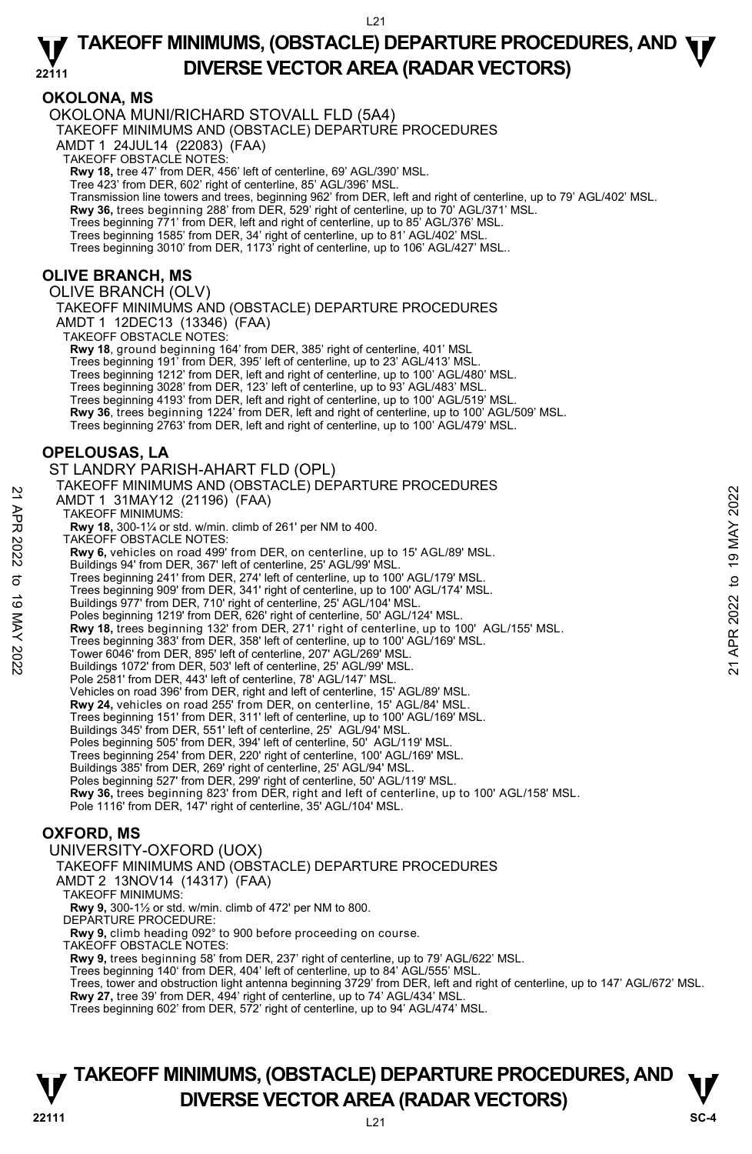## **OKOLONA, MS**

OKOLONA MUNI/RICHARD STOVALL FLD (5A4) TAKEOFF MINIMUMS AND (OBSTACLE) DEPARTURE PROCEDURES AMDT 1 24JUL14 (22083) (FAA) TAKEOFF OBSTACLE NOTES: **Rwy 18,** tree 47' from DER, 456' left of centerline, 69' AGL/390' MSL. Tree 423' from DER, 602' right of centerline, 85' AGL/396' MSL. Transmission line towers and trees, beginning 962' from DER, left and right of centerline, up to 79' AGL/402' MSL. **Rwy 36,** trees beginning 288' from DER, 529' right of centerline, up to 70' AGL/371' MSL. Trees beginning 771' from DER, left and right of centerline, up to 85' AGL/376' MSL. Trees beginning 1585' from DER, 34' right of centerline, up to 81' AGL/402' MSL. Trees beginning 3010' from DER, 1173' right of centerline, up to 106' AGL/427' MSL.. **OLIVE BRANCH, MS**  OLIVE BRANCH (OLV) TAKEOFF MINIMUMS AND (OBSTACLE) DEPARTURE PROCEDURES AMDT 1 12DEC13 (13346) (FAA) TAKEOFF OBSTACLE NOTES: **Rwy 18**, ground beginning 164' from DER, 385' right of centerline, 401' MSL Trees beginning 191' from DER, 395' left of centerline, up to 23' AGL/413' MSL. Trees beginning 1212' from DER, left and right of centerline, up to 100' AGL/480' MSL. Trees beginning 3028' from DER, 123' left of centerline, up to 93' AGL/483' MSL. Trees beginning 4193' from DER, left and right of centerline, up to 100' AGL/519' MSL. **Rwy 36**, trees beginning 1224' from DER, left and right of centerline, up to 100' AGL/509' MSL. Trees beginning 2763' from DER, left and right of centerline, up to 100' AGL/479' MSL. **OPELOUSAS, LA**  ST LANDRY PARISH-AHART FLD (OPL) TAKEOFF MINIMUMS AND (OBSTACLE) DEPARTURE PROCEDURES AMDT 1 31MAY12 (21196) (FAA) TAKEOFF MINIMUMS: **Rwy 18,** 300-1¼ or std. w/min. climb of 261' per NM to 400. TAKEOFF OBSTACLE NOTES: **Rwy 6,** vehicles on road 499' from DER, on centerline, up to 15' AGL/89' MSL. Buildings 94' from DER, 367' left of centerline, 25' AGL/99' MSL. Trees beginning 241' from DER, 274' left of centerline, up to 100' AGL/179' MSL. Trees beginning 909' from DER, 341' right of centerline, up to 100' AGL/174' MSL. Buildings 977' from DER, 710' right of centerline, 25' AGL/104' MSL. Poles beginning 1219' from DER, 626' right of centerline, 50' AGL/124' MSL. **Rwy 18,** trees beginning 132' from DER, 271' right of centerline, up to 100' AGL/155' MSL. Trees beginning 383' from DER, 358' left of centerline, up to 100' AGL/169' MSL. Tower 6046' from DER, 895' left of centerline, 207' AGL/269' MSL. Buildings 1072' from DER, 503' left of centerline, 25' AGL/99' MSL. Pole 2581' from DER, 443' left of centerline, 78' AGL/147' MSL. Vehicles on road 396' from DER, right and left of centerline, 15' AGL/89' MSL. **Rwy 24,** vehicles on road 255' from DER, on centerline, 15' AGL/84' MSL. Trees beginning 151' from DER, 311' left of centerline, up to 100' AGL/169' MSL. Buildings 345' from DER, 551' left of centerline, 25' AGL/94' MSL. Poles beginning 505' from DER, 394' left of centerline, 50' AGL/119' MSL. Trees beginning 254' from DER, 220' right of centerline, 100' AGL/169' MSL. Buildings 385' from DER, 269' right of centerline, 25' AGL/94' MSL. Poles beginning 527' from DER, 299' right of centerline, 50' AGL/119' MSL. **Rwy 36,** trees beginning 823' from DER, right and left of centerline, up to 100' AGL/158' MSL. Pole 1116' from DER, 147' right of centerline, 35' AGL/104' MSL. **OXFORD, MS**  UNIVERSITY-OXFORD (UOX) TAKEOFF MINIMUMS AND (OBSTACLE) DEPARTURE PROCEDURES AMDT 2 13NOV14 (14317) (FAA) TAKEOFF MINIMUMS: **Rwy 9,** 300-1½ or std. w/min. climb of 472' per NM to 800. DEPARTURE PROCEDURE: AMDT 1 31MAY12 (21196) (FAA)<br>
21 TAKEOFF MINIMUMS:<br>
RWY 18, 300-11% or std. w/min. climb of 261' per NM to 400.<br>
RWY 18, 90-11% or std. w/min. climb of 261' per NM to 400.<br>
22 TAKEOFF OBSTACLE NOTES:<br>
RWY 6, vehicles on ro

**Rwy 9,** climb heading 092° to 900 before proceeding on course.

TAKEOFF OBSTACLE NOTES:

**Rwy 9,** trees beginning 58' from DER, 237' right of centerline, up to 79' AGL/622' MSL.<br>Trees beginning 140' from DER, 404' left of centerline, up to 84' AGL/555' MSL.

Trees, tower and obstruction light antenna beginning 3729' from DER, left and right of centerline, up to 147' AGL/672' MSL. **Rwy 27,** tree 39' from DER, 494' right of centerline, up to 74' AGL/434' MSL.<br>Trees beginning 602' from DER, 572' right of centerline, up to 94' AGL/474' MSL.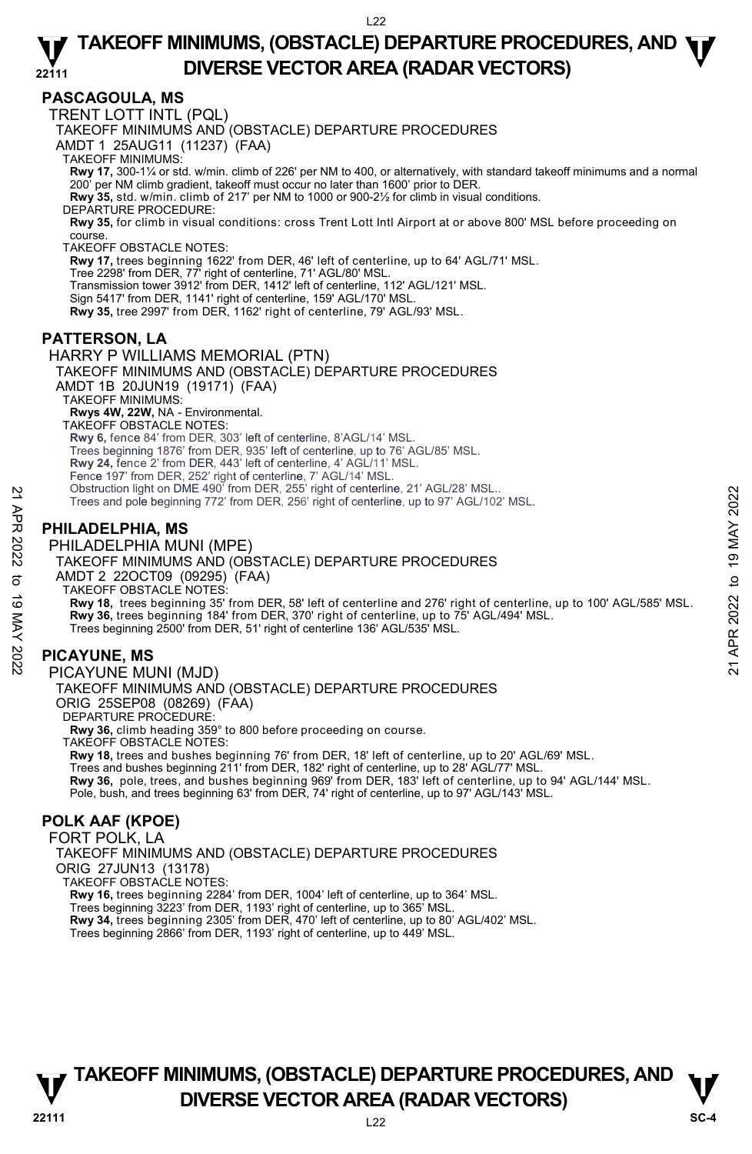## **PASCAGOULA, MS**

TRENT LOTT INTL (PQL)

TAKEOFF MINIMUMS AND (OBSTACLE) DEPARTURE PROCEDURES

AMDT 1 25AUG11 (11237) (FAA)

TAKEOFF MINIMUMS:

**Rwy 17,** 300-1¼ or std. w/min. climb of 226' per NM to 400, or alternatively, with standard takeoff minimums and a normal 200' per NM climb gradient, takeoff must occur no later than 1600' prior to DER.

**Rwy 35,** std. w/min. climb of 217' per NM to 1000 or 900-2½ for climb in visual conditions.

DEPARTURE PROCEDURE:

**Rwy 35,** for climb in visual conditions: cross Trent Lott Intl Airport at or above 800' MSL before proceeding on course.

TAKEOFF OBSTACLE NOTES:

**Rwy 17,** trees beginning 1622' from DER, 46' left of centerline, up to 64' AGL/71' MSL.<br>Tree 2298' from DER, 77' right of centerline, 71' AGL/80' MSL.

Transmission tower 3912' from DER, 1412' left of centerline, 112' AGL/121' MSL.

Sign 5417' from DER, 1141' right of centerline, 159' AGL/170' MSL.

**Rwy 35,** tree 2997' from DER, 1162' right of centerline, 79' AGL/93' MSL.

## **PATTERSON, LA**

HARRY P WILLIAMS MEMORIAL (PTN) TAKEOFF MINIMUMS AND (OBSTACLE) DEPARTURE PROCEDURES AMDT 1B 20JUN19 (19171) (FAA) TAKEOFF MINIMUMS: **Rwys 4W, 22W,** NA - Environmental. TAKEOFF OBSTACLE NOTES: **Rwy 6,** fence 84' from DER, 303' left of centerline, 8'AGL/14' MSL. Trees beginning 1876' from DER, 935' left of centerline, up to 76' AGL/85' MSL. **Rwy 24,** fence 2' from DER, 443' left of centerline, 4' AGL/11' MSL. Fence 197' from DER, 252' right of centerline, 7' AGL/14' MSL. Obstruction light on DME 490' from DER, 255' right of centerline, 21' AGL/28' MSL.. Trees and pole beginning 772' from DER, 256' right of centerline, up to 97' AGL/102' MSL.

## **PHILADELPHIA, MS**

PHILADELPHIA MUNI (MPE)

TAKEOFF MINIMUMS AND (OBSTACLE) DEPARTURE PROCEDURES AMDT 2 22OCT09 (09295) (FAA) TAKEOFF OBSTACLE NOTES: **Rwy 18,** trees beginning 35' from DER, 58' left of centerline and 276' right of centerline, up to 100' AGL/585' MSL. **Rwy 36,** trees beginning 184' from DER, 370' right of centerline, up to 75' AGL/494' MSL. Trees beginning 2500' from DER, 51' right of centerline 136' AGL/535' MSL. Destruction ignt on DME 490' from DER, 256' right of centerline, 21' AGL/38' MSL.<br>
Trees and pole beginning 772' from DER, 256' right of centerline, up to 97' AGL/102' MSL.<br> **PHILADELPHIA MUNI (MPE)**<br>
TAKEOFF MINIMUMI (MP

## **PICAYUNE, MS**

PICAYUNE MUNI (MJD) TAKEOFF MINIMUMS AND (OBSTACLE) DEPARTURE PROCEDURES ORIG 25SEP08 (08269) (FAA) DEPARTURE PROCEDURE: **Rwy 36,** climb heading 359° to 800 before proceeding on course.

TAKEOFF OBSTACLE NOTES:

**Rwy 18,** trees and bushes beginning 76' from DER, 18' left of centerline, up to 20' AGL/69' MSL.

Trees and bushes beginning 211' from DER, 182' right of centerline, up to 28' AGL/77' MSL.

**Rwy 36,** pole, trees, and bushes beginning 969' from DER, 183' left of centerline, up to 94' AGL/144' MSL. <br>Pole, bush, and trees beginning 63' from DER, 74' right of centerline, up to 97' AGL/143' MSL.

## **POLK AAF (KPOE)**

FORT POLK, LA TAKEOFF MINIMUMS AND (OBSTACLE) DEPARTURE PROCEDURES ORIG 27JUN13 (13178) TAKEOFF OBSTACLE NOTES: **Rwy 16,** trees beginning 2284' from DER, 1004' left of centerline, up to 364' MSL. Trees beginning 3223' from DER, 1193' right of centerline, up to 365' MSL.<br>**Rwy 34,** trees beginning 2305' from DER, 470' left of centerline, up to 80' AGL/402' MSL.

Trees beginning 2866' from DER, 1193' right of centerline, up to 449' MSL.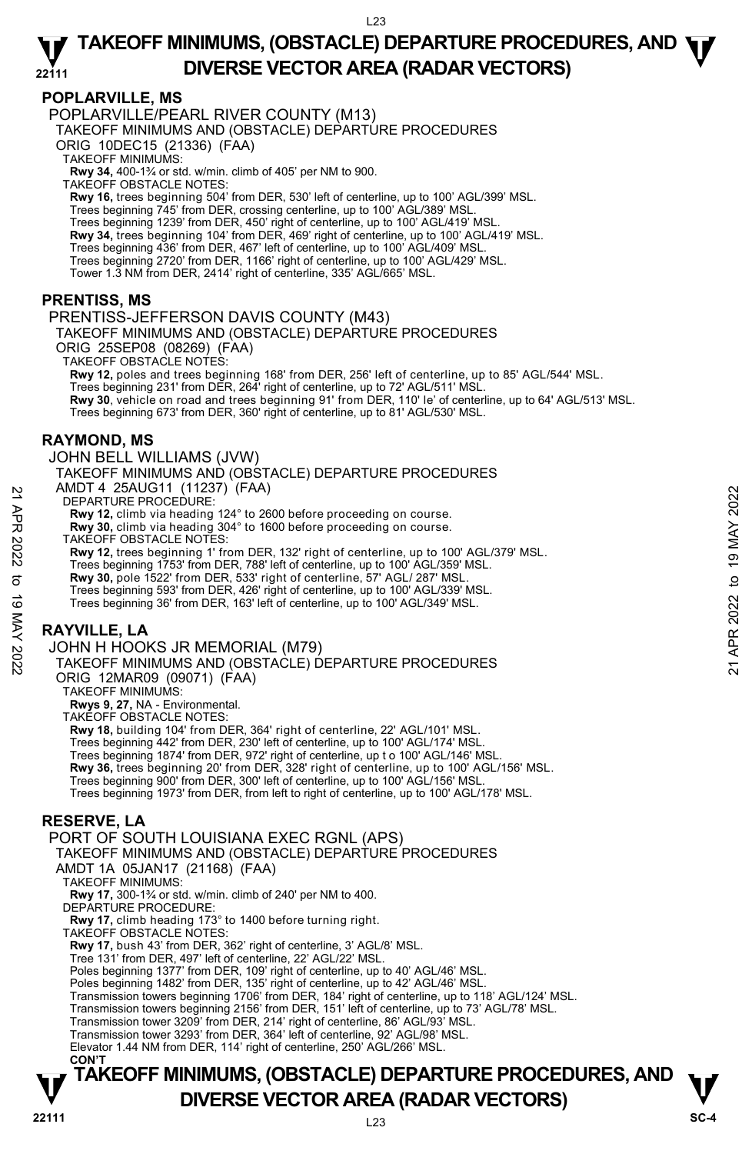## **POPLARVILLE, MS**

POPLARVILLE/PEARL RIVER COUNTY (M13)

TAKEOFF MINIMUMS AND (OBSTACLE) DEPARTURE PROCEDURES

ORIG 10DEC15 (21336) (FAA)

TAKEOFF MINIMUMS:

**Rwy 34,** 400-1¾ or std. w/min. climb of 405' per NM to 900. TAKEOFF OBSTACLE NOTES:

**Rwy 16,** trees beginning 504' from DER, 530' left of centerline, up to 100' AGL/399' MSL.

Trees beginning 745' from DER, crossing centerline, up to 100' AGL/389' MSL.

Trees beginning 1239' from DER, 450' right of centerline, up to 100' AGL/419' MSL.<br>**Rwy 34,** trees beginning 104' from DER, 469' right of centerline, up to 100' AGL/419' MSL.

Trees beginning 436' from DER, 467' left of centerline, up to 100' AGL/409' MSL.

Trees beginning 2720' from DER, 1166' right of centerline, up to 100' AGL/429' MSL. Tower 1.3 NM from DER, 2414' right of centerline, 335' AGL/665' MSL.

## **PRENTISS, MS**

PRENTISS-JEFFERSON DAVIS COUNTY (M43)

TAKEOFF MINIMUMS AND (OBSTACLE) DEPARTURE PROCEDURES ORIG 25SEP08 (08269) (FAA)

TAKEOFF OBSTACLE NOTES:

**Rwy 12,** poles and trees beginning 168' from DER, 256' left of centerline, up to 85' AGL/544' MSL. Trees beginning 231' from DER, 264' right of centerline, up to 72' AGL/511' MSL **Rwy 30**, vehicle on road and trees beginning 91' from DER, 110' le' of centerline, up to 64' AGL/513' MSL. Trees beginning 673' from DER, 360' right of centerline, up to 81' AGL/530' MSL.

## **RAYMOND, MS**

JOHN BELL WILLIAMS (JVW) TAKEOFF MINIMUMS AND (OBSTACLE) DEPARTURE PROCEDURES AMDT 4 25AUG11 (11237) (FAA) DEPARTURE PROCEDURE: 21 AWD 1 4 20A0U 11 (1237) (FAA)<br>
22 DEPARTURE PROCEDURE:<br>
22 Rwy 12, climb via heading 124° to 2600 before proceeding on course.<br>
22 TAKEOFF OBSTACLE NOTES:<br>
22 TAKEOFF OBSTACLE NOTES:<br>
23 Rwy 12, trees beginning 1' from

**Rwy 12,** climb via heading 124° to 2600 before proceeding on course. **Rwy 30,** climb via heading 304° to 1600 before proceeding on course.

TAKEOFF OBSTACLE NOTES:

**Rwy 12,** trees beginning 1' from DER, 132' right of centerline, up to 100' AGL/379' MSL.

Trees beginning 1753' from DER, 788' left of centerline, up to 100' AGL/359' MSL.

**Rwy 30,** pole 1522' from DER, 533' right of centerline, 57' AGL/ 287' MSL.

Trees beginning 593' from DER, 426' right of centerline, up to 100' AGL/339' MSL.

Trees beginning 36' from DER, 163' left of centerline, up to 100' AGL/349' MSL.

## **RAYVILLE, LA**

#### JOHN H HOOKS JR MEMORIAL (M79)

TAKEOFF MINIMUMS AND (OBSTACLE) DEPARTURE PROCEDURES ORIG 12MAR09 (09071) (FAA)

TAKEOFF MINIMUMS:

**Rwys 9, 27,** NA - Environmental.

TAKEOFF OBSTACLE NOTES:

**Rwy 18,** building 104' from DER, 364' right of centerline, 22' AGL/101' MSL.

Trees beginning 442' from DER, 230' left of centerline, up to 100' AGL/174' MSL. Trees beginning 1874' from DER, 972' right of centerline, up t o 100' AGL/146' MSL.

**Rwy 36,** trees beginning 20' from DER, 328' right of centerline, up to 100' AGL/156' MSL.

Trees beginning 900' from DER, 300' left of centerline, up to 100' AGL/156' MSL.

Trees beginning 1973' from DER, from left to right of centerline, up to 100' AGL/178' MSL.

## **RESERVE, LA**

PORT OF SOUTH LOUISIANA EXEC RGNL (APS) TAKEOFF MINIMUMS AND (OBSTACLE) DEPARTURE PROCEDURES AMDT 1A 05JAN17 (21168) (FAA) TAKEOFF MINIMUMS: **Rwy 17,** 300-1¾ or std. w/min. climb of 240' per NM to 400. DEPARTURE PROCEDURE: **Rwy 17,** climb heading 173° to 1400 before turning right. TAKEOFF OBSTACLE NOTES: **Rwy 17,** bush 43' from DER, 362' right of centerline, 3' AGL/8' MSL. Tree 131' from DER, 497' left of centerline, 22' AGL/22' MSL. Poles beginning 1377' from DER, 109' right of centerline, up to 40' AGL/46' MSL. Poles beginning 1482' from DER, 135' right of centerline, up to 42' AGL/46' MSL. Transmission towers beginning 1706' from DER, 184' right of centerline, up to 118' AGL/124' MSL. Transmission towers beginning 2156' from DER, 151' left of centerline, up to 73' AGL/78' MSL. Transmission tower 3209' from DER, 214' right of centerline, 86' AGL/93' MSL. Transmission tower 3293' from DER, 364' left of centerline, 92' AGL/98' MSL. Elevator 1.44 NM from DER, 114' right of centerline, 250' AGL/266' MSL. **CON'T**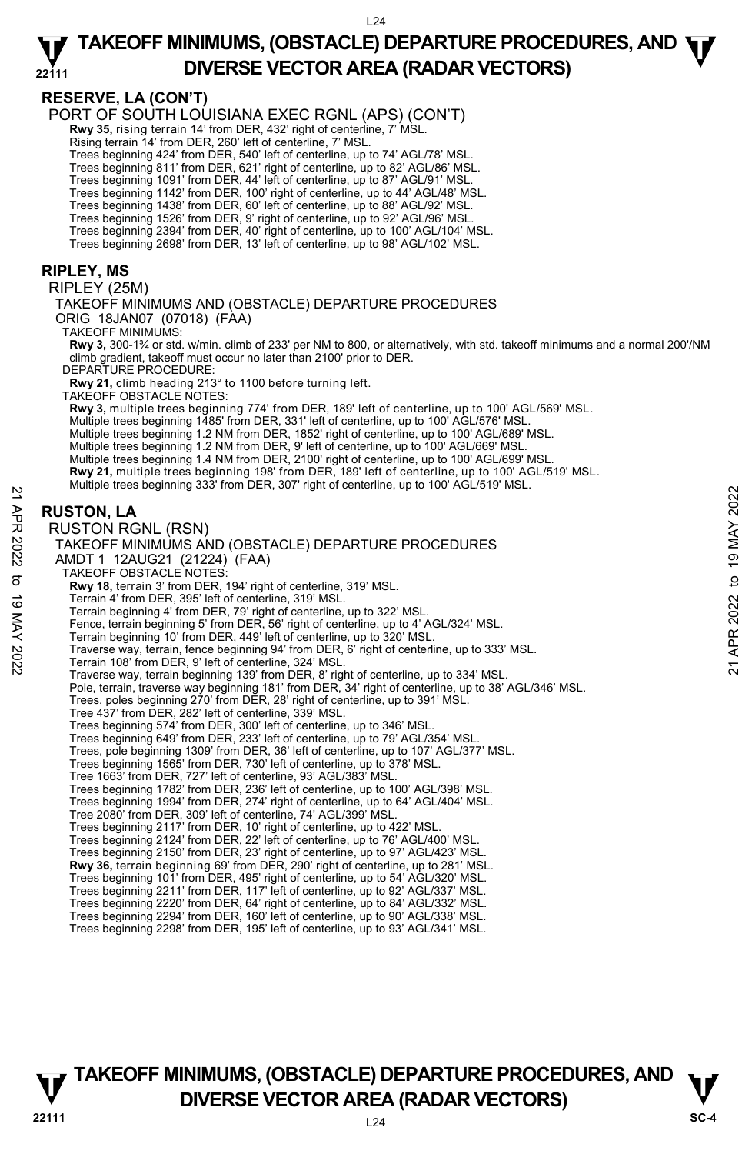**RESERVE, LA (CON'T)** 

PORT OF SOUTH LOUISIANA EXEC RGNL (APS) (CON'T)

**Rwy 35,** rising terrain 14' from DER, 432' right of centerline, 7' MSL.

Rising terrain 14' from DER, 260' left of centerline, 7' MSL.

Trees beginning 424' from DER, 540' left of centerline, up to 74' AGL/78' MSL.

Trees beginning 811' from DER, 621' right of centerline, up to 82' AGL/86' MSL. Trees beginning 1091' from DER, 44' left of centerline, up to 87' AGL/91' MSL.

Trees beginning 1142' from DER, 100' right of centerline, up to 44' AGL/48' MSL.

Trees beginning 1438' from DER, 60' left of centerline, up to 88' AGL/92' MSL.

Trees beginning 1526' from DER, 9' right of centerline, up to 92' AGL/96' MSL. Trees beginning 2394' from DER, 40' right of centerline, up to 100' AGL/104' MSL.

Trees beginning 2698' from DER, 13' left of centerline, up to 98' AGL/102' MSL.

## **RIPLEY, MS**

RIPLEY (25M)

TAKEOFF MINIMUMS AND (OBSTACLE) DEPARTURE PROCEDURES ORIG 18JAN07 (07018) (FAA)

TAKEOFF MINIMUMS:

**Rwy 3,** 300-1¾ or std. w/min. climb of 233' per NM to 800, or alternatively, with std. takeoff minimums and a normal 200'/NM climb gradient, takeoff must occur no later than 2100' prior to DER.

DEPARTURE PROCEDURE:

**Rwy 21,** climb heading 213° to 1100 before turning left.

TAKEOFF OBSTACLE NOTES:

**Rwy 3,** multiple trees beginning 774' from DER, 189' left of centerline, up to 100' AGL/569' MSL.

Multiple trees beginning 1485' from DER, 331' left of centerline, up to 100' AGL/576' MSL.

Multiple trees beginning 1.2 NM from DER, 1852' right of centerline, up to 100' AGL/689' MSL. Multiple trees beginning 1.2 NM from DER, 9' left of centerline, up to 100' AGL/669' MSL.

Multiple trees beginning 1.4 NM from DER, 2100' right of centerline, up to 100' AGL/699' MSL.

**Rwy 21,** multiple trees beginning 198' from DER, 189' left of centerline, up to 100' AGL/519' MSL.

Multiple trees beginning 333' from DER, 307' right of centerline, up to 100' AGL/519' MSL.

## **RUSTON, LA**

RUSTON RGNL (RSN) TAKEOFF MINIMUMS AND (OBSTACLE) DEPARTURE PROCEDURES AMDT 1 12AUG21 (21224) (FAA) TAKEOFF OBSTACLE NOTES: **Rwy 18,** terrain 3' from DER, 194' right of centerline, 319' MSL. Terrain 4' from DER, 395' left of centerline, 319' MSL. Terrain beginning 4' from DER, 79' right of centerline, up to 322' MSL. Fence, terrain beginning 5' from DER, 56' right of centerline, up to 4' AGL/324' MSL. Terrain beginning 10' from DER, 449' left of centerline, up to 320' MSL. Traverse way, terrain, fence beginning 94' from DER, 6' right of centerline, up to 333' MSL. Terrain 108' from DER, 9' left of centerline, 324' MSL. Traverse way, terrain beginning 139' from DER, 8' right of centerline, up to 334' MSL. Pole, terrain, traverse way beginning 181' from DER, 34' right of centerline, up to 38' AGL/346' MSL. Trees, poles beginning 270' from DER, 28' right of centerline, up to 391' MSL. Tree 437' from DER, 282' left of centerline, 339' MSL. Trees beginning 574' from DER, 300' left of centerline, up to 346' MSL. Trees beginning 649' from DER, 233' left of centerline, up to 79' AGL/354' MSL. Trees, pole beginning 1309' from DER, 36' left of centerline, up to 107' AGL/377' MSL. Trees beginning 1565' from DER, 730' left of centerline, up to 378' MSL. Tree 1663' from DER, 727' left of centerline, 93' AGL/383' MSL. Trees beginning 1782' from DER, 236' left of centerline, up to 100' AGL/398' MSL. Trees beginning 1994' from DER, 274' right of centerline, up to 64' AGL/404' MSL. Tree 2080' from DER, 309' left of centerline, 74' AGL/399' MSL. Trees beginning 2117' from DER, 10' right of centerline, up to 422' MSL. Trees beginning 2124' from DER, 22' left of centerline, up to 76' AGL/400' MSL. Trees beginning 2150' from DER, 23' right of centerline, up to 97' AGL/423' MSL. **Rwy 36,** terrain beginning 69' from DER, 290' right of centerline, up to 281' MSL.<br>Trees beginning 101' from DER, 495' right of centerline, up to 54' AGL/320' MSL.<br>Trees beginning 2211' from DER, 117' left of centerline, Trees beginning 2220' from DER, 64' right of centerline, up to 84' AGL/332' MSL. 21 APR 2022 to 19 MAY 202221 APR 2022 to 19 MAY 2022

Trees beginning 2294' from DER, 160' left of centerline, up to 90' AGL/338' MSL. Trees beginning 2298' from DER, 195' left of centerline, up to 93' AGL/341' MSL.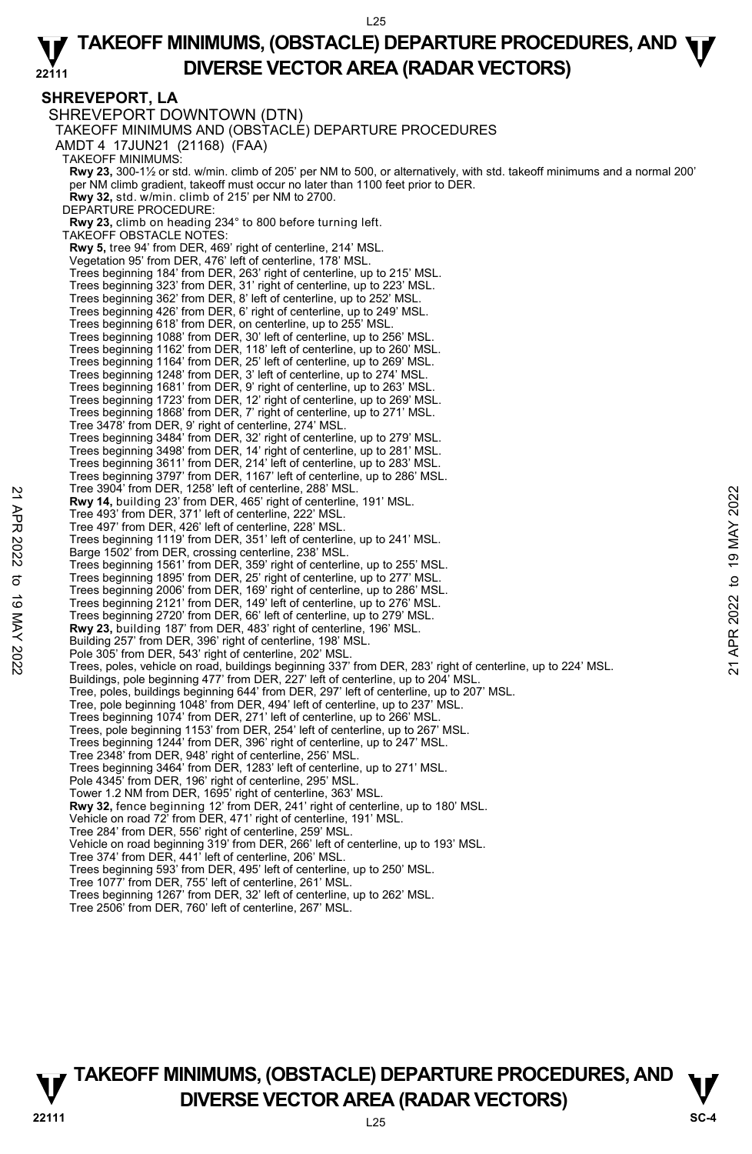## **SHREVEPORT, LA**

SHREVEPORT DOWNTOWN (DTN) TAKEOFF MINIMUMS AND (OBSTACLE) DEPARTURE PROCEDURES AMDT 4 17JUN21 (21168) (FAA) TAKEOFF MINIMUMS: **Rwy 23,** 300-1½ or std. w/min. climb of 205' per NM to 500, or alternatively, with std. takeoff minimums and a normal 200' per NM climb gradient, takeoff must occur no later than 1100 feet prior to DER. **Rwy 32,** std. w/min. climb of 215' per NM to 2700. DEPARTURE PROCEDURE: **Rwy 23,** climb on heading 234° to 800 before turning left. TAKEOFF OBSTACLE NOTES: **Rwy 5,** tree 94' from DER, 469' right of centerline, 214' MSL. Vegetation 95' from DER, 476' left of centerline, 178' MSL. Trees beginning 184' from DER, 263' right of centerline, up to 215' MSL. Trees beginning 323' from DER, 31' right of centerline, up to 223' MSL. Trees beginning 362' from DER, 8' left of centerline, up to 252' MSL. Trees beginning 426' from DER, 6' right of centerline, up to 249' MSL. Trees beginning 618' from DER, on centerline, up to 255' MSL. Trees beginning 1088' from DER, 30' left of centerline, up to 256' MSL. Trees beginning 1162' from DER, 118' left of centerline, up to 260' MSL. Trees beginning 1164' from DER, 25' left of centerline, up to 269' MSL. Trees beginning 1248' from DER, 3' left of centerline, up to 274' MSL. Trees beginning 1681' from DER, 9' right of centerline, up to 263' MSL. Trees beginning 1723' from DER, 12' right of centerline, up to 269' MSL. Trees beginning 1868' from DER, 7' right of centerline, up to 271' MSL. Tree 3478' from DER, 9' right of centerline, 274' MSL. Trees beginning 3484' from DER, 32' right of centerline, up to 279' MSL. Trees beginning 3498' from DER, 14' right of centerline, up to 281' MSL. Trees beginning 3611' from DER, 214' left of centerline, up to 283' MSL. Trees beginning 3797' from DER, 1167' left of centerline, up to 286' MSL. Tree 3904' from DER, 1258' left of centerline, 288' MSL. **Rwy 14,** building 23' from DER, 465' right of centerline, 191' MSL. Tree 493' from DER, 371' left of centerline, 222' MSL. Tree 497' from DER, 426' left of centerline, 228' MSL. Trees beginning 1119' from DER, 351' left of centerline, up to 241' MSL. Barge 1502' from DER, crossing centerline, 238' MSL. Trees beginning 1561' from DER, 359' right of centerline, up to 255' MSL. Trees beginning 1895' from DER, 25' right of centerline, up to 277' MSL. Trees beginning 1000 from DER, 169' right of centerline, up to 286' MSL. Trees beginning 2121' from DER, 149' left of centerline, up to 276' MSL. Trees beginning 2720' from DER, 66' left of centerline, up to 279' MSL. **Rwy 23,** building 187' from DER, 483' right of centerline, 196' MSL. Building 257' from DER, 396' right of centerline, 198' MSL. Pole 305' from DER, 543' right of centerline, 202' MSI Trees, poles, vehicle on road, buildings beginning 337' from DER, 283' right of centerline, up to 224' MSL. Buildings, pole beginning 477' from DER, 227' left of centerline, up to 204' MSL. Tree, poles, buildings beginning 644' from DER, 297' left of centerline, up to 207' MSL. Tree, pole beginning 1048' from DER, 494' left of centerline, up to 237' MSL. Trees beginning 1074' from DER, 271' left of centerline, up to 266' MSL. Trees, pole beginning 1153' from DER, 254' left of centerline, up to 267' MSL. Trees beginning 1244' from DER, 396' right of centerline, up to 247' MSL. Tree 2348' from DER, 948' right of centerline, 256' MSL. Trees beginning 3464' from DER, 1283' left of centerline, up to 271' MSL. Pole 4345' from DER, 196' right of centerline, 295' MSL Tower 1.2 NM from DER, 1695' right of centerline, 363' MSL. **Rwy 32,** fence beginning 12' from DER, 241' right of centerline, up to 180' MSL. Vehicle on road 72' from DER, 471' right of centerline, 191' MSL. Tree 284' from DER, 556' right of centerline, 259' MSL. Vehicle on road beginning 319' from DER, 266' left of centerline, up to 193' MSL. Tree 374' from DER, 441' left of centerline, 206' MSL. Trees beginning 593' from DER, 495' left of centerline, up to 250' MSL. Tree 1077' from DER, 755' left of centerline, 261' MSL. Trees beginning 1267' from DER, 32' left of centerline, up to 262' MSL. Free 3004 From DER, 1258' lett of centerline, 288' MSL.<br> **21** Tree 493' from DER, 371' left of centerline, 222' MSL.<br>
Tree 493' from DER, 426' left of centerline, 222' MSL.<br>
Trees beginning 1119' from DER, 351' left of ce

Tree 2506' from DER, 760' left of centerline, 267' MSL.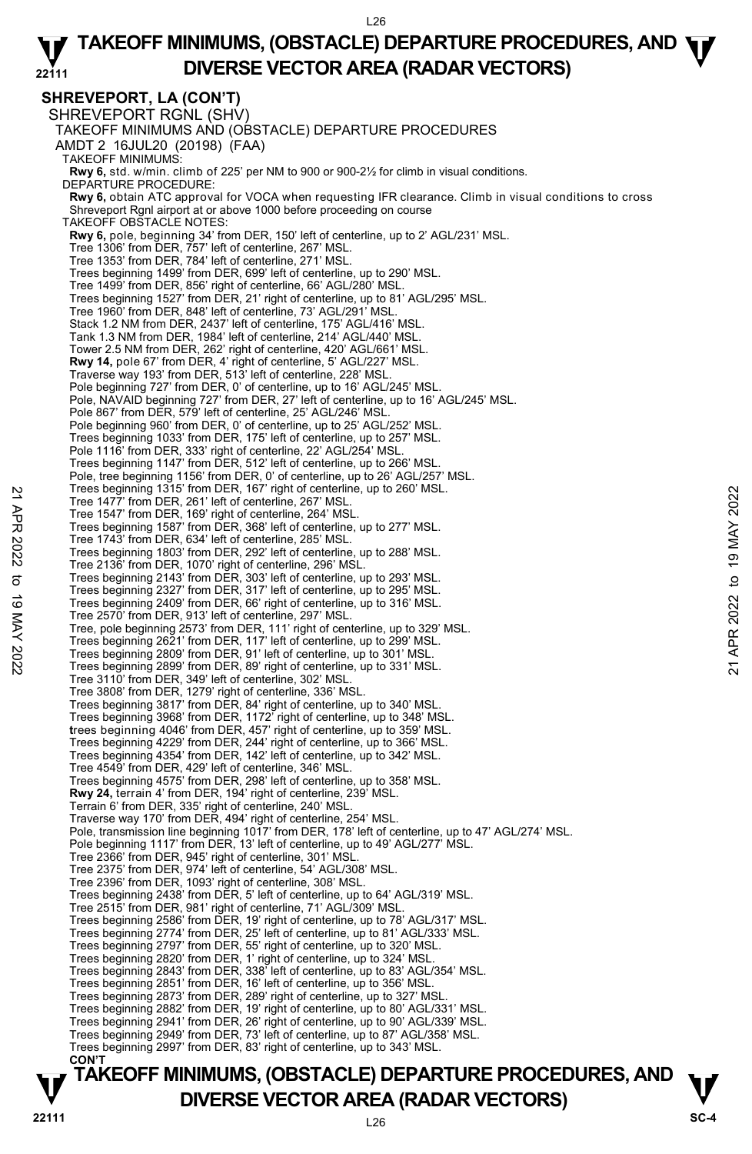L26

#### **22111 TAKEOFF MINIMUMS, (OBSTACLE) DEPARTURE PROCEDURES, AND**  $\Psi$ **DIVERSE VECTOR AREA (RADAR VECTORS)**

**SHREVEPORT, LA (CON'T)**  SHREVEPORT RGNL (SHV) TAKEOFF MINIMUMS AND (OBSTACLE) DEPARTURE PROCEDURES AMDT 2 16JUL20 (20198) (FAA) TAKEOFF MINIMUMS: **Rwy 6,** std. w/min. climb of 225' per NM to 900 or 900-2½ for climb in visual conditions. DEPARTURE PROCEDURE: **Rwy 6,** obtain ATC approval for VOCA when requesting IFR clearance. Climb in visual conditions to cross Shreveport Rgnl airport at or above 1000 before proceeding on course TAKEOFF OBSTACLE NOTES: **Rwy 6,** pole, beginning 34' from DER, 150' left of centerline, up to 2' AGL/231' MSL. Tree 1306' from DER, 757' left of centerline, 267' MSL. Tree 1353' from DER, 784' left of centerline, 271' MSL. Trees beginning 1499' from DER, 699' left of centerline, up to 290' MSL. Tree 1499' from DER, 856' right of centerline, 66' AGL/280' MSL. Trees beginning 1527' from DER, 21' right of centerline, up to 81' AGL/295' MSL. Tree 1960' from DER, 848' left of centerline, 73' AGL/291' MSL. Stack 1.2 NM from DER, 2437' left of centerline, 175' AGL/416' MSL. Tank 1.3 NM from DER, 1984' left of centerline, 214' AGL/440' MSL. Tower 2.5 NM from DER, 262' right of centerline, 420' AGL/661' MSL. **Rwy 14,** pole 67' from DER, 4' right of centerline, 5' AGL/227' MSL. Traverse way 193' from DER, 513' left of centerline, 228' MSL. Pole beginning 727' from DER, 0' of centerline, up to 16' AGL/245' MSL. Pole, NAVAID beginning 727' from DER, 27' left of centerline, up to 16' AGL/245' MSL. Pole 867' from DER, 579' left of centerline, 25' AGL/246' MSL. Pole beginning 960' from DER, 0' of centerline, up to 25' AGL/252' MSL. Trees beginning 1033' from DER, 175' left of centerline, up to 257' MSL. Pole 1116' from DER, 333' right of centerline, 22' AGL/254' MSL. Trees beginning 1147' from DER, 512' left of centerline, up to 266' MSL. Pole, tree beginning 1156' from DER, 0' of centerline, up to 26' AGL/257' MSL. Trees beginning 1315' from DER, 167' right of centerline, up to 260' MSL. Tree 1477' from DER, 261' left of centerline, 267' MSL. Tree 1547' from DER, 169' right of centerline, 264' MSL. Trees beginning 1587' from DER, 368' left of centerline, up to 277' MSL. Tree 1743' from DER, 634' left of centerline, 285' MSL. Trees beginning 1803' from DER, 292' left of centerline, up to 288' MSL. Tree 2136' from DER, 1070' right of centerline, 296' MSL. Trees beginning 2143' from DER, 303' left of centerline, up to 293' MSL. Trees beginning 2327' from DER, 317' left of centerline, up to 295' MSL. Trees beginning 2409' from DER, 66' right of centerline, up to 316' MSL. Tree 2570' from DER, 913' left of centerline, 297' MSL. Tree, pole beginning 2573' from DER, 111' right of centerline, up to 329' MSL. Trees beginning 2621' from DER, 117' left of centerline, up to 299' MSL. Trees beginning 2809' from DER, 91' left of centerline, up to 301' MSL. Trees beginning 2899' from DER, 89' right of centerline, up to 331' MSL. Tree 3110' from DER, 349' left of centerline, 302' MSL. Tree 3808' from DER, 1279' right of centerline, 336' MSL. Trees beginning 3817' from DER, 84' right of centerline, up to 340' MSL. Trees beginning 3968' from DER, 1172' right of centerline, up to 348' MSL. **t**rees beginning 4046' from DER, 457' right of centerline, up to 359' MSL. Trees beginning 4229' from DER, 244' right of centerline, up to 366' MSL. Trees beginning 4354' from DER, 142' left of centerline, up to 342' MSL. Tree 4549' from DER, 429' left of centerline, 346' MSL. Trees beginning 4575' from DER, 298' left of centerline, up to 358' MSL. **Rwy 24,** terrain 4' from DER, 194' right of centerline, 239' MSL. Terrain 6' from DER, 335' right of centerline, 240' MSL. Traverse way 170' from DER, 494' right of centerline, 254' MSL. Pole, transmission line beginning 1017' from DER, 178' left of centerline, up to 47' AGL/274' MSL. Pole beginning 1117' from DER, 13' left of centerline, up to 49' AGL/277' MSL. Tree 2366' from DER, 945' right of centerline, 301' MSL. Tree 2375' from DER, 974' left of centerline, 54' AGL/308' MSL. Tree 2396' from DER, 1093' right of centerline, 308' MSL. Trees beginning 2438' from DER, 5' left of centerline, up to 64' AGL/319' MSL. Tree 2515' from DER, 981' right of centerline, 71' AGL/309' MSL. Trees beginning 2586' from DER, 19' right of centerline, up to 78' AGL/317' MSL. Trees beginning 2774' from DER, 25' left of centerline, up to 81' AGL/333' MSL. Trees beginning 2797' from DER, 55' right of centerline, up to 320' MSL.<br>Trees beginning 2820' from DER, 1' right of centerline, up to 324' MSL.<br>Trees beginning 2843' from DER, 338' left of centerline, up to 83' AGL/354' M Trees beginning 2851' from DER, 16' left of centerline, up to 356' MSL. Trees beginning 2873' from DER, 289' right of centerline, up to 327' MSL. Trees beginning 2882' from DER, 19' right of centerline, up to 80' AGL/331' MSL. Trees beginning 2941' from DER, 26' right of centerline, up to 90' AGL/339' MSL. Trees beginning 2949' from DER, 73' left of centerline, up to 87' AGL/358' MSL. Trees beginning 2997' from DER, 83' right of centerline, up to 343' MSL. **CON'T**  Tree 19 eginning 1315' from DER, 16' right of centerline, up to 260' MSL.<br>
Tree 1477' from DER, 169' right of centerline, 264' MSL.<br>
Tree 1547' from DER, 169' right of centerline, 264' MSL.<br>
Tree 1547' from DER, 109' right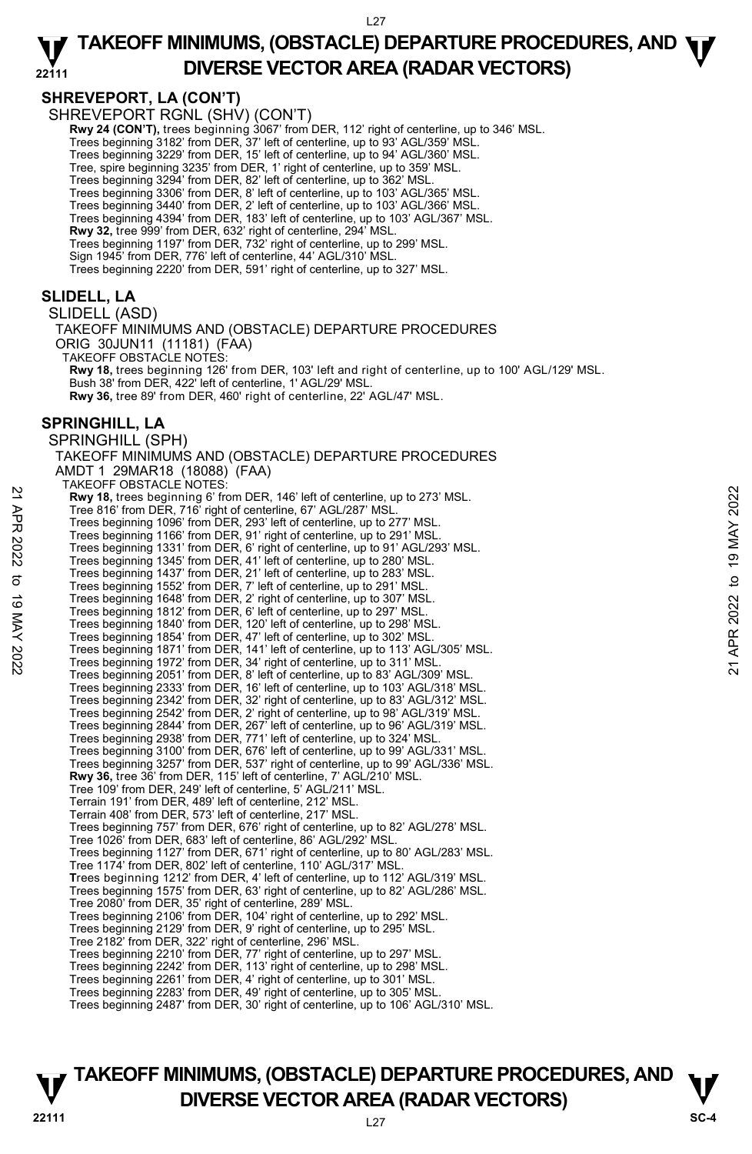## **SHREVEPORT, LA (CON'T)**

SHREVEPORT RGNL (SHV) (CON'T) **Rwy 24 (CON'T),** trees beginning 3067' from DER, 112' right of centerline, up to 346' MSL.<br>Trees beginning 3182' from DER, 37' left of centerline, up to 93' AGL/359' MSL. Trees beginning 3229' from DER, 15' left of centerline, up to 94' AGL/360' MSL. Tree, spire beginning 3235' from DER, 1' right of centerline, up to 359' MSL. Trees beginning 3294' from DER, 82' left of centerline, up to 362' MSL. Trees beginning 3306' from DER, 8' left of centerline, up to 103' AGL/365' MSL. Trees beginning 3440' from DER, 2' left of centerline, up to 103' AGL/366' MSL. Trees beginning 4394' from DER, 183' left of centerline, up to 103' AGL/367' MSL. **Rwy 32,** tree 999' from DER, 632' right of centerline, 294' MSL. Trees beginning 1197' from DER, 732' right of centerline, up to 299' MSL. Sign 1945' from DER, 776' left of centerline, 44' AGL/310' MSL. Trees beginning 2220' from DER, 591' right of centerline, up to 327' MSL. **SLIDELL, LA**  SLIDELL (ASD) TAKEOFF MINIMUMS AND (OBSTACLE) DEPARTURE PROCEDURES ORIG 30JUN11 (11181) (FAA) TAKEOFF OBSTACLE NOTES: **Rwy 18,** trees beginning 126' from DER, 103' left and right of centerline, up to 100' AGL/129' MSL. Bush 38' from DER, 422' left of centerline, 1' AGL/29' MSL. **Rwy 36,** tree 89' from DER, 460' right of centerline, 22' AGL/47' MSL. **SPRINGHILL, LA**  SPRINGHILL (SPH) TAKEOFF MINIMUMS AND (OBSTACLE) DEPARTURE PROCEDURES AMDT 1 29MAR18 (18088) (FAA) TAKEOFF OBSTACLE NOTES: **Rwy 18,** trees beginning 6' from DER, 146' left of centerline, up to 273' MSL. Tree 816' from DER, 716' right of centerline, 67' AGL/287' MSL. Trees beginning 1096' from DER, 293' left of centerline, up to 277' MSL. Trees beginning 1166' from DER, 91' right of centerline, up to 291' MSL. Trees beginning 1331' from DER, 6' right of centerline, up to 91' AGL/293' MSL. Trees beginning 1345' from DER, 41' left of centerline, up to 280' MSL. Trees beginning 1437' from DER, 21' left of centerline, up to 283' MSL. Trees beginning 1552' from DER, 7' left of centerline, up to 291' MSL. Trees beginning 1648' from DER, 2' right of centerline, up to 307' MSL. Trees beginning 1812' from DER, 6' left of centerline, up to 297' MSL. Trees beginning 1840' from DER, 120' left of centerline, up to 298' MSL. Trees beginning 1854' from DER, 47' left of centerline, up to 302' MSL. Trees beginning 1871' from DER, 141' left of centerline, up to 113' AGL/305' MSL. Trees beginning 1972' from DER, 34' right of centerline, up to 311' MSL. Trees beginning 2051' from DER, 8' left of centerline, up to 83' AGL/309' MSL. Trees beginning 2333' from DER, 16' left of centerline, up to 103' AGL/318' MSL. Trees beginning 2342' from DER, 32' right of centerline, up to 83' AGL/312' MSL. Trees beginning 2542' from DER, 2' right of centerline, up to 98' AGL/319' MSL. Trees beginning 2844' from DER, 267' left of centerline, up to 96' AGL/319' MSL. Trees beginning 2938' from DER, 771' left of centerline, up to 324' MSL. Trees beginning 3100' from DER, 676' left of centerline, up to 99' AGL/331' MSL. Trees beginning 3257' from DER, 537' right of centerline, up to 99' AGL/336' MSL. **Rwy 36,** tree 36' from DER, 115' left of centerline, 7' AGL/210' MSL. Tree 109' from DER, 249' left of centerline, 5' AGL/211' MSL. Terrain 191' from DER, 489' left of centerline, 212' MSL. Terrain 408' from DER, 573' left of centerline, 217' MSL. Trees beginning 757' from DER, 676' right of centerline, up to 82' AGL/278' MSL. Tree 1026' from DER, 683' left of centerline, 86' AGL/292' MSL. Trees beginning 1127' from DER, 671' right of centerline, up to 80' AGL/283' MSL. Tree 1174' from DER, 802' left of centerline, 110' AGL/317' MSL. **T**rees beginning 1212' from DER, 4' left of centerline, up to 112' AGL/319' MSL. Trees beginning 1575' from DER, 63' right of centerline, up to 82' AGL/286' MSL. Tree 2080' from DER, 35' right of centerline, 289' MSL. Trees beginning 2106' from DER, 104' right of centerline, up to 292' MSL. Trees beginning 2129' from DER, 9' right of centerline, up to 295' MSL. Tree 2182' from DER, 322' right of centerline, 296' MSL. Trees beginning 2210' from DER, 77' right of centerline, up to 297' MSL. Trees beginning 2242' from DER, 113' right of centerline, up to 298' MSL. Trees beginning 2261' from DER, 4' right of centerline, up to 301' MSL. Trees beginning 2283' from DER, 49' right of centerline, up to 305' MSL.<br>Trees beginning 2487' from DER, 30' right of centerline, up to 106' AGL/310' MSL. 22 Pree 816' from DER, 146' left of centerline, up to 273' MSL.<br>
Tree 816' from DER, 716' right of centerline, 67' AGL/287' MSL.<br>
Trees beginning 106' from DER, 93' left of centerline, up to 277' MSL.<br>
Trees beginning 106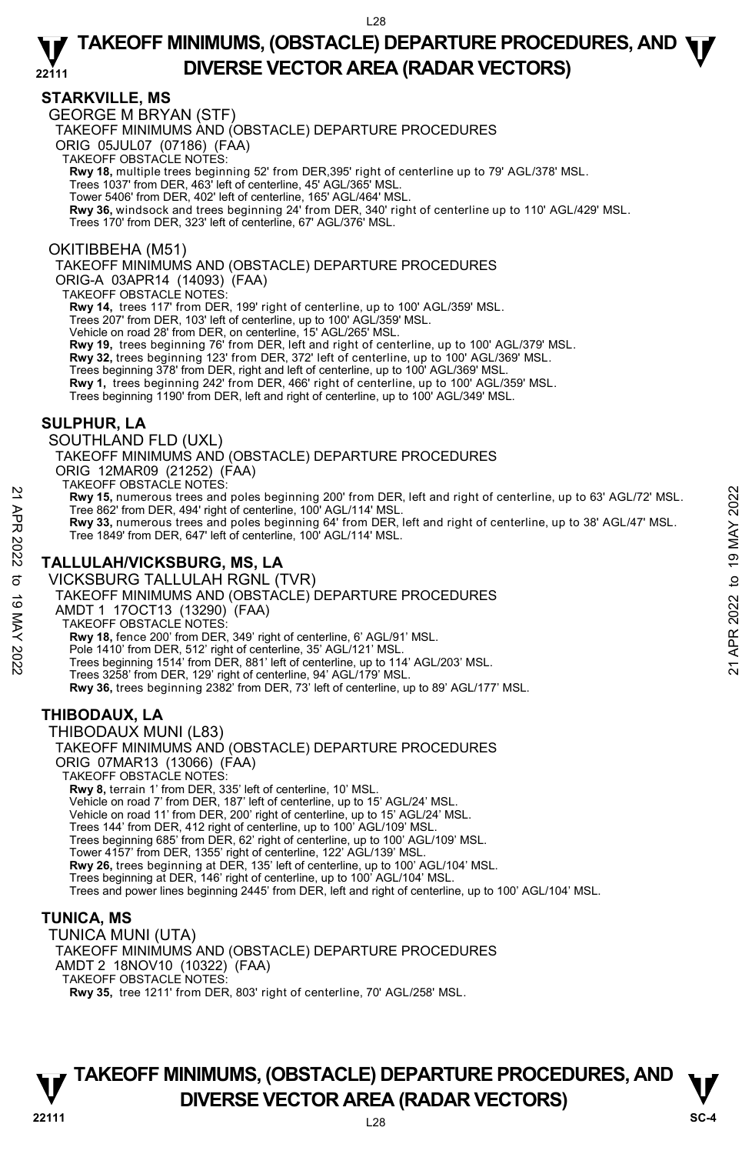## **STARKVILLE, MS**

GEORGE M BRYAN (STF)

TAKEOFF MINIMUMS AND (OBSTACLE) DEPARTURE PROCEDURES

ORIG 05JUL07 (07186) (FAA) TAKEOFF OBSTACLE NOTES:

**Rwy 18,** multiple trees beginning 52' from DER,395' right of centerline up to 79' AGL/378' MSL.<br>Trees 1037' from DER, 463' left of centerline, 45' AGL/365' MSL.

Tower 5406' from DER, 402' left of centerline, 165' AGL/464' MSL.

**Rwy 36,** windsock and trees beginning 24' from DER, 340' right of centerline up to 110' AGL/429' MSL. Trees 170' from DER, 323' left of centerline, 67' AGL/376' MSL.

### OKITIBBEHA (M51)

TAKEOFF MINIMUMS AND (OBSTACLE) DEPARTURE PROCEDURES

ORIG-A 03APR14 (14093) (FAA)

TAKEOFF OBSTACLE NOTES:

**Rwy 14,** trees 117' from DER, 199' right of centerline, up to 100' AGL/359' MSL.

Trees 207' from DER, 103' left of centerline, up to 100' AGL/359' MSL.

Vehicle on road 28' from DER, on centerline, 15' AGL/265' MSL.

**Rwy 19,** trees beginning 76' from DER, left and right of centerline, up to 100' AGL/379' MSL.

**Rwy 32,** trees beginning 123' from DER, 372' left of centerline, up to 100' AGL/369' MSL.

Trees beginning 378' from DER, right and left of centerline, up to 100' AGL/369' MSL.

**Rwy 1,** trees beginning 242' from DER, 466' right of centerline, up to 100' AGL/359' MSL.

Trees beginning 1190' from DER, left and right of centerline, up to 100' AGL/349' MSL.

## **SULPHUR, LA**

SOUTHLAND FLD (UXL)

TAKEOFF MINIMUMS AND (OBSTACLE) DEPARTURE PROCEDURES ORIG 12MAR09 (21252) (FAA) TAKEOFF OBSTACLE NOTES:

**Rwy 15,** numerous trees and poles beginning 200' from DER, left and right of centerline, up to 63' AGL/72' MSL. Tree 862' from DER, 494' right of centerline, 100' AGL/114' MSL.

**Rwy 33,** numerous trees and poles beginning 64' from DER, left and right of centerline, up to 38' AGL/47' MSL.<br>Tree 1849' from DER, 647' left of centerline, 100' AGL/114' MSL.

## **TALLULAH/VICKSBURG, MS, LA**

VICKSBURG TALLULAH RGNL (TVR) TAKEOFF MINIMUMS AND (OBSTACLE) DEPARTURE PROCEDURES AMDT 1 17OCT13 (13290) (FAA) TAKEOFF OBSTACLE NOTES: **Rwy 18,** fence 200' from DER, 349' right of centerline, 6' AGL/91' MSL. Pole 1410' from DER, 512' right of centerline, 35' AGL/121' MSL. Trees beginning 1514' from DER, 881' left of centerline, up to 114' AGL/203' MSL. Trees 3258' from DER, 129' right of centerline, 94' AGL/179' MSL. **Rwy 36,** trees beginning 2382' from DER, 73' left of centerline, up to 89' AGL/177' MSL. THIBODAUX MUNI (L83) 22 AWAY 15, numerous trees and poles beginning 200' from DER, left and right of centerline, up to 63' AGL/72' MSL.<br>
Tree 862' from DER, 494' right of centerline, 100' AGL/114' MSL.<br>
Tree 862' from DER, 494' right of cente

## **THIBODAUX, LA**

TAKEOFF MINIMUMS AND (OBSTACLE) DEPARTURE PROCEDURES ORIG 07MAR13 (13066) (FAA) TAKEOFF OBSTACLE NOTES: **Rwy 8,** terrain 1' from DER, 335' left of centerline, 10' MSL. Vehicle on road 7' from DER, 187' left of centerline, up to 15' AGL/24' MSL. Vehicle on road 11' from DER, 200' right of centerline, up to 15' AGL/24' MSL. Trees 144' from DER, 412 right of centerline, up to 100' AGL/109' MSL. Trees beginning 685' from DER, 62' right of centerline, up to 100' AGL/109' MSL. Tower 4157' from DER, 1355' right of centerline, 122' AGL/139' MSL. **Rwy 26,** trees beginning at DER, 135' left of centerline, up to 100' AGL/104' MSL. Trees beginning at DER, 146' right of centerline, up to 100' AGL/104' MSL. Trees and power lines beginning 2445' from DER, left and right of centerline, up to 100' AGL/104' MSL.

## **TUNICA, MS**

TUNICA MUNI (UTA) TAKEOFF MINIMUMS AND (OBSTACLE) DEPARTURE PROCEDURES AMDT 2 18NOV10 (10322) (FAA) TAKEOFF OBSTACLE NOTES: **Rwy 35,** tree 1211' from DER, 803' right of centerline, 70' AGL/258' MSL.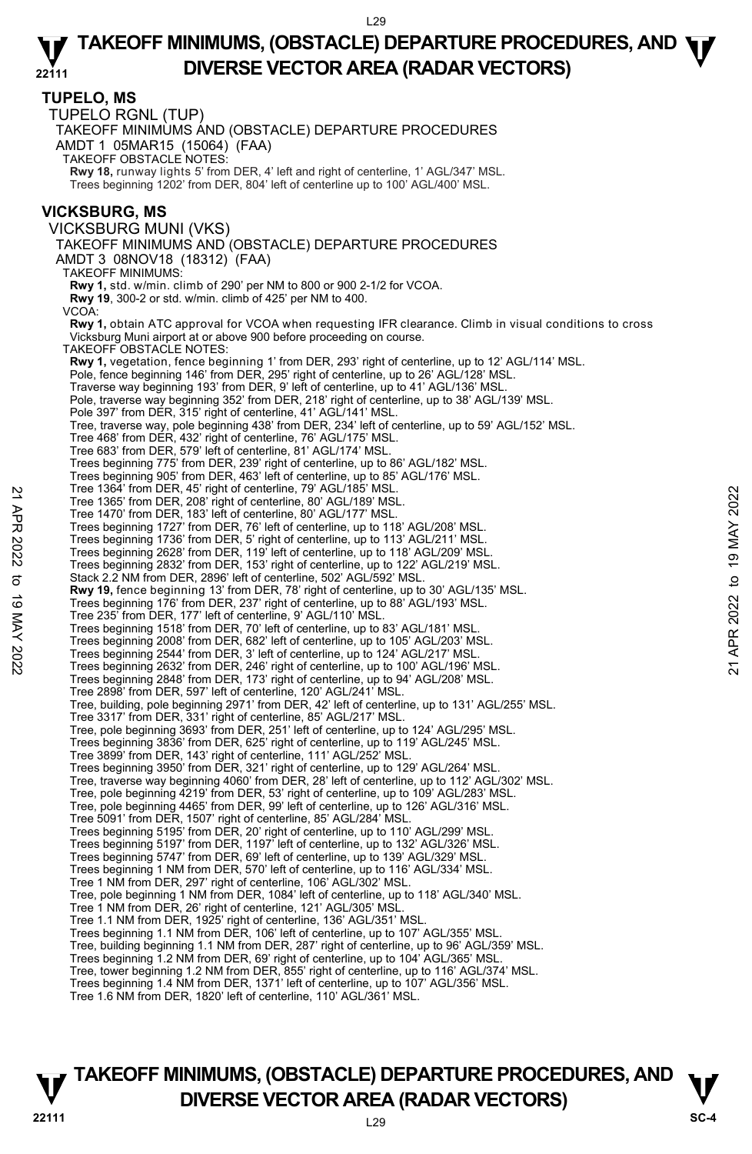**TUPELO, MS**  TUPELO RGNL (TUP) TAKEOFF MINIMUMS AND (OBSTACLE) DEPARTURE PROCEDURES AMDT 1 05MAR15 (15064) (FAA) TAKEOFF OBSTACLE NOTES: **Rwy 18,** runway lights 5' from DER, 4' left and right of centerline, 1' AGL/347' MSL. Trees beginning 1202' from DER, 804' left of centerline up to 100' AGL/400' MSL. **VICKSBURG, MS**  VICKSBURG MUNI (VKS) TAKEOFF MINIMUMS AND (OBSTACLE) DEPARTURE PROCEDURES AMDT 3 08NOV18 (18312) (FAA) TAKEOFF MINIMUMS: **Rwy 1,** std. w/min. climb of 290' per NM to 800 or 900 2-1/2 for VCOA. **Rwy 19**, 300-2 or std. w/min. climb of 425' per NM to 400. VCOA: **Rwy 1,** obtain ATC approval for VCOA when requesting IFR clearance. Climb in visual conditions to cross Vicksburg Muni airport at or above 900 before proceeding on course. TAKEOFF OBSTACLE NOTES: **Rwy 1,** vegetation, fence beginning 1' from DER, 293' right of centerline, up to 12' AGL/114' MSL.<br>Pole, fence beginning 146' from DER, 295' right of centerline, up to 26' AGL/128' MSL. Traverse way beginning 193' from DER, 9' left of centerline, up to 41' AGL/136' MSL. Pole, traverse way beginning 352' from DER, 218' right of centerline, up to 38' AGL/139' MSL. Pole 397' from DER, 315' right of centerline, 41' AGL/141' MSL. Tree, traverse way, pole beginning 438' from DER, 234' left of centerline, up to 59' AGL/152' MSL. Tree 468' from DER, 432' right of centerline, 76' AGL/175' MSL. Tree 683' from DER, 579' left of centerline, 81' AGL/174' MSL. Trees beginning 775' from DER, 239' right of centerline, up to 86' AGL/182' MSL. Trees beginning 905' from DER, 463' left of centerline, up to 85' AGL/176' MSL. Tree 1364' from DER, 45' right of centerline, 79' AGL/185' MSL. Tree 1365' from DER, 208' right of centerline, 80' AGL/189' MSL. Tree 1470' from DER, 183' left of centerline, 80' AGL/177' MSL. Trees beginning 1727' from DER, 76' left of centerline, up to 118' AGL/208' MSL. Trees beginning 1736' from DER, 5' right of centerline, up to 113' AGL/211' MSL. Trees beginning 2628' from DER, 119' left of centerline, up to 118' AGL/209' MSL. Trees beginning 2832' from DER, 153' right of centerline, up to 122' AGL/219' MSL. Stack 2.2 NM from DER, 2896' left of centerline, 502' AGL/592' MSL. **Rwy 19,** fence beginning 13' from DER, 78' right of centerline, up to 30' AGL/135' MSL. Trees beginning 176' from DER, 237' right of centerline, up to 88' AGL/193' MSL. Tree 235' from DER, 177' left of centerline, 9' AGL/110' MSL. Trees beginning 1518' from DER, 70' left of centerline, up to 83' AGL/181' MSL. Trees beginning 2008' from DER, 682' left of centerline, up to 105' AGL/203' MSL. Trees beginning 2544' from DER, 3' left of centerline, up to 124' AGL/217' MSL. Trees beginning 2632' from DER, 246' right of centerline, up to 100' AGL/196' MSL. Trees beginning 2848' from DER, 173' right of centerline, up to 94' AGL/208' MSL. Tree 2898' from DER, 597' left of centerline, 120' AGL/241' MSL. Tree, building, pole beginning 2971' from DER, 42' left of centerline, up to 131' AGL/255' MSL. Tree 3317' from DER, 331' right of centerline, 85' AGL/217' MSL. Tree, pole beginning 3693' from DER, 251' left of centerline, up to 124' AGL/295' MSL. Trees beginning 3836' from DER, 625' right of centerline, up to 119' AGL/245' MSL. Tree 3899' from DER, 143' right of centerline, 111' AGL/252' MSL. Trees beginning 3950' from DER, 321' right of centerline, up to 129' AGL/264' MSL. Tree, traverse way beginning 4060' from DER, 28' left of centerline, up to 112' AGL/302' MSL.<br>Tree, pole beginning 4219' from DER, 53' right of centerline, up to 109' AGL/283' MSL.<br>Tree, pole beginning 4465' from DER, 99' Tree 5091' from DER, 1507' right of centerline, 85' AGL/284' MSL.<br>Trees beginning 5195' from DER, 20' right of centerline, up to 110' AGL/299' MSL.<br>Trees beginning 5197' from DER, 1197' left of centerline, up to 132' AGL/3 Trees beginning 5747' from DER, 69' left of centerline, up to 139' AGL/329' MSL. Trees beginning 1 NM from DER, 570' left of centerline, up to 116' AGL/334' MSL. Tree 1 NM from DER, 297' right of centerline, 106' AGL/302' MSL. Tree, pole beginning 1 NM from DER, 1084' left of centerline, up to 118' AGL/340' MSL. Tree 1 NM from DER, 26' right of centerline, 121' AGL/305' MSL. Tree 1.1 NM from DER, 1925' right of centerline, 136' AGL/351' MSL. Trees beginning 1.1 NM from DER, 106' left of centerline, up to 107' AGL/355' MSL. Tree, building beginning 1.1 NM from DER, 287' right of centerline, up to 96' AGL/359' MSL. Trees beginning 1.2 NM from DER, 69' right of centerline, up to 104' AGL/365' MSL. Tree, tower beginning 1.2 NM from DER, 855' right of centerline, up to 116' AGL/374' MSL. Trees beginning 1.4 NM from DER, 1371' left of centerline, up to 107' AGL/356' MSL. Tree 1364 from DER, 208' right of centerline, 80' AGL/189' MSL.<br>
Tree 1470' from DER, 183' left of centerline, 80' AGL/189' MSL.<br>
Trees beginning 1727' from DER, 76' left of centerline, up to 113' AGL/208' MSL.<br>
Trees beg

Tree 1.6 NM from DER, 1820' left of centerline, 110' AGL/361' MSL.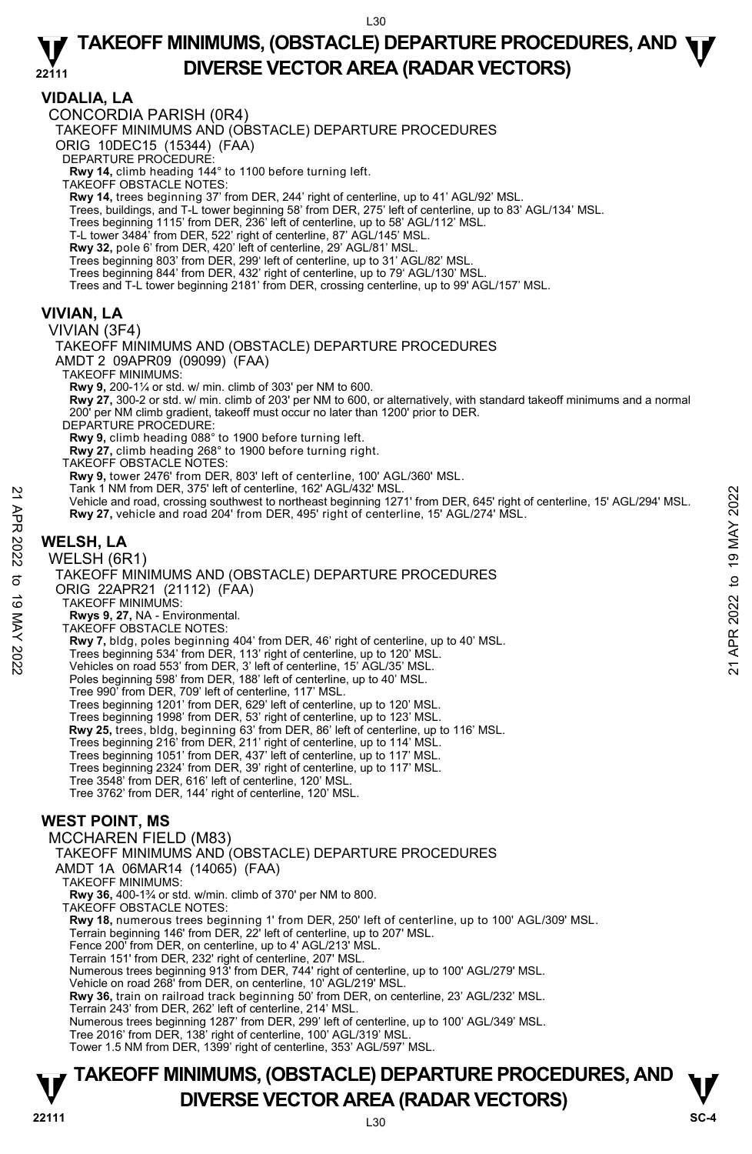### **VIDALIA, LA**

CONCORDIA PARISH (0R4)

TAKEOFF MINIMUMS AND (OBSTACLE) DEPARTURE PROCEDURES

ORIG 10DEC15 (15344) (FAA)

DEPARTURE PROCEDURE:

**Rwy 14,** climb heading 144° to 1100 before turning left. TAKEOFF OBSTACLE NOTES:

**Rwy 14,** trees beginning 37' from DER, 244' right of centerline, up to 41' AGL/92' MSL.

Trees, buildings, and T-L tower beginning 58' from DER, 275' left of centerline, up to 83' AGL/134' MSL.

Trees beginning 1115' from DER, 236' left of centerline, up to 58' AGL/112' MSL. T-L tower 3484' from DER, 522' right of centerline, 87' AGL/145' MSL.

**Rwy 32,** pole 6' from DER, 420' left of centerline, 29' AGL/81' MSL.

Trees beginning 803' from DER, 299' left of centerline, up to 31' AGL/82' MSL. Trees beginning 844' from DER, 432' right of centerline, up to 79' AGL/130' MSL.

Trees and T-L tower beginning 2181' from DER, crossing centerline, up to 99' AGL/157' MSL.

## **VIVIAN, LA**

VIVIAN (3F4)

TAKEOFF MINIMUMS AND (OBSTACLE) DEPARTURE PROCEDURES AMDT 2 09APR09 (09099) (FAA)

TAKEOFF MINIMUMS:

**Rwy 9,** 200-1¼ or std. w/ min. climb of 303' per NM to 600.

**Rwy 27,** 300-2 or std. w/ min. climb of 203' per NM to 600, or alternatively, with standard takeoff minimums and a normal 200' per NM climb gradient, takeoff must occur no later than 1200' prior to DER.

DEPARTURE PROCEDURE:

**Rwy 9,** climb heading 088° to 1900 before turning left.

**Rwy 27,** climb heading 268° to 1900 before turning right.

TAKEOFF OBSTACLE NOTES:

**Rwy 9,** tower 2476' from DER, 803' left of centerline, 100' AGL/360' MSL.

- Tank 1 NM from DER, 375' left of centerline, 162' AGL/432' MSL.
- Vehicle and road, crossing southwest to northeast beginning 1271' from DER, 645' right of centerline, 15' AGL/294' MSL. **Rwy 27,** vehicle and road 204' from DER, 495' right of centerline, 15' AGL/274' MSL. Vehicle and road, crossing southwest to northeast beginning 1271' from DER, 645' right of centerline, 15' AGL/294' MSL.<br>
The Vehicle and road 204' from DER, 495' right of centerline, 15' AGL/274' MSL.<br>
RW 27, vehicle and r

## **WELSH, LA**

WELSH (6R1)

TAKEOFF MINIMUMS AND (OBSTACLE) DEPARTURE PROCEDURES ORIG 22APR21 (21112) (FAA)

TAKEOFF MINIMUMS:

 **Rwys 9, 27,** NA - Environmental.

TAKEOFF OBSTACLE NOTES:

**Rwy 7,** bldg, poles beginning 404' from DER, 46' right of centerline, up to 40' MSL.

Trees beginning 534' from DER, 113' right of centerline, up to 120' MSL. Vehicles on road 553' from DER, 3' left of centerline, 15' AGL/35' MSL.

Poles beginning 598' from DER, 188' left of centerline, up to 40' MSL.

Tree 990' from DER, 709' left of centerline, 117' MSL.

Trees beginning 1201' from DER, 629' left of centerline, up to 120' MSL.

Trees beginning 1998' from DER, 53' right of centerline, up to 123' MSL.

 **Rwy 25,** trees, bldg, beginning 63' from DER, 86' left of centerline, up to 116' MSL.

Trees beginning 216' from DER, 211' right of centerline, up to 114' MSL. Trees beginning 1051' from DER, 437' left of centerline, up to 117' MSL.

Trees beginning 2324' from DER, 39' right of centerline, up to 117' MSL.

Tree 3548' from DER, 616' left of centerline, 120' MSL.

Tree 3762' from DER, 144' right of centerline, 120' MSL.

## **WEST POINT, MS**

MCCHAREN FIELD (M83) TAKEOFF MINIMUMS AND (OBSTACLE) DEPARTURE PROCEDURES AMDT 1A 06MAR14 (14065) (FAA) TAKEOFF MINIMUMS: **Rwy 36,** 400-1¾ or std. w/min. climb of 370' per NM to 800.

TAKEOFF OBSTACLE NOTES:

**Rwy 18,** numerous trees beginning 1' from DER, 250' left of centerline, up to 100' AGL/309' MSL.

Terrain beginning 146' from DER, 22' left of centerline, up to 207' MSL.

Fence 200' from DER, on centerline, up to 4' AGL/213' MSL.

Terrain 151' from DER, 232' right of centerline, 207' MSL. Numerous trees beginning 913' from DER, 744' right of centerline, up to 100' AGL/279' MSL.

Vehicle on road 268' from DER, on centerline, 10' AGL/219' MSL.

**Rwy 36,** train on railroad track beginning 50' from DER, on centerline, 23' AGL/232' MSL.

Terrain 243' from DER, 262' left of centerline, 214' MSL.

Numerous trees beginning 1287' from DER, 299' left of centerline, up to 100' AGL/349' MSL.

Tree 2016' from DER, 138' right of centerline, 100' AGL/319' MSL.

Tower 1.5 NM from DER, 1399' right of centerline, 353' AGL/597' MSL.